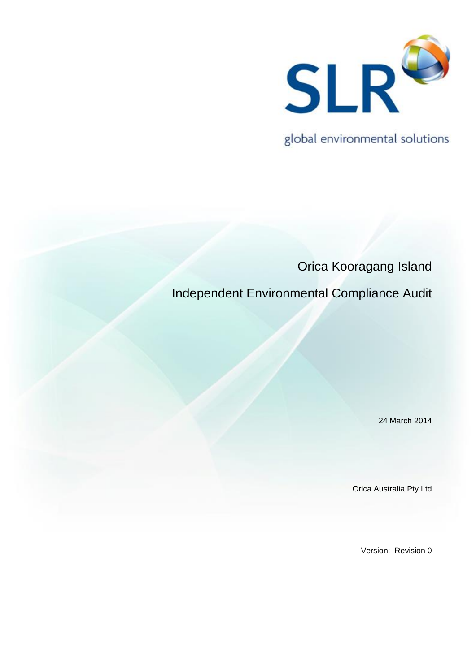

global environmental solutions

Orica Kooragang Island Independent Environmental Compliance Audit

24 March 2014

Orica Australia Pty Ltd

Version: Revision 0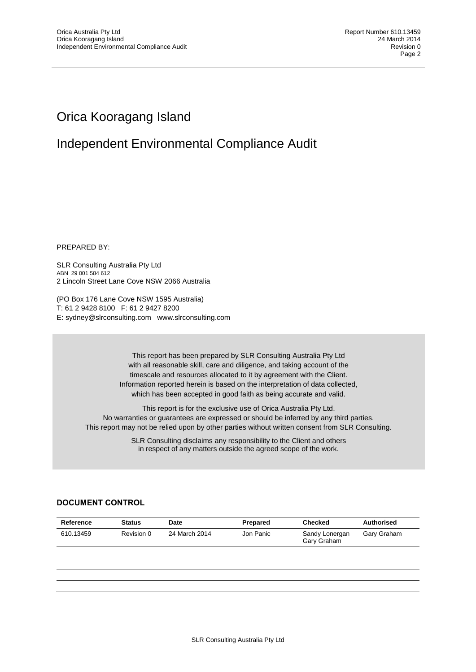# Orica Kooragang Island

# Independent Environmental Compliance Audit

PREPARED BY:

SLR Consulting Australia Pty Ltd ABN 29 001 584 612 2 Lincoln Street Lane Cove NSW 2066 Australia

(PO Box 176 Lane Cove NSW 1595 Australia) T: 61 2 9428 8100 F: 61 2 9427 8200 E: sydney@slrconsulting.com www.slrconsulting.com

> This report has been prepared by SLR Consulting Australia Pty Ltd with all reasonable skill, care and diligence, and taking account of the timescale and resources allocated to it by agreement with the Client. Information reported herein is based on the interpretation of data collected, which has been accepted in good faith as being accurate and valid.

This report is for the exclusive use of Orica Australia Pty Ltd. No warranties or guarantees are expressed or should be inferred by any third parties. This report may not be relied upon by other parties without written consent from SLR Consulting.

> SLR Consulting disclaims any responsibility to the Client and others in respect of any matters outside the agreed scope of the work.

# **DOCUMENT CONTROL**

| <b>Status</b> | Date          | Prepared  | <b>Checked</b>                | <b>Authorised</b> |
|---------------|---------------|-----------|-------------------------------|-------------------|
| Revision 0    | 24 March 2014 | Jon Panic | Sandy Lonergan<br>Gary Graham | Gary Graham       |
|               |               |           |                               |                   |
|               |               |           |                               |                   |
|               |               |           |                               |                   |
|               |               |           |                               |                   |
|               |               |           |                               |                   |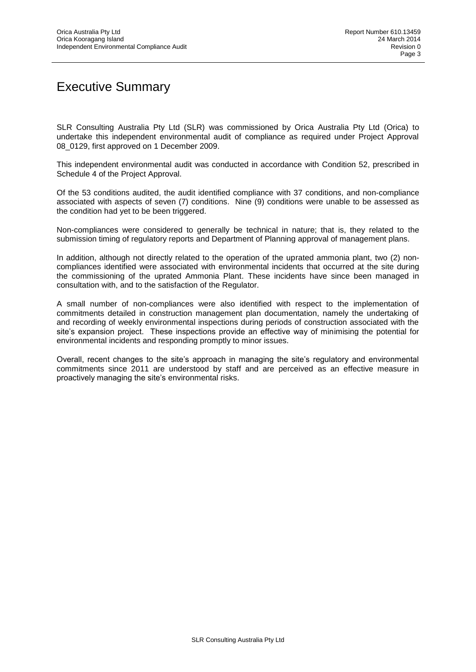# Executive Summary

SLR Consulting Australia Pty Ltd (SLR) was commissioned by Orica Australia Pty Ltd (Orica) to undertake this independent environmental audit of compliance as required under Project Approval 08\_0129, first approved on 1 December 2009.

This independent environmental audit was conducted in accordance with Condition 52, prescribed in Schedule 4 of the Project Approval.

Of the 53 conditions audited, the audit identified compliance with 37 conditions, and non-compliance associated with aspects of seven (7) conditions. Nine (9) conditions were unable to be assessed as the condition had yet to be been triggered.

Non-compliances were considered to generally be technical in nature; that is, they related to the submission timing of regulatory reports and Department of Planning approval of management plans.

In addition, although not directly related to the operation of the uprated ammonia plant, two (2) noncompliances identified were associated with environmental incidents that occurred at the site during the commissioning of the uprated Ammonia Plant. These incidents have since been managed in consultation with, and to the satisfaction of the Regulator.

A small number of non-compliances were also identified with respect to the implementation of commitments detailed in construction management plan documentation, namely the undertaking of and recording of weekly environmental inspections during periods of construction associated with the site's expansion project. These inspections provide an effective way of minimising the potential for environmental incidents and responding promptly to minor issues.

Overall, recent changes to the site's approach in managing the site's regulatory and environmental commitments since 2011 are understood by staff and are perceived as an effective measure in proactively managing the site's environmental risks.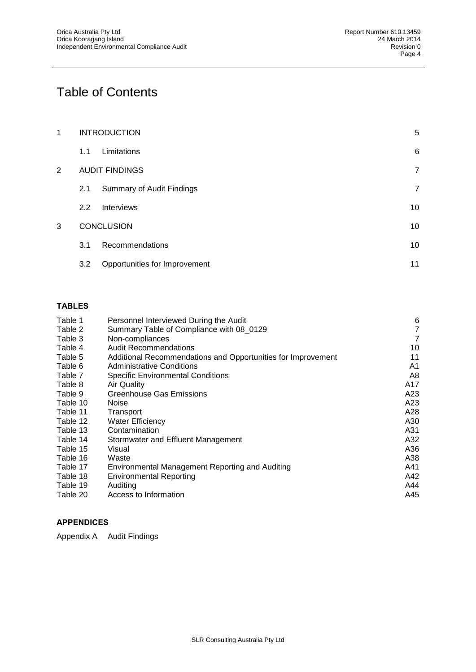# Table of Contents

| 1 |     | <b>INTRODUCTION</b>              | $\overline{5}$ |
|---|-----|----------------------------------|----------------|
|   | 1.1 | Limitations                      | 6              |
| 2 |     | <b>AUDIT FINDINGS</b>            | $\overline{7}$ |
|   | 2.1 | <b>Summary of Audit Findings</b> | $\overline{7}$ |
|   | 2.2 | <b>Interviews</b>                | 10             |
| 3 |     | <b>CONCLUSION</b>                | 10             |
|   | 3.1 | Recommendations                  | 10             |
|   | 3.2 | Opportunities for Improvement    | 11             |

## **TABLES**

| Table 1  | Personnel Interviewed During the Audit                       | 6   |
|----------|--------------------------------------------------------------|-----|
| Table 2  | Summary Table of Compliance with 08_0129                     | 7   |
| Table 3  | Non-compliances                                              | 7   |
| Table 4  | <b>Audit Recommendations</b>                                 | 10  |
| Table 5  | Additional Recommendations and Opportunities for Improvement | 11  |
| Table 6  | <b>Administrative Conditions</b>                             | A1  |
| Table 7  | <b>Specific Environmental Conditions</b>                     | A8  |
| Table 8  | Air Quality                                                  | A17 |
| Table 9  | Greenhouse Gas Emissions                                     | A23 |
| Table 10 | Noise                                                        | A23 |
| Table 11 | Transport                                                    | A28 |
| Table 12 | Water Efficiency                                             | A30 |
| Table 13 | Contamination                                                | A31 |
| Table 14 | Stormwater and Effluent Management                           | A32 |
| Table 15 | Visual                                                       | A36 |
| Table 16 | Waste                                                        | A38 |
| Table 17 | Environmental Management Reporting and Auditing              | A41 |
| Table 18 | Environmental Reporting                                      | A42 |
| Table 19 | Auditing                                                     | A44 |
| Table 20 | Access to Information                                        | A45 |

# **APPENDICES**

Appendix A Audit Findings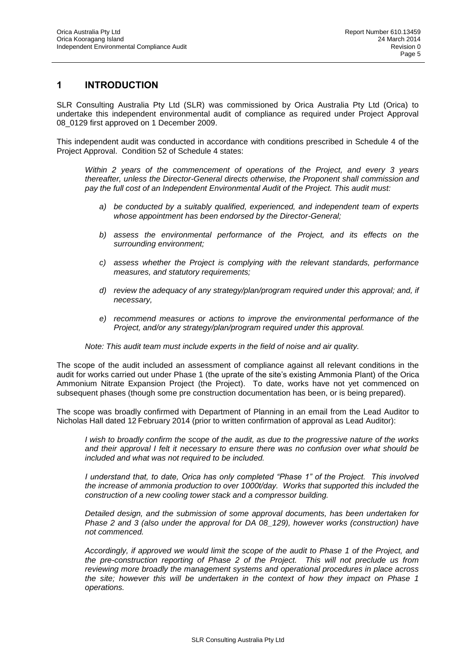## **1 INTRODUCTION**

SLR Consulting Australia Pty Ltd (SLR) was commissioned by Orica Australia Pty Ltd (Orica) to undertake this independent environmental audit of compliance as required under Project Approval 08\_0129 first approved on 1 December 2009.

This independent audit was conducted in accordance with conditions prescribed in Schedule 4 of the Project Approval. Condition 52 of Schedule 4 states:

*Within 2 years of the commencement of operations of the Project, and every 3 years thereafter, unless the Director-General directs otherwise, the Proponent shall commission and pay the full cost of an Independent Environmental Audit of the Project. This audit must:*

- *a) be conducted by a suitably qualified, experienced, and independent team of experts whose appointment has been endorsed by the Director-General;*
- *b) assess the environmental performance of the Project, and its effects on the surrounding environment;*
- *c) assess whether the Project is complying with the relevant standards, performance measures, and statutory requirements;*
- *d) review the adequacy of any strategy/plan/program required under this approval; and, if necessary,*
- *e) recommend measures or actions to improve the environmental performance of the Project, and/or any strategy/plan/program required under this approval.*

#### *Note: This audit team must include experts in the field of noise and air quality.*

The scope of the audit included an assessment of compliance against all relevant conditions in the audit for works carried out under Phase 1 (the uprate of the site's existing Ammonia Plant) of the Orica Ammonium Nitrate Expansion Project (the Project). To date, works have not yet commenced on subsequent phases (though some pre construction documentation has been, or is being prepared).

The scope was broadly confirmed with Department of Planning in an email from the Lead Auditor to Nicholas Hall dated 12 February 2014 (prior to written confirmation of approval as Lead Auditor):

*I wish to broadly confirm the scope of the audit, as due to the progressive nature of the works and their approval I felt it necessary to ensure there was no confusion over what should be included and what was not required to be included.*

*I understand that, to date, Orica has only completed "Phase 1" of the Project. This involved the increase of ammonia production to over 1000t/day. Works that supported this included the construction of a new cooling tower stack and a compressor building.*

*Detailed design, and the submission of some approval documents, has been undertaken for Phase 2 and 3 (also under the approval for DA 08\_129), however works (construction) have not commenced.* 

*Accordingly, if approved we would limit the scope of the audit to Phase 1 of the Project, and the pre-construction reporting of Phase 2 of the Project. This will not preclude us from reviewing more broadly the management systems and operational procedures in place across the site; however this will be undertaken in the context of how they impact on Phase 1 operations.*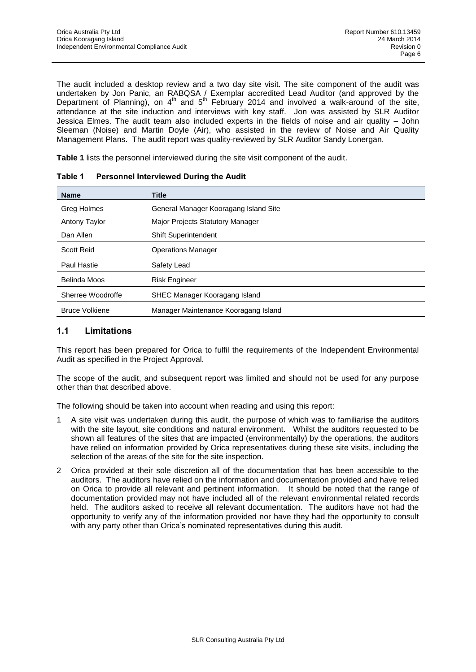The audit included a desktop review and a two day site visit. The site component of the audit was undertaken by Jon Panic, an RABQSA / Exemplar accredited Lead Auditor (and approved by the Department of Planning), on  $4<sup>th</sup>$  and  $5<sup>th</sup>$  February 2014 and involved a walk-around of the site, attendance at the site induction and interviews with key staff. Jon was assisted by SLR Auditor Jessica Elmes. The audit team also included experts in the fields of noise and air quality – John Sleeman (Noise) and Martin Doyle (Air), who assisted in the review of Noise and Air Quality Management Plans. The audit report was quality-reviewed by SLR Auditor Sandy Lonergan.

**Table 1** lists the personnel interviewed during the site visit component of the audit.

| <b>Name</b>           | <b>Title</b>                            |
|-----------------------|-----------------------------------------|
| Greg Holmes           | General Manager Kooragang Island Site   |
| Antony Taylor         | <b>Major Projects Statutory Manager</b> |
| Dan Allen             | <b>Shift Superintendent</b>             |
| <b>Scott Reid</b>     | <b>Operations Manager</b>               |
| Paul Hastie           | Safety Lead                             |
| Belinda Moos          | <b>Risk Engineer</b>                    |
| Sherree Woodroffe     | SHEC Manager Kooragang Island           |
| <b>Bruce Volkiene</b> | Manager Maintenance Kooragang Island    |

| Table 1 | <b>Personnel Interviewed During the Audit</b> |
|---------|-----------------------------------------------|
|---------|-----------------------------------------------|

# **1.1 Limitations**

This report has been prepared for Orica to fulfil the requirements of the Independent Environmental Audit as specified in the Project Approval.

The scope of the audit, and subsequent report was limited and should not be used for any purpose other than that described above.

The following should be taken into account when reading and using this report:

- 1 A site visit was undertaken during this audit, the purpose of which was to familiarise the auditors with the site layout, site conditions and natural environment. Whilst the auditors requested to be shown all features of the sites that are impacted (environmentally) by the operations, the auditors have relied on information provided by Orica representatives during these site visits, including the selection of the areas of the site for the site inspection.
- 2 Orica provided at their sole discretion all of the documentation that has been accessible to the auditors. The auditors have relied on the information and documentation provided and have relied on Orica to provide all relevant and pertinent information. It should be noted that the range of documentation provided may not have included all of the relevant environmental related records held. The auditors asked to receive all relevant documentation. The auditors have not had the opportunity to verify any of the information provided nor have they had the opportunity to consult with any party other than Orica's nominated representatives during this audit.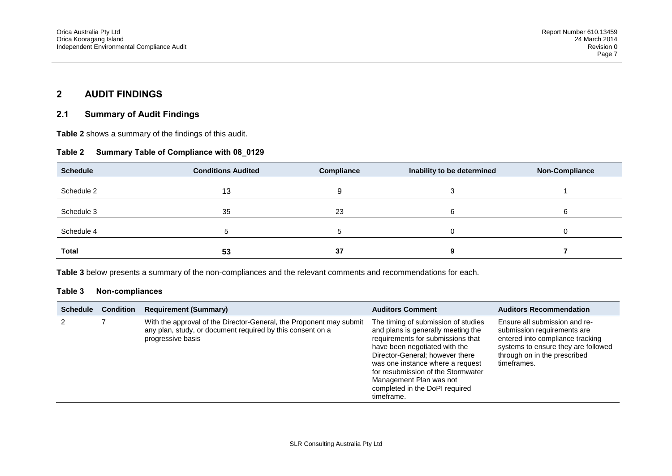# **2 AUDIT FINDINGS**

### **2.1 Summary of Audit Findings**

**Table 2** shows a summary of the findings of this audit.

### **Table 2 Summary Table of Compliance with 08\_0129**

| <b>Schedule</b> | <b>Conditions Audited</b> | <b>Compliance</b> | Inability to be determined | <b>Non-Compliance</b> |
|-----------------|---------------------------|-------------------|----------------------------|-----------------------|
| Schedule 2      | 13                        |                   |                            |                       |
| Schedule 3      | 35                        | 23                | O                          | 6                     |
| Schedule 4      | J                         |                   |                            |                       |
| <b>Total</b>    | 53                        | 37                |                            |                       |

**Table 3** below presents a summary of the non-compliances and the relevant comments and recommendations for each.

#### **Table 3 Non-compliances**

| <b>Schedule</b> | <b>Condition</b> | <b>Requirement (Summary)</b>                                                                                                                           | <b>Auditors Comment</b>                                                                                                                                                                                                                                                                                                                 | <b>Auditors Recommendation</b>                                                                                                                                                         |
|-----------------|------------------|--------------------------------------------------------------------------------------------------------------------------------------------------------|-----------------------------------------------------------------------------------------------------------------------------------------------------------------------------------------------------------------------------------------------------------------------------------------------------------------------------------------|----------------------------------------------------------------------------------------------------------------------------------------------------------------------------------------|
|                 |                  | With the approval of the Director-General, the Proponent may submit<br>any plan, study, or document required by this consent on a<br>progressive basis | The timing of submission of studies<br>and plans is generally meeting the<br>requirements for submissions that<br>have been negotiated with the<br>Director-General; however there<br>was one instance where a request<br>for resubmission of the Stormwater<br>Management Plan was not<br>completed in the DoPI required<br>timeframe. | Ensure all submission and re-<br>submission requirements are<br>entered into compliance tracking<br>systems to ensure they are followed<br>through on in the prescribed<br>timeframes. |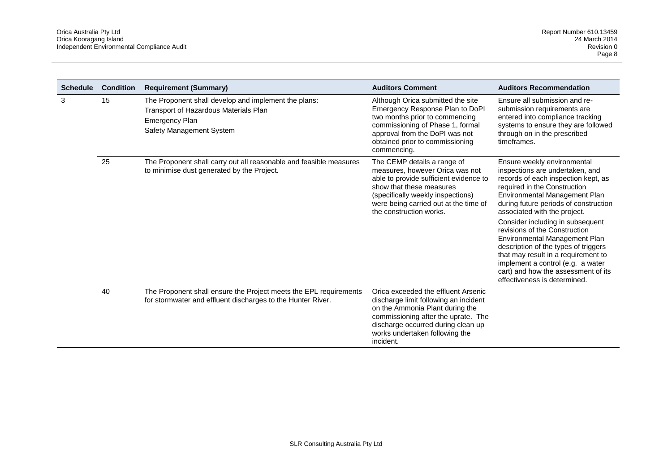| <b>Schedule</b> | <b>Condition</b> | <b>Requirement (Summary)</b>                                                                                                                       | <b>Auditors Comment</b>                                                                                                                                                                                                                       | <b>Auditors Recommendation</b>                                                                                                                                                                                                                                                                                                                                                                                                                                                                                                                   |
|-----------------|------------------|----------------------------------------------------------------------------------------------------------------------------------------------------|-----------------------------------------------------------------------------------------------------------------------------------------------------------------------------------------------------------------------------------------------|--------------------------------------------------------------------------------------------------------------------------------------------------------------------------------------------------------------------------------------------------------------------------------------------------------------------------------------------------------------------------------------------------------------------------------------------------------------------------------------------------------------------------------------------------|
| 3               | 15               | The Proponent shall develop and implement the plans:<br>Transport of Hazardous Materials Plan<br><b>Emergency Plan</b><br>Safety Management System | Although Orica submitted the site<br>Emergency Response Plan to DoPI<br>two months prior to commencing<br>commissioning of Phase 1, formal<br>approval from the DoPI was not<br>obtained prior to commissioning<br>commencing.                | Ensure all submission and re-<br>submission requirements are<br>entered into compliance tracking<br>systems to ensure they are followed<br>through on in the prescribed<br>timeframes.                                                                                                                                                                                                                                                                                                                                                           |
|                 | 25               | The Proponent shall carry out all reasonable and feasible measures<br>to minimise dust generated by the Project.                                   | The CEMP details a range of<br>measures, however Orica was not<br>able to provide sufficient evidence to<br>show that these measures<br>(specifically weekly inspections)<br>were being carried out at the time of<br>the construction works. | Ensure weekly environmental<br>inspections are undertaken, and<br>records of each inspection kept, as<br>required in the Construction<br>Environmental Management Plan<br>during future periods of construction<br>associated with the project.<br>Consider including in subsequent<br>revisions of the Construction<br>Environmental Management Plan<br>description of the types of triggers<br>that may result in a requirement to<br>implement a control (e.g. a water<br>cart) and how the assessment of its<br>effectiveness is determined. |
|                 | 40               | The Proponent shall ensure the Project meets the EPL requirements<br>for stormwater and effluent discharges to the Hunter River.                   | Orica exceeded the effluent Arsenic<br>discharge limit following an incident<br>on the Ammonia Plant during the<br>commissioning after the uprate. The<br>discharge occurred during clean up<br>works undertaken following the<br>incident.   |                                                                                                                                                                                                                                                                                                                                                                                                                                                                                                                                                  |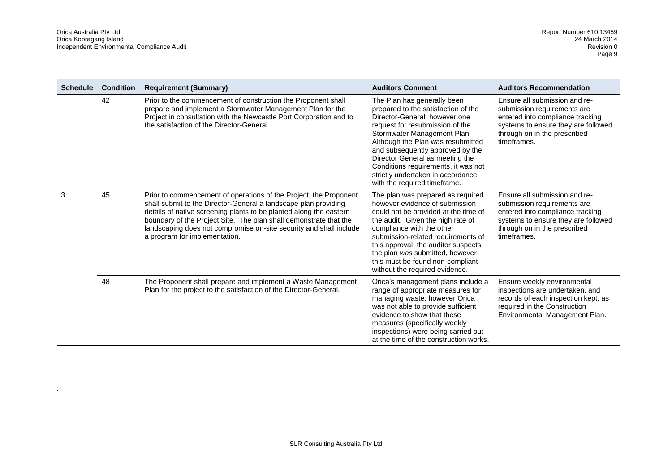.

| <b>Schedule</b> | <b>Condition</b> | <b>Requirement (Summary)</b>                                                                                                                                                                                                                                                                                                                                                           | <b>Auditors Comment</b>                                                                                                                                                                                                                                                                                                                                                                       | <b>Auditors Recommendation</b>                                                                                                                                                         |
|-----------------|------------------|----------------------------------------------------------------------------------------------------------------------------------------------------------------------------------------------------------------------------------------------------------------------------------------------------------------------------------------------------------------------------------------|-----------------------------------------------------------------------------------------------------------------------------------------------------------------------------------------------------------------------------------------------------------------------------------------------------------------------------------------------------------------------------------------------|----------------------------------------------------------------------------------------------------------------------------------------------------------------------------------------|
|                 | 42               | Prior to the commencement of construction the Proponent shall<br>prepare and implement a Stormwater Management Plan for the<br>Project in consultation with the Newcastle Port Corporation and to<br>the satisfaction of the Director-General.                                                                                                                                         | The Plan has generally been<br>prepared to the satisfaction of the<br>Director-General, however one<br>request for resubmission of the<br>Stormwater Management Plan.<br>Although the Plan was resubmitted<br>and subsequently approved by the<br>Director General as meeting the<br>Conditions requirements, it was not<br>strictly undertaken in accordance<br>with the required timeframe. | Ensure all submission and re-<br>submission requirements are<br>entered into compliance tracking<br>systems to ensure they are followed<br>through on in the prescribed<br>timeframes. |
| 3               | 45               | Prior to commencement of operations of the Project, the Proponent<br>shall submit to the Director-General a landscape plan providing<br>details of native screening plants to be planted along the eastern<br>boundary of the Project Site. The plan shall demonstrate that the<br>landscaping does not compromise on-site security and shall include<br>a program for implementation. | The plan was prepared as required<br>however evidence of submission<br>could not be provided at the time of<br>the audit. Given the high rate of<br>compliance with the other<br>submission-related requirements of<br>this approval, the auditor suspects<br>the plan was submitted, however<br>this must be found non-compliant<br>without the required evidence.                           | Ensure all submission and re-<br>submission requirements are<br>entered into compliance tracking<br>systems to ensure they are followed<br>through on in the prescribed<br>timeframes. |
|                 | 48               | The Proponent shall prepare and implement a Waste Management<br>Plan for the project to the satisfaction of the Director-General.                                                                                                                                                                                                                                                      | Orica's management plans include a<br>range of appropriate measures for<br>managing waste; however Orica<br>was not able to provide sufficient<br>evidence to show that these<br>measures (specifically weekly<br>inspections) were being carried out<br>at the time of the construction works.                                                                                               | Ensure weekly environmental<br>inspections are undertaken, and<br>records of each inspection kept, as<br>required in the Construction<br>Environmental Management Plan.                |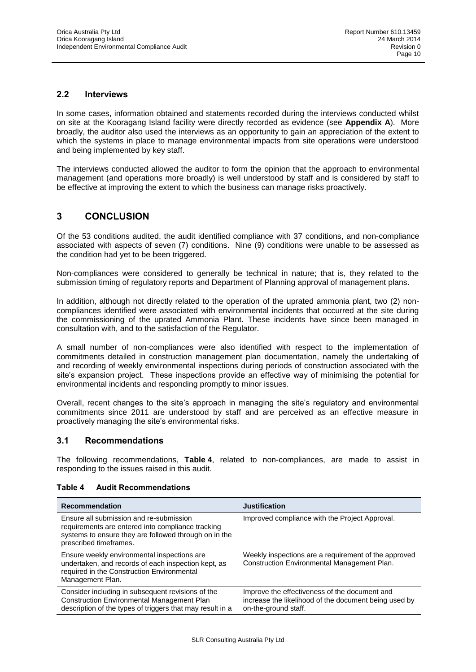### **2.2 Interviews**

In some cases, information obtained and statements recorded during the interviews conducted whilst on site at the Kooragang Island facility were directly recorded as evidence (see **Appendix A**). More broadly, the auditor also used the interviews as an opportunity to gain an appreciation of the extent to which the systems in place to manage environmental impacts from site operations were understood and being implemented by key staff.

The interviews conducted allowed the auditor to form the opinion that the approach to environmental management (and operations more broadly) is well understood by staff and is considered by staff to be effective at improving the extent to which the business can manage risks proactively.

# **3 CONCLUSION**

Of the 53 conditions audited, the audit identified compliance with 37 conditions, and non-compliance associated with aspects of seven (7) conditions. Nine (9) conditions were unable to be assessed as the condition had yet to be been triggered.

Non-compliances were considered to generally be technical in nature; that is, they related to the submission timing of regulatory reports and Department of Planning approval of management plans.

In addition, although not directly related to the operation of the uprated ammonia plant, two (2) noncompliances identified were associated with environmental incidents that occurred at the site during the commissioning of the uprated Ammonia Plant. These incidents have since been managed in consultation with, and to the satisfaction of the Regulator.

A small number of non-compliances were also identified with respect to the implementation of commitments detailed in construction management plan documentation, namely the undertaking of and recording of weekly environmental inspections during periods of construction associated with the site's expansion project. These inspections provide an effective way of minimising the potential for environmental incidents and responding promptly to minor issues.

Overall, recent changes to the site's approach in managing the site's regulatory and environmental commitments since 2011 are understood by staff and are perceived as an effective measure in proactively managing the site's environmental risks.

## **3.1 Recommendations**

The following recommendations, **Table 4**, related to non-compliances, are made to assist in responding to the issues raised in this audit.

#### **Table 4 Audit Recommendations**

| <b>Recommendation</b>                                                                                                                                                           | <b>Justification</b>                                                                                                           |
|---------------------------------------------------------------------------------------------------------------------------------------------------------------------------------|--------------------------------------------------------------------------------------------------------------------------------|
| Ensure all submission and re-submission<br>requirements are entered into compliance tracking<br>systems to ensure they are followed through on in the<br>prescribed timeframes. | Improved compliance with the Project Approval.                                                                                 |
| Ensure weekly environmental inspections are.<br>undertaken, and records of each inspection kept, as<br>required in the Construction Environmental<br>Management Plan.           | Weekly inspections are a requirement of the approved<br>Construction Environmental Management Plan.                            |
| Consider including in subsequent revisions of the<br><b>Construction Environmental Management Plan</b><br>description of the types of triggers that may result in a             | Improve the effectiveness of the document and<br>increase the likelihood of the document being used by<br>on-the-ground staff. |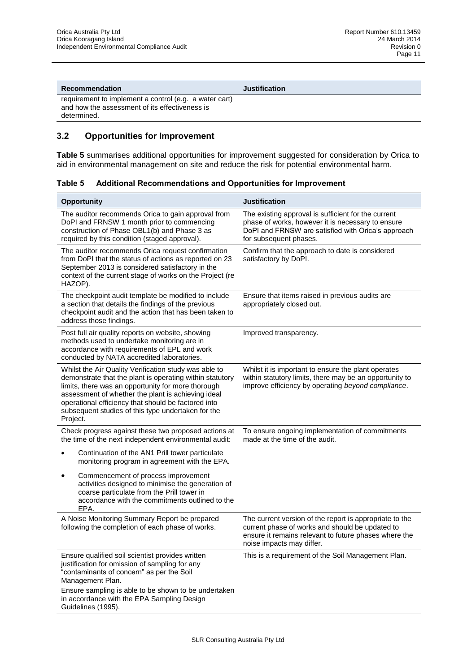**Recommendation Justification**

requirement to implement a control (e.g. a water cart) and how the assessment of its effectiveness is determined.

## **3.2 Opportunities for Improvement**

**Table 5** summarises additional opportunities for improvement suggested for consideration by Orica to aid in environmental management on site and reduce the risk for potential environmental harm.

| Table 5 | <b>Additional Recommendations and Opportunities for Improvement</b> |
|---------|---------------------------------------------------------------------|
|---------|---------------------------------------------------------------------|

| <b>Opportunity</b>                                                                                                                                                                                                                                                                                                                                     | <b>Justification</b>                                                                                                                                                                             |
|--------------------------------------------------------------------------------------------------------------------------------------------------------------------------------------------------------------------------------------------------------------------------------------------------------------------------------------------------------|--------------------------------------------------------------------------------------------------------------------------------------------------------------------------------------------------|
| The auditor recommends Orica to gain approval from<br>DoPI and FRNSW 1 month prior to commencing<br>construction of Phase OBL1(b) and Phase 3 as<br>required by this condition (staged approval).                                                                                                                                                      | The existing approval is sufficient for the current<br>phase of works, however it is necessary to ensure<br>DoPI and FRNSW are satisfied with Orica's approach<br>for subsequent phases.         |
| The auditor recommends Orica request confirmation<br>from DoPI that the status of actions as reported on 23<br>September 2013 is considered satisfactory in the<br>context of the current stage of works on the Project (re<br>HAZOP).                                                                                                                 | Confirm that the approach to date is considered<br>satisfactory by DoPl.                                                                                                                         |
| The checkpoint audit template be modified to include<br>a section that details the findings of the previous<br>checkpoint audit and the action that has been taken to<br>address those findings.                                                                                                                                                       | Ensure that items raised in previous audits are<br>appropriately closed out.                                                                                                                     |
| Post full air quality reports on website, showing<br>methods used to undertake monitoring are in<br>accordance with requirements of EPL and work<br>conducted by NATA accredited laboratories.                                                                                                                                                         | Improved transparency.                                                                                                                                                                           |
| Whilst the Air Quality Verification study was able to<br>demonstrate that the plant is operating within statutory<br>limits, there was an opportunity for more thorough<br>assessment of whether the plant is achieving ideal<br>operational efficiency that should be factored into<br>subsequent studies of this type undertaken for the<br>Project. | Whilst it is important to ensure the plant operates<br>within statutory limits, there may be an opportunity to<br>improve efficiency by operating beyond compliance.                             |
| Check progress against these two proposed actions at<br>the time of the next independent environmental audit:                                                                                                                                                                                                                                          | To ensure ongoing implementation of commitments<br>made at the time of the audit.                                                                                                                |
| Continuation of the AN1 Prill tower particulate<br>monitoring program in agreement with the EPA.                                                                                                                                                                                                                                                       |                                                                                                                                                                                                  |
| Commencement of process improvement<br>$\bullet$<br>activities designed to minimise the generation of<br>coarse particulate from the Prill tower in<br>accordance with the commitments outlined to the<br>EPA.                                                                                                                                         |                                                                                                                                                                                                  |
| A Noise Monitoring Summary Report be prepared<br>following the completion of each phase of works.                                                                                                                                                                                                                                                      | The current version of the report is appropriate to the<br>current phase of works and should be updated to<br>ensure it remains relevant to future phases where the<br>noise impacts may differ. |
| Ensure qualified soil scientist provides written<br>justification for omission of sampling for any<br>"contaminants of concern" as per the Soil<br>Management Plan.                                                                                                                                                                                    | This is a requirement of the Soil Management Plan.                                                                                                                                               |
| Ensure sampling is able to be shown to be undertaken<br>in accordance with the EPA Sampling Design<br>Guidelines (1995).                                                                                                                                                                                                                               |                                                                                                                                                                                                  |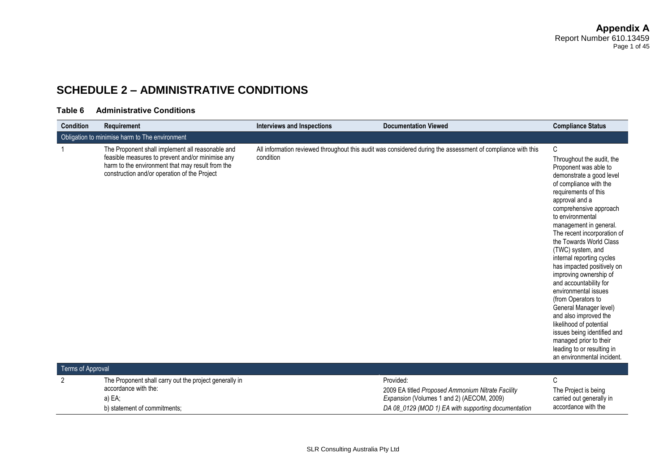# **SCHEDULE 2 – ADMINISTRATIVE CONDITIONS**

#### **Table 6 Administrative Conditions**

| <b>Condition</b>  | <b>Requirement</b>                                                                                                                                                                                       | <b>Interviews and Inspections</b> | <b>Documentation Viewed</b>                                                                                                                                        | <b>Compliance Status</b>                                                                                                                                                                                                                                                                                                                                                                                                                                                                                                                                                                                                                                                       |
|-------------------|----------------------------------------------------------------------------------------------------------------------------------------------------------------------------------------------------------|-----------------------------------|--------------------------------------------------------------------------------------------------------------------------------------------------------------------|--------------------------------------------------------------------------------------------------------------------------------------------------------------------------------------------------------------------------------------------------------------------------------------------------------------------------------------------------------------------------------------------------------------------------------------------------------------------------------------------------------------------------------------------------------------------------------------------------------------------------------------------------------------------------------|
|                   | Obligation to minimise harm to The environment                                                                                                                                                           |                                   |                                                                                                                                                                    |                                                                                                                                                                                                                                                                                                                                                                                                                                                                                                                                                                                                                                                                                |
|                   | The Proponent shall implement all reasonable and<br>feasible measures to prevent and/or minimise any<br>harm to the environment that may result from the<br>construction and/or operation of the Project | condition                         | All information reviewed throughout this audit was considered during the assessment of compliance with this                                                        | C<br>Throughout the audit, the<br>Proponent was able to<br>demonstrate a good level<br>of compliance with the<br>requirements of this<br>approval and a<br>comprehensive approach<br>to environmental<br>management in general.<br>The recent incorporation of<br>the Towards World Class<br>(TWC) system, and<br>internal reporting cycles<br>has impacted positively on<br>improving ownership of<br>and accountability for<br>environmental issues<br>(from Operators to<br>General Manager level)<br>and also improved the<br>likelihood of potential<br>issues being identified and<br>managed prior to their<br>leading to or resulting in<br>an environmental incident. |
| Terms of Approval |                                                                                                                                                                                                          |                                   |                                                                                                                                                                    |                                                                                                                                                                                                                                                                                                                                                                                                                                                                                                                                                                                                                                                                                |
| $\overline{2}$    | The Proponent shall carry out the project generally in<br>accordance with the:<br>a) EA;<br>b) statement of commitments;                                                                                 |                                   | Provided:<br>2009 EA titled Proposed Ammonium Nitrate Facility<br>Expansion (Volumes 1 and 2) (AECOM, 2009)<br>DA 08_0129 (MOD 1) EA with supporting documentation | C<br>The Project is being<br>carried out generally in<br>accordance with the                                                                                                                                                                                                                                                                                                                                                                                                                                                                                                                                                                                                   |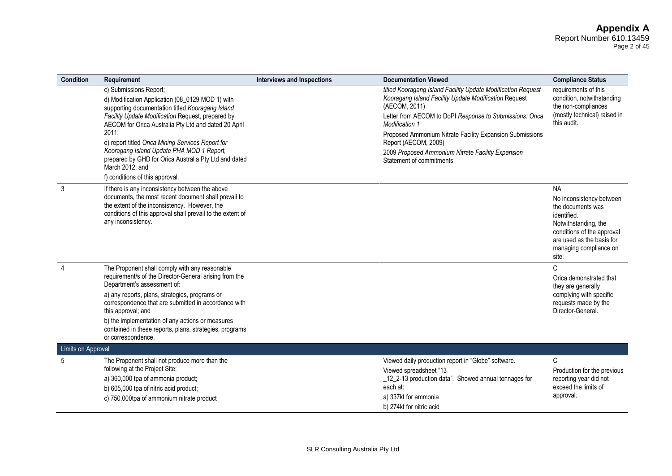#### **Appendix A** Report Number 610.13459 Page 2 of 45

| <b>Condition</b>   | Requirement                                                                                                                                                                                                                                                                                                                                                                                                                                                           | <b>Interviews and Inspections</b> | <b>Documentation Viewed</b>                                                                                                                                                                                                                                                                                                                                                               | <b>Compliance Status</b>                                                                                                                                                                        |
|--------------------|-----------------------------------------------------------------------------------------------------------------------------------------------------------------------------------------------------------------------------------------------------------------------------------------------------------------------------------------------------------------------------------------------------------------------------------------------------------------------|-----------------------------------|-------------------------------------------------------------------------------------------------------------------------------------------------------------------------------------------------------------------------------------------------------------------------------------------------------------------------------------------------------------------------------------------|-------------------------------------------------------------------------------------------------------------------------------------------------------------------------------------------------|
|                    | c) Submissions Report;<br>d) Modification Application (08_0129 MOD 1) with<br>supporting documentation titled Kooragang Island<br>Facility Update Modification Request, prepared by<br>AECOM for Orica Australia Pty Ltd and dated 20 April<br>2011;<br>e) report titled Orica Mining Services Report for<br>Kooragang Island Update PHA MOD 1 Report,<br>prepared by GHD for Orica Australia Pty Ltd and dated<br>March 2012; and<br>f) conditions of this approval. |                                   | titled Kooragang Island Facility Update Modification Request<br>Kooragang Island Facility Update Modification Request<br>(AECOM, 2011)<br>Letter from AECOM to DoPI Response to Submissions: Orica<br>Modification 1<br>Proposed Ammonium Nitrate Facility Expansion Submissions<br>Report (AECOM, 2009)<br>2009 Proposed Ammonium Nitrate Facility Expansion<br>Statement of commitments | requirements of this<br>condition, notwithstanding<br>the non-compliances<br>(mostly technical) raised in<br>this audit.                                                                        |
| 3                  | If there is any inconsistency between the above<br>documents, the most recent document shall prevail to<br>the extent of the inconsistency. However, the<br>conditions of this approval shall prevail to the extent of<br>any inconsistency.                                                                                                                                                                                                                          |                                   |                                                                                                                                                                                                                                                                                                                                                                                           | <b>NA</b><br>No inconsistency between<br>the documents was<br>identified.<br>Notwithstanding, the<br>conditions of the approval<br>are used as the basis for<br>managing compliance on<br>site. |
| $\overline{4}$     | The Proponent shall comply with any reasonable<br>requirement/s of the Director-General arising from the<br>Department's assessment of:<br>a) any reports, plans, strategies, programs or<br>correspondence that are submitted in accordance with<br>this approval; and<br>b) the implementation of any actions or measures<br>contained in these reports, plans, strategies, programs<br>or correspondence.                                                          |                                   |                                                                                                                                                                                                                                                                                                                                                                                           | $\mathsf{C}$<br>Orica demonstrated that<br>they are generally<br>complying with specific<br>requests made by the<br>Director-General.                                                           |
| Limits on Approval |                                                                                                                                                                                                                                                                                                                                                                                                                                                                       |                                   |                                                                                                                                                                                                                                                                                                                                                                                           |                                                                                                                                                                                                 |
| 5                  | The Proponent shall not produce more than the<br>following at the Project Site:<br>a) 360,000 tpa of ammonia product;<br>b) 605,000 tpa of nitric acid product;<br>c) 750,000tpa of ammonium nitrate product                                                                                                                                                                                                                                                          |                                   | Viewed daily production report in "Globe" software.<br>Viewed spreadsheet "13<br>_12_2-13 production data". Showed annual tonnages for<br>each at:<br>a) 337kt for ammonia<br>b) 274kt for nitric acid                                                                                                                                                                                    | C<br>Production for the previous<br>reporting year did not<br>exceed the limits of<br>approval.                                                                                                 |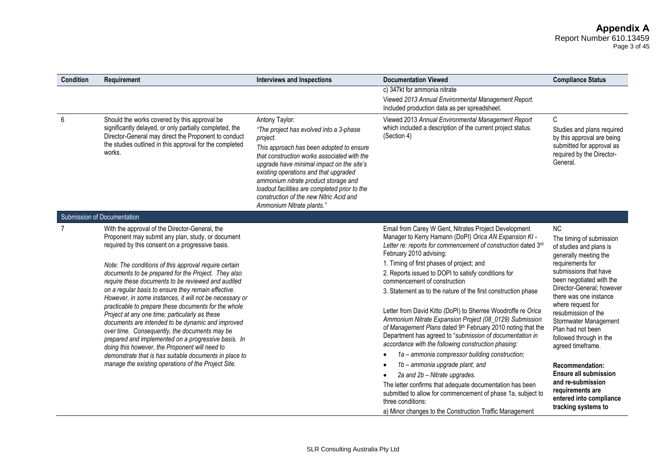Page 3 of 45

| <b>Condition</b> | Requirement                                                                                                                                                                                                                                                                                                                                                                                                                                                                                                                                                                                                                                                                                                                                                                                                                                                                               | <b>Interviews and Inspections</b>                                                                                                                                                                                                                                                                                                                                                                                       | <b>Documentation Viewed</b>                                                                                                                                                                                                                                                                                                                                                                                                                                                                                                                                                                                                                                                                                                                                                                                                                                                                                                                                                                                                                                    | <b>Compliance Status</b>                                                                                                                                                                                                                                                                                                                                                                                                                                                                                          |
|------------------|-------------------------------------------------------------------------------------------------------------------------------------------------------------------------------------------------------------------------------------------------------------------------------------------------------------------------------------------------------------------------------------------------------------------------------------------------------------------------------------------------------------------------------------------------------------------------------------------------------------------------------------------------------------------------------------------------------------------------------------------------------------------------------------------------------------------------------------------------------------------------------------------|-------------------------------------------------------------------------------------------------------------------------------------------------------------------------------------------------------------------------------------------------------------------------------------------------------------------------------------------------------------------------------------------------------------------------|----------------------------------------------------------------------------------------------------------------------------------------------------------------------------------------------------------------------------------------------------------------------------------------------------------------------------------------------------------------------------------------------------------------------------------------------------------------------------------------------------------------------------------------------------------------------------------------------------------------------------------------------------------------------------------------------------------------------------------------------------------------------------------------------------------------------------------------------------------------------------------------------------------------------------------------------------------------------------------------------------------------------------------------------------------------|-------------------------------------------------------------------------------------------------------------------------------------------------------------------------------------------------------------------------------------------------------------------------------------------------------------------------------------------------------------------------------------------------------------------------------------------------------------------------------------------------------------------|
|                  |                                                                                                                                                                                                                                                                                                                                                                                                                                                                                                                                                                                                                                                                                                                                                                                                                                                                                           |                                                                                                                                                                                                                                                                                                                                                                                                                         | c) 347kt for ammonia nitrate<br>Viewed 2013 Annual Environmental Management Report.<br>Included production data as per spreadsheet.                                                                                                                                                                                                                                                                                                                                                                                                                                                                                                                                                                                                                                                                                                                                                                                                                                                                                                                            |                                                                                                                                                                                                                                                                                                                                                                                                                                                                                                                   |
| 6                | Should the works covered by this approval be<br>significantly delayed, or only partially completed, the<br>Director-General may direct the Proponent to conduct<br>the studies outlined in this approval for the completed<br>works.                                                                                                                                                                                                                                                                                                                                                                                                                                                                                                                                                                                                                                                      | Antony Taylor:<br>"The project has evolved into a 3-phase<br>project.<br>This approach has been adopted to ensure<br>that construction works associated with the<br>upgrade have minimal impact on the site's<br>existing operations and that upgraded<br>ammonium nitrate product storage and<br>loadout facilities are completed prior to the<br>construction of the new Nitric Acid and<br>Ammonium Nitrate plants." | Viewed 2013 Annual Environmental Management Report<br>which included a description of the current project status.<br>(Section 4)                                                                                                                                                                                                                                                                                                                                                                                                                                                                                                                                                                                                                                                                                                                                                                                                                                                                                                                               | $\mathsf{C}$<br>Studies and plans required<br>by this approval are being<br>submitted for approval as<br>required by the Director-<br>General.                                                                                                                                                                                                                                                                                                                                                                    |
|                  | Submission of Documentation                                                                                                                                                                                                                                                                                                                                                                                                                                                                                                                                                                                                                                                                                                                                                                                                                                                               |                                                                                                                                                                                                                                                                                                                                                                                                                         |                                                                                                                                                                                                                                                                                                                                                                                                                                                                                                                                                                                                                                                                                                                                                                                                                                                                                                                                                                                                                                                                |                                                                                                                                                                                                                                                                                                                                                                                                                                                                                                                   |
| 7                | With the approval of the Director-General, the<br>Proponent may submit any plan, study, or document<br>required by this consent on a progressive basis.<br>Note: The conditions of this approval require certain<br>documents to be prepared for the Project. They also<br>require these documents to be reviewed and audited<br>on a regular basis to ensure they remain effective.<br>However, in some instances, it will not be necessary or<br>practicable to prepare these documents for the whole<br>Project at any one time; particularly as these<br>documents are intended to be dynamic and improved<br>over time. Consequently, the documents may be<br>prepared and implemented on a progressive basis. In<br>doing this however, the Proponent will need to<br>demonstrate that is has suitable documents in place to<br>manage the existing operations of the Project Site. |                                                                                                                                                                                                                                                                                                                                                                                                                         | Email from Carey W Gent, Nitrates Project Development<br>Manager to Kerry Hamann (DoPI) Orica AN Expansion KI -<br>Letter re: reports for commencement of construction dated 3rd<br>February 2010 advising:<br>1. Timing of first phases of project; and<br>2. Reports issued to DOPI to satisfy conditions for<br>commencement of construction<br>3. Statement as to the nature of the first construction phase<br>Letter from David Kitto (DoPI) to Sherree Woodroffe re Orica<br>Ammonium Nitrate Expansion Project (08_0129) Submission<br>of Management Plans dated 9th February 2010 noting that the<br>Department has agreed to "submission of documentation in<br>accordance with the following construction phasing:<br>1a - ammonia compressor building construction;<br>1b - ammonia upgrade plant; and<br>2a and 2b - Nitrate upgrades.<br>The letter confirms that adequate documentation has been<br>submitted to allow for commencement of phase 1a, subject to<br>three conditions:<br>a) Minor changes to the Construction Traffic Management | <b>NC</b><br>The timing of submission<br>of studies and plans is<br>generally meeting the<br>requirements for<br>submissions that have<br>been negotiated with the<br>Director-General: however<br>there was one instance<br>where request for<br>resubmission of the<br>Stormwater Management<br>Plan had not been<br>followed through in the<br>agreed timeframe.<br>Recommendation:<br><b>Ensure all submission</b><br>and re-submission<br>requirements are<br>entered into compliance<br>tracking systems to |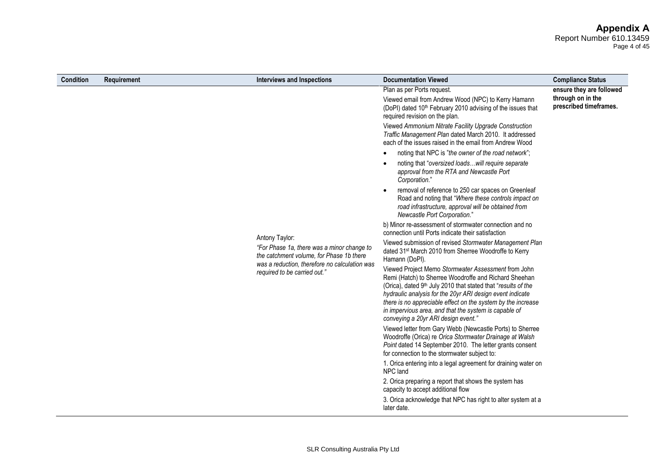#### **Appendix A** Report Number 610.13459 Page 4 of 45

| <b>Condition</b> | Requirement                                                                   | <b>Interviews and Inspections</b>                                                                                                                                                                                                                                                                                                                                                                          | <b>Documentation Viewed</b>                                                                                                                                                                                                      | <b>Compliance Status</b>                    |
|------------------|-------------------------------------------------------------------------------|------------------------------------------------------------------------------------------------------------------------------------------------------------------------------------------------------------------------------------------------------------------------------------------------------------------------------------------------------------------------------------------------------------|----------------------------------------------------------------------------------------------------------------------------------------------------------------------------------------------------------------------------------|---------------------------------------------|
|                  |                                                                               |                                                                                                                                                                                                                                                                                                                                                                                                            | Plan as per Ports request.                                                                                                                                                                                                       | ensure they are followed                    |
|                  |                                                                               |                                                                                                                                                                                                                                                                                                                                                                                                            | Viewed email from Andrew Wood (NPC) to Kerry Hamann<br>(DoPI) dated 10 <sup>th</sup> February 2010 advising of the issues that<br>required revision on the plan.                                                                 | through on in the<br>prescribed timeframes. |
|                  |                                                                               |                                                                                                                                                                                                                                                                                                                                                                                                            | Viewed Ammonium Nitrate Facility Upgrade Construction<br>Traffic Management Plan dated March 2010. It addressed<br>each of the issues raised in the email from Andrew Wood                                                       |                                             |
|                  |                                                                               |                                                                                                                                                                                                                                                                                                                                                                                                            | noting that NPC is "the owner of the road network";                                                                                                                                                                              |                                             |
|                  |                                                                               | Antony Taylor:<br>"For Phase 1a, there was a minor change to<br>the catchment volume, for Phase 1b there                                                                                                                                                                                                                                                                                                   | noting that "oversized loadswill require separate<br>approval from the RTA and Newcastle Port<br>Corporation."                                                                                                                   |                                             |
|                  |                                                                               |                                                                                                                                                                                                                                                                                                                                                                                                            | removal of reference to 250 car spaces on Greenleaf<br>Road and noting that "Where these controls impact on<br>road infrastructure, approval will be obtained from<br>Newcastle Port Corporation."                               |                                             |
|                  |                                                                               |                                                                                                                                                                                                                                                                                                                                                                                                            | b) Minor re-assessment of stormwater connection and no<br>connection until Ports indicate their satisfaction                                                                                                                     |                                             |
|                  |                                                                               |                                                                                                                                                                                                                                                                                                                                                                                                            | Viewed submission of revised Stormwater Management Plan<br>dated 31 <sup>st</sup> March 2010 from Sherree Woodroffe to Kerry<br>Hamann (DoPI).                                                                                   |                                             |
|                  | was a reduction, therefore no calculation was<br>required to be carried out." | Viewed Project Memo Stormwater Assessment from John<br>Remi (Hatch) to Sherree Woodroffe and Richard Sheehan<br>(Orica), dated 9th July 2010 that stated that "results of the<br>hydraulic analysis for the 20yr ARI design event indicate<br>there is no appreciable effect on the system by the increase<br>in impervious area, and that the system is capable of<br>conveying a 20yr ARI design event." |                                                                                                                                                                                                                                  |                                             |
|                  |                                                                               |                                                                                                                                                                                                                                                                                                                                                                                                            | Viewed letter from Gary Webb (Newcastle Ports) to Sherree<br>Woodroffe (Orica) re Orica Stormwater Drainage at Walsh<br>Point dated 14 September 2010. The letter grants consent<br>for connection to the stormwater subject to: |                                             |
|                  |                                                                               |                                                                                                                                                                                                                                                                                                                                                                                                            | 1. Orica entering into a legal agreement for draining water on<br>NPC land                                                                                                                                                       |                                             |
|                  |                                                                               |                                                                                                                                                                                                                                                                                                                                                                                                            | 2. Orica preparing a report that shows the system has<br>capacity to accept additional flow                                                                                                                                      |                                             |
|                  |                                                                               |                                                                                                                                                                                                                                                                                                                                                                                                            | 3. Orica acknowledge that NPC has right to alter system at a<br>later date.                                                                                                                                                      |                                             |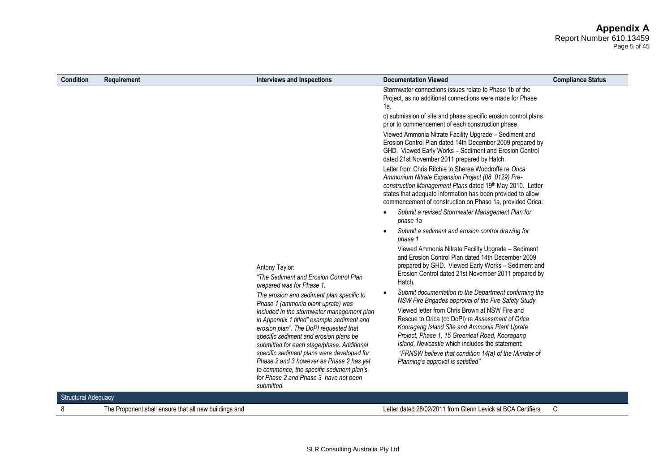#### **Appendix A** Report Number 610.13459 Page 5 of 45

| <b>Condition</b>           | Requirement | <b>Interviews and Inspections</b>                                                                                                                                                                                                                                                                                                                                                                                                                                                                           | <b>Documentation Viewed</b>                                                                                                                                                                                                                                                                                                                                                                                                                                               | <b>Compliance Status</b> |
|----------------------------|-------------|-------------------------------------------------------------------------------------------------------------------------------------------------------------------------------------------------------------------------------------------------------------------------------------------------------------------------------------------------------------------------------------------------------------------------------------------------------------------------------------------------------------|---------------------------------------------------------------------------------------------------------------------------------------------------------------------------------------------------------------------------------------------------------------------------------------------------------------------------------------------------------------------------------------------------------------------------------------------------------------------------|--------------------------|
|                            |             |                                                                                                                                                                                                                                                                                                                                                                                                                                                                                                             | Stormwater connections issues relate to Phase 1b of the<br>Project, as no additional connections were made for Phase<br>1a.                                                                                                                                                                                                                                                                                                                                               |                          |
|                            |             |                                                                                                                                                                                                                                                                                                                                                                                                                                                                                                             | c) submission of site and phase specific erosion control plans<br>prior to commencement of each construction phase.                                                                                                                                                                                                                                                                                                                                                       |                          |
|                            |             |                                                                                                                                                                                                                                                                                                                                                                                                                                                                                                             | Viewed Ammonia Nitrate Facility Upgrade - Sediment and<br>Erosion Control Plan dated 14th December 2009 prepared by<br>GHD. Viewed Early Works - Sediment and Erosion Control<br>dated 21st November 2011 prepared by Hatch.                                                                                                                                                                                                                                              |                          |
|                            |             |                                                                                                                                                                                                                                                                                                                                                                                                                                                                                                             | Letter from Chris Ritchie to Sheree Woodroffe re Orica<br>Ammonium Nitrate Expansion Project (08_0129) Pre-<br>construction Management Plans dated 19th May 2010. Letter<br>states that adequate information has been provided to allow<br>commencement of construction on Phase 1a, provided Orica:                                                                                                                                                                      |                          |
|                            |             |                                                                                                                                                                                                                                                                                                                                                                                                                                                                                                             | Submit a revised Stormwater Management Plan for<br>phase 1a                                                                                                                                                                                                                                                                                                                                                                                                               |                          |
|                            |             |                                                                                                                                                                                                                                                                                                                                                                                                                                                                                                             | Submit a sediment and erosion control drawing for<br>phase 1                                                                                                                                                                                                                                                                                                                                                                                                              |                          |
|                            |             | Antony Taylor:<br>"The Sediment and Erosion Control Plan<br>prepared was for Phase 1.                                                                                                                                                                                                                                                                                                                                                                                                                       | Viewed Ammonia Nitrate Facility Upgrade - Sediment<br>and Erosion Control Plan dated 14th December 2009<br>prepared by GHD. Viewed Early Works - Sediment and<br>Erosion Control dated 21st November 2011 prepared by<br>Hatch.                                                                                                                                                                                                                                           |                          |
|                            |             | The erosion and sediment plan specific to<br>Phase 1 (ammonia plant uprate) was<br>included in the stormwater management plan<br>in Appendix 1 titled" example sediment and<br>erosion plan". The DoPI requested that<br>specific sediment and erosion plans be<br>submitted for each stage/phase. Additional<br>specific sediment plans were developed for<br>Phase 2 and 3 however as Phase 2 has yet<br>to commence, the specific sediment plan's<br>for Phase 2 and Phase 3 have not been<br>submitted. | Submit documentation to the Department confirming the<br>NSW Fire Brigades approval of the Fire Safety Study.<br>Viewed letter from Chris Brown at NSW Fire and<br>Rescue to Orica (cc DoPI) re Assessment of Orica<br>Kooragang Island Site and Ammonia Plant Uprate<br>Project, Phase 1, 15 Greenleaf Road, Kooragang<br>Island, Newcastle which includes the statement:<br>"FRNSW believe that condition 14(a) of the Minister of<br>Planning's approval is satisfied" |                          |
| <b>Structural Adequacy</b> |             |                                                                                                                                                                                                                                                                                                                                                                                                                                                                                                             |                                                                                                                                                                                                                                                                                                                                                                                                                                                                           |                          |

8 The Proponent shall ensure that all new buildings and Letter dated 28/02/2011 from Glenn Levick at BCA Certifiers C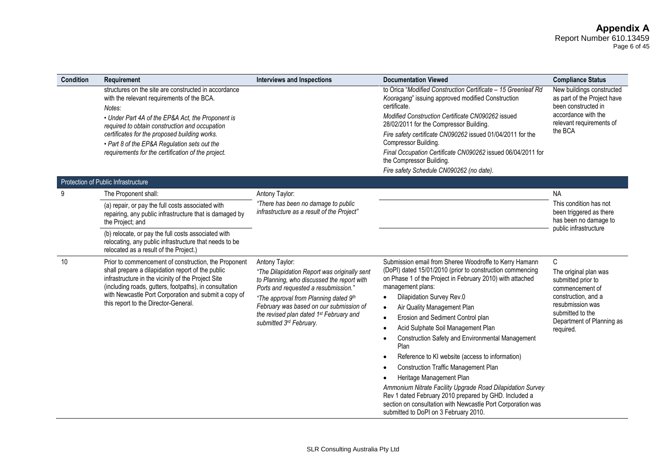#### **Appendix A** Report Number 610.13459 Page 6 of 45

| Condition | Requirement                                                                                                                                                                                                                                                                                                                                                                | <b>Interviews and Inspections</b>                                                                                                                                                                                                                                                                                          | <b>Documentation Viewed</b>                                                                                                                                                                                                                                                                                                                                                                                                                                                                                                                                                                                                                                                                                                                                                                            | <b>Compliance Status</b>                                                                                                                                                     |
|-----------|----------------------------------------------------------------------------------------------------------------------------------------------------------------------------------------------------------------------------------------------------------------------------------------------------------------------------------------------------------------------------|----------------------------------------------------------------------------------------------------------------------------------------------------------------------------------------------------------------------------------------------------------------------------------------------------------------------------|--------------------------------------------------------------------------------------------------------------------------------------------------------------------------------------------------------------------------------------------------------------------------------------------------------------------------------------------------------------------------------------------------------------------------------------------------------------------------------------------------------------------------------------------------------------------------------------------------------------------------------------------------------------------------------------------------------------------------------------------------------------------------------------------------------|------------------------------------------------------------------------------------------------------------------------------------------------------------------------------|
|           | structures on the site are constructed in accordance<br>with the relevant requirements of the BCA.<br>Notes:<br>• Under Part 4A of the EP&A Act, the Proponent is<br>required to obtain construction and occupation<br>certificates for the proposed building works.<br>• Part 8 of the EP&A Regulation sets out the<br>requirements for the certification of the project. |                                                                                                                                                                                                                                                                                                                            | to Orica "Modified Construction Certificate - 15 Greenleaf Rd<br>Kooragang" issuing approved modified Construction<br>certificate.<br>Modified Construction Certificate CN090262 issued<br>28/02/2011 for the Compressor Building.<br>Fire safety certificate CN090262 issued 01/04/2011 for the<br>Compressor Building.<br>Final Occupation Certificate CN090262 issued 06/04/2011 for<br>the Compressor Building.<br>Fire safety Schedule CN090262 (no date).                                                                                                                                                                                                                                                                                                                                        | New buildings constructed<br>as part of the Project have<br>been constructed in<br>accordance with the<br>relevant requirements of<br>the BCA                                |
|           | Protection of Public Infrastructure                                                                                                                                                                                                                                                                                                                                        |                                                                                                                                                                                                                                                                                                                            |                                                                                                                                                                                                                                                                                                                                                                                                                                                                                                                                                                                                                                                                                                                                                                                                        |                                                                                                                                                                              |
| 9         | The Proponent shall:<br>(a) repair, or pay the full costs associated with<br>repairing, any public infrastructure that is damaged by<br>the Project; and<br>(b) relocate, or pay the full costs associated with<br>relocating, any public infrastructure that needs to be                                                                                                  | Antony Taylor:<br>"There has been no damage to public<br>infrastructure as a result of the Project"                                                                                                                                                                                                                        |                                                                                                                                                                                                                                                                                                                                                                                                                                                                                                                                                                                                                                                                                                                                                                                                        | <b>NA</b><br>This condition has not<br>been triggered as there<br>has been no damage to<br>public infrastructure                                                             |
| 10        | relocated as a result of the Project.)<br>Prior to commencement of construction, the Proponent<br>shall prepare a dilapidation report of the public<br>infrastructure in the vicinity of the Project Site<br>(including roads, gutters, footpaths), in consultation<br>with Newcastle Port Corporation and submit a copy of<br>this report to the Director-General.        | Antony Taylor:<br>"The Dilapidation Report was originally sent<br>to Planning, who discussed the report with<br>Ports and requested a resubmission."<br>"The approval from Planning dated 9th<br>February was based on our submission of<br>the revised plan dated 1 <sup>st</sup> February and<br>submitted 3rd February. | Submission email from Sheree Woodroffe to Kerry Hamann<br>(DoPI) dated 15/01/2010 (prior to construction commencing<br>on Phase 1 of the Project in February 2010) with attached<br>management plans:<br>Dilapidation Survey Rev.0<br>$\bullet$<br>Air Quality Management Plan<br>$\bullet$<br>Erosion and Sediment Control plan<br>Acid Sulphate Soil Management Plan<br><b>Construction Safety and Environmental Management</b><br>Plan<br>Reference to KI website (access to information)<br><b>Construction Traffic Management Plan</b><br>Heritage Management Plan<br>Ammonium Nitrate Facility Upgrade Road Dilapidation Survey<br>Rev 1 dated February 2010 prepared by GHD. Included a<br>section on consultation with Newcastle Port Corporation was<br>submitted to DoPI on 3 February 2010. | C<br>The original plan was<br>submitted prior to<br>commencement of<br>construction, and a<br>resubmission was<br>submitted to the<br>Department of Planning as<br>required. |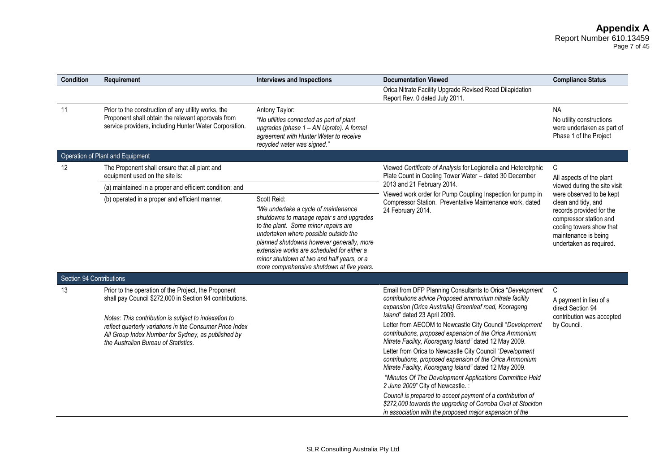#### **Appendix A** Report Number 610.13459 Page 7 of 45

| Condition                | Requirement                                                                                                                                                                                                    | <b>Interviews and Inspections</b>                                                                                                                                                                                                                                                                                                                                        | <b>Documentation Viewed</b>                                                                                                                                                                                   | <b>Compliance Status</b>                                                                                                                                                             |
|--------------------------|----------------------------------------------------------------------------------------------------------------------------------------------------------------------------------------------------------------|--------------------------------------------------------------------------------------------------------------------------------------------------------------------------------------------------------------------------------------------------------------------------------------------------------------------------------------------------------------------------|---------------------------------------------------------------------------------------------------------------------------------------------------------------------------------------------------------------|--------------------------------------------------------------------------------------------------------------------------------------------------------------------------------------|
|                          |                                                                                                                                                                                                                |                                                                                                                                                                                                                                                                                                                                                                          | Orica Nitrate Facility Upgrade Revised Road Dilapidation<br>Report Rev. 0 dated July 2011.                                                                                                                    |                                                                                                                                                                                      |
| 11                       | Prior to the construction of any utility works, the<br>Proponent shall obtain the relevant approvals from<br>service providers, including Hunter Water Corporation.                                            | Antony Taylor:<br>"No utilities connected as part of plant<br>upgrades (phase 1 - AN Uprate). A formal<br>agreement with Hunter Water to receive<br>recycled water was signed."                                                                                                                                                                                          |                                                                                                                                                                                                               | <b>NA</b><br>No utility constructions<br>were undertaken as part of<br>Phase 1 of the Project                                                                                        |
|                          | Operation of Plant and Equipment                                                                                                                                                                               |                                                                                                                                                                                                                                                                                                                                                                          |                                                                                                                                                                                                               |                                                                                                                                                                                      |
| 12                       | The Proponent shall ensure that all plant and<br>equipment used on the site is:                                                                                                                                |                                                                                                                                                                                                                                                                                                                                                                          | Viewed Certificate of Analysis for Legionella and Heterotrphic<br>Plate Count in Cooling Tower Water - dated 30 December<br>2013 and 21 February 2014.                                                        | C<br>All aspects of the plant                                                                                                                                                        |
|                          | (a) maintained in a proper and efficient condition; and                                                                                                                                                        |                                                                                                                                                                                                                                                                                                                                                                          |                                                                                                                                                                                                               | viewed during the site visit                                                                                                                                                         |
|                          | (b) operated in a proper and efficient manner.                                                                                                                                                                 | Scott Reid:<br>"We undertake a cycle of maintenance<br>shutdowns to manage repair s and upgrades<br>to the plant. Some minor repairs are<br>undertaken where possible outside the<br>planned shutdowns however generally, more<br>extensive works are scheduled for either a<br>minor shutdown at two and half years, or a<br>more comprehensive shutdown at five years. | Viewed work order for Pump Coupling Inspection for pump in<br>Compressor Station. Preventative Maintenance work, dated<br>24 February 2014.                                                                   | were observed to be kept<br>clean and tidy, and<br>records provided for the<br>compressor station and<br>cooling towers show that<br>maintenance is being<br>undertaken as required. |
| Section 94 Contributions |                                                                                                                                                                                                                |                                                                                                                                                                                                                                                                                                                                                                          |                                                                                                                                                                                                               |                                                                                                                                                                                      |
| 13                       | Prior to the operation of the Project, the Proponent<br>shall pay Council \$272,000 in Section 94 contributions.                                                                                               |                                                                                                                                                                                                                                                                                                                                                                          | Email from DFP Planning Consultants to Orica "Development<br>contributions advice Proposed ammonium nitrate facility<br>expansion (Orica Australia) Greenleaf road, Kooragang<br>Island" dated 23 April 2009. | C<br>A payment in lieu of a<br>direct Section 94<br>contribution was accepted                                                                                                        |
|                          | Notes: This contribution is subject to indexation to<br>reflect quarterly variations in the Consumer Price Index<br>All Group Index Number for Sydney, as published by<br>the Australian Bureau of Statistics. |                                                                                                                                                                                                                                                                                                                                                                          | Letter from AECOM to Newcastle City Council "Development<br>contributions, proposed expansion of the Orica Ammonium<br>Nitrate Facility, Kooragang Island" dated 12 May 2009.                                 | by Council.                                                                                                                                                                          |
|                          |                                                                                                                                                                                                                |                                                                                                                                                                                                                                                                                                                                                                          | Letter from Orica to Newcastle City Council "Development<br>contributions, proposed expansion of the Orica Ammonium<br>Nitrate Facility, Kooragang Island" dated 12 May 2009.                                 |                                                                                                                                                                                      |
|                          |                                                                                                                                                                                                                |                                                                                                                                                                                                                                                                                                                                                                          | "Minutes Of The Development Applications Committee Held<br>2 June 2009" City of Newcastle.:                                                                                                                   |                                                                                                                                                                                      |
|                          |                                                                                                                                                                                                                |                                                                                                                                                                                                                                                                                                                                                                          | Council is prepared to accept payment of a contribution of<br>\$272,000 towards the upgrading of Corroba Oval at Stockton<br>in association with the proposed major expansion of the                          |                                                                                                                                                                                      |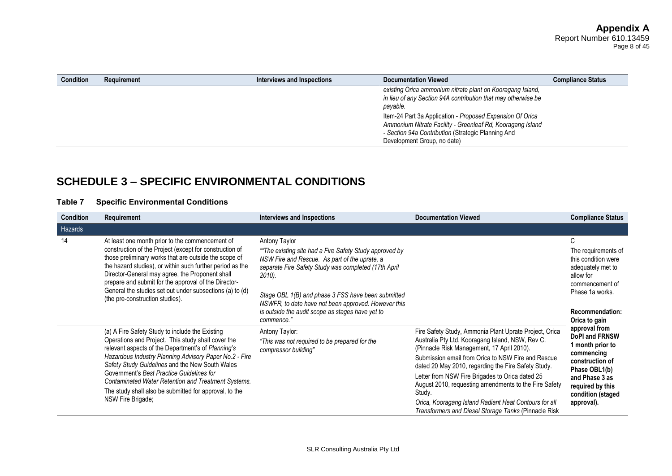| <b>Condition</b>            | Requirement | Interviews and Inspections                                                                                                                                                    | <b>Documentation Viewed</b>                                                                                                             | <b>Compliance Status</b> |
|-----------------------------|-------------|-------------------------------------------------------------------------------------------------------------------------------------------------------------------------------|-----------------------------------------------------------------------------------------------------------------------------------------|--------------------------|
|                             |             |                                                                                                                                                                               | existing Orica ammonium nitrate plant on Kooragang Island,<br>in lieu of any Section 94A contribution that may otherwise be<br>payable. |                          |
| Development Group, no date) |             | Item-24 Part 3a Application - Proposed Expansion Of Orica<br>Ammonium Nitrate Facility - Greenleaf Rd, Kooragang Island<br>- Section 94a Contribution (Strategic Planning And |                                                                                                                                         |                          |

# **SCHEDULE 3 – SPECIFIC ENVIRONMENTAL CONDITIONS**

### **Table 7 Specific Environmental Conditions**

| <b>Condition</b> | Requirement                                                                                                                                                                                                                                                                                                                                                                                                                                                        | <b>Interviews and Inspections</b>                                                                                                                                                                                                                                                                                                                                         | <b>Documentation Viewed</b>                                                                                                                                                                                                                                                                                                                                                                                                                                                                                         | <b>Compliance Status</b>                                                                                                                                                                                                                                                                                                                                    |
|------------------|--------------------------------------------------------------------------------------------------------------------------------------------------------------------------------------------------------------------------------------------------------------------------------------------------------------------------------------------------------------------------------------------------------------------------------------------------------------------|---------------------------------------------------------------------------------------------------------------------------------------------------------------------------------------------------------------------------------------------------------------------------------------------------------------------------------------------------------------------------|---------------------------------------------------------------------------------------------------------------------------------------------------------------------------------------------------------------------------------------------------------------------------------------------------------------------------------------------------------------------------------------------------------------------------------------------------------------------------------------------------------------------|-------------------------------------------------------------------------------------------------------------------------------------------------------------------------------------------------------------------------------------------------------------------------------------------------------------------------------------------------------------|
| Hazards          |                                                                                                                                                                                                                                                                                                                                                                                                                                                                    |                                                                                                                                                                                                                                                                                                                                                                           |                                                                                                                                                                                                                                                                                                                                                                                                                                                                                                                     |                                                                                                                                                                                                                                                                                                                                                             |
| 14               | At least one month prior to the commencement of<br>construction of the Project (except for construction of<br>those preliminary works that are outside the scope of<br>the hazard studies), or within such further period as the<br>Director-General may agree, the Proponent shall<br>prepare and submit for the approval of the Director-<br>General the studies set out under subsections (a) to (d)<br>(the pre-construction studies).                         | Antony Taylor<br>"The existing site had a Fire Safety Study approved by<br>NSW Fire and Rescue. As part of the uprate, a<br>separate Fire Safety Study was completed (17th April<br>2010).<br>Stage OBL 1(B) and phase 3 FSS have been submitted<br>NSWFR, to date have not been approved. However this<br>is outside the audit scope as stages have yet to<br>commence." |                                                                                                                                                                                                                                                                                                                                                                                                                                                                                                                     | C<br>The requirements of<br>this condition were<br>adequately met to<br>allow for<br>commencement of<br>Phase 1a works.<br><b>Recommendation:</b><br>Orica to gain<br>approval from<br><b>DoPI and FRNSW</b><br>1 month prior to<br>commencing<br>construction of<br>Phase OBL1(b)<br>and Phase 3 as<br>required by this<br>condition (staged<br>approval). |
|                  | (a) A Fire Safety Study to include the Existing<br>Operations and Project. This study shall cover the<br>relevant aspects of the Department's of Planning's<br>Hazardous Industry Planning Advisory Paper No.2 - Fire<br>Safety Study Guidelines and the New South Wales<br>Government's Best Practice Guidelines for<br><b>Contaminated Water Retention and Treatment Systems.</b><br>The study shall also be submitted for approval, to the<br>NSW Fire Brigade; | Antony Taylor:<br>"This was not required to be prepared for the<br>compressor building"                                                                                                                                                                                                                                                                                   | Fire Safety Study, Ammonia Plant Uprate Project, Orica<br>Australia Pty Ltd, Kooragang Island, NSW, Rev C.<br>(Pinnacle Risk Management, 17 April 2010).<br>Submission email from Orica to NSW Fire and Rescue<br>dated 20 May 2010, regarding the Fire Safety Study.<br>Letter from NSW Fire Brigades to Orica dated 25<br>August 2010, requesting amendments to the Fire Safety<br>Study.<br>Orica, Kooragang Island Radiant Heat Contours for all<br><b>Transformers and Diesel Storage Tanks (Pinnacle Risk</b> |                                                                                                                                                                                                                                                                                                                                                             |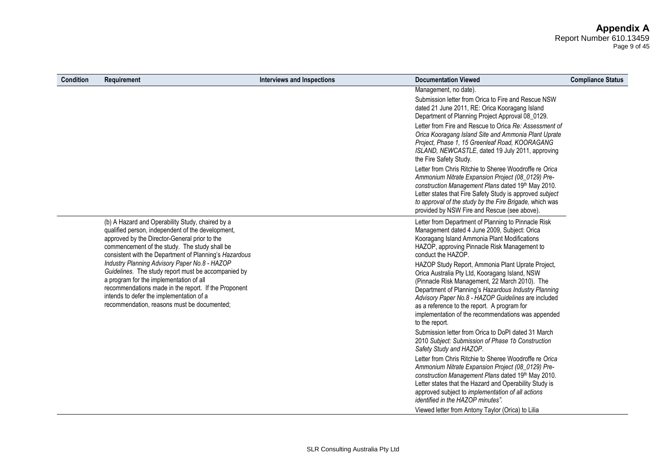# **Appendix A**

Report Number 610.13459 Page 9 of 45

| <b>Condition</b> | Requirement                                                                                                                                                                                                                                                                                        | <b>Interviews and Inspections</b> | <b>Documentation Viewed</b>                                                                                                                                                                                                                                                                                                                                                                                                          | <b>Compliance Status</b> |
|------------------|----------------------------------------------------------------------------------------------------------------------------------------------------------------------------------------------------------------------------------------------------------------------------------------------------|-----------------------------------|--------------------------------------------------------------------------------------------------------------------------------------------------------------------------------------------------------------------------------------------------------------------------------------------------------------------------------------------------------------------------------------------------------------------------------------|--------------------------|
|                  |                                                                                                                                                                                                                                                                                                    |                                   | Management, no date).<br>Submission letter from Orica to Fire and Rescue NSW<br>dated 21 June 2011, RE: Orica Kooragang Island<br>Department of Planning Project Approval 08_0129.<br>Letter from Fire and Rescue to Orica Re: Assessment of<br>Orica Kooragang Island Site and Ammonia Plant Uprate<br>Project, Phase 1, 15 Greenleaf Road, KOORAGANG<br>ISLAND, NEWCASTLE, dated 19 July 2011, approving<br>the Fire Safety Study. |                          |
|                  |                                                                                                                                                                                                                                                                                                    |                                   | Letter from Chris Ritchie to Sheree Woodroffe re Orica<br>Ammonium Nitrate Expansion Project (08_0129) Pre-<br>construction Management Plans dated 19th May 2010.<br>Letter states that Fire Safety Study is approved subject<br>to approval of the study by the Fire Brigade, which was<br>provided by NSW Fire and Rescue (see above).                                                                                             |                          |
|                  | (b) A Hazard and Operability Study, chaired by a<br>qualified person, independent of the development,<br>approved by the Director-General prior to the<br>commencement of the study. The study shall be<br>consistent with the Department of Planning's Hazardous                                  |                                   | Letter from Department of Planning to Pinnacle Risk<br>Management dated 4 June 2009, Subject: Orica<br>Kooragang Island Ammonia Plant Modifications<br>HAZOP, approving Pinnacle Risk Management to<br>conduct the HAZOP.                                                                                                                                                                                                            |                          |
|                  | Industry Planning Advisory Paper No.8 - HAZOP<br>Guidelines. The study report must be accompanied by<br>a program for the implementation of all<br>recommendations made in the report. If the Proponent<br>intends to defer the implementation of a<br>recommendation, reasons must be documented; |                                   | HAZOP Study Report, Ammonia Plant Uprate Project,<br>Orica Australia Pty Ltd, Kooragang Island, NSW<br>(Pinnacle Risk Management, 22 March 2010). The<br>Department of Planning's Hazardous Industry Planning<br>Advisory Paper No.8 - HAZOP Guidelines are included<br>as a reference to the report. A program for<br>implementation of the recommendations was appended<br>to the report.                                          |                          |
|                  |                                                                                                                                                                                                                                                                                                    |                                   | Submission letter from Orica to DoPI dated 31 March<br>2010 Subject: Submission of Phase 1b Construction<br>Safety Study and HAZOP.                                                                                                                                                                                                                                                                                                  |                          |
|                  |                                                                                                                                                                                                                                                                                                    |                                   | Letter from Chris Ritchie to Sheree Woodroffe re Orica<br>Ammonium Nitrate Expansion Project (08_0129) Pre-<br>construction Management Plans dated 19th May 2010.<br>Letter states that the Hazard and Operability Study is<br>approved subject to implementation of all actions<br><i>identified in the HAZOP minutes".</i>                                                                                                         |                          |
|                  |                                                                                                                                                                                                                                                                                                    |                                   | Viewed letter from Antony Taylor (Orica) to Lilia                                                                                                                                                                                                                                                                                                                                                                                    |                          |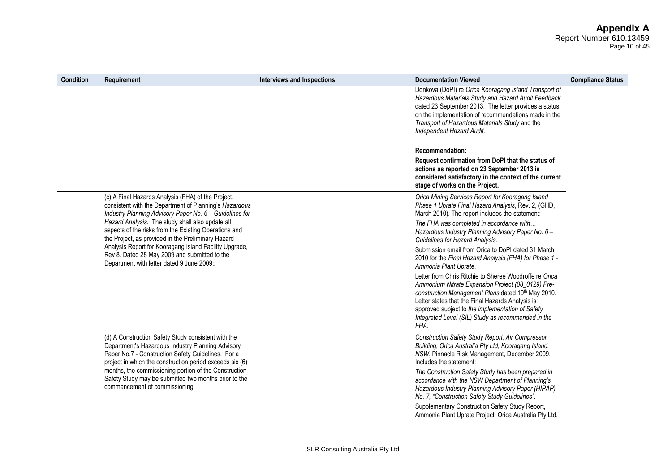# **Appendix A**

Report Number 610.13459 Page 10 of 45

| <b>Condition</b> | <b>Requirement</b>                                                                                                                                                                                                                                                                                                                         | <b>Interviews and Inspections</b> | <b>Documentation Viewed</b>                                                                                                                                                                                                                                                                                                             | <b>Compliance Status</b> |
|------------------|--------------------------------------------------------------------------------------------------------------------------------------------------------------------------------------------------------------------------------------------------------------------------------------------------------------------------------------------|-----------------------------------|-----------------------------------------------------------------------------------------------------------------------------------------------------------------------------------------------------------------------------------------------------------------------------------------------------------------------------------------|--------------------------|
|                  |                                                                                                                                                                                                                                                                                                                                            |                                   | Donkova (DoPI) re Orica Kooragang Island Transport of<br>Hazardous Materials Study and Hazard Audit Feedback<br>dated 23 September 2013. The letter provides a status<br>on the implementation of recommendations made in the<br>Transport of Hazardous Materials Study and the<br>Independent Hazard Audit.                            |                          |
|                  |                                                                                                                                                                                                                                                                                                                                            |                                   | <b>Recommendation:</b><br>Request confirmation from DoPI that the status of<br>actions as reported on 23 September 2013 is<br>considered satisfactory in the context of the current<br>stage of works on the Project.                                                                                                                   |                          |
|                  | (c) A Final Hazards Analysis (FHA) of the Project,<br>consistent with the Department of Planning's Hazardous<br>Industry Planning Advisory Paper No. 6 - Guidelines for<br>Hazard Analysis. The study shall also update all<br>aspects of the risks from the Existing Operations and<br>the Project, as provided in the Preliminary Hazard |                                   | Orica Mining Services Report for Kooragang Island<br>Phase 1 Uprate Final Hazard Analysis, Rev. 2, (GHD,<br>March 2010). The report includes the statement:<br>The FHA was completed in accordance with<br>Hazardous Industry Planning Advisory Paper No. 6 -                                                                           |                          |
|                  | Analysis Report for Kooragang Island Facility Upgrade,<br>Rev 8, Dated 28 May 2009 and submitted to the<br>Department with letter dated 9 June 2009;.                                                                                                                                                                                      |                                   | Guidelines for Hazard Analysis.<br>Submission email from Orica to DoPI dated 31 March<br>2010 for the Final Hazard Analysis (FHA) for Phase 1 -<br>Ammonia Plant Uprate.                                                                                                                                                                |                          |
|                  |                                                                                                                                                                                                                                                                                                                                            |                                   | Letter from Chris Ritchie to Sheree Woodroffe re Orica<br>Ammonium Nitrate Expansion Project (08_0129) Pre-<br>construction Management Plans dated 19th May 2010.<br>Letter states that the Final Hazards Analysis is<br>approved subject to the implementation of Safety<br>Integrated Level (SIL) Study as recommended in the<br>FHA. |                          |
|                  | (d) A Construction Safety Study consistent with the<br>Department's Hazardous Industry Planning Advisory<br>Paper No.7 - Construction Safety Guidelines. For a<br>project in which the construction period exceeds six (6)                                                                                                                 |                                   | Construction Safety Study Report, Air Compressor<br>Building, Orica Australia Pty Ltd, Kooragang Island,<br>NSW, Pinnacle Risk Management, December 2009.<br>Includes the statement:                                                                                                                                                    |                          |
|                  | months, the commissioning portion of the Construction<br>Safety Study may be submitted two months prior to the<br>commencement of commissioning.                                                                                                                                                                                           |                                   | The Construction Safety Study has been prepared in<br>accordance with the NSW Department of Planning's<br>Hazardous Industry Planning Advisory Paper (HIPAP)<br>No. 7, "Construction Safety Study Guidelines".                                                                                                                          |                          |
|                  |                                                                                                                                                                                                                                                                                                                                            |                                   | Supplementary Construction Safety Study Report,<br>Ammonia Plant Uprate Project, Orica Australia Pty Ltd,                                                                                                                                                                                                                               |                          |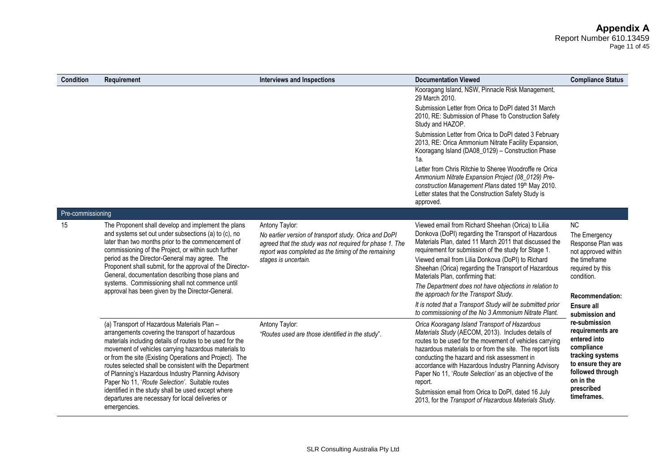#### **Appendix A** Report Number 610.13459 Page 11 of 45

| Condition         | Requirement                                                                                                                                                                                                                                                                                                                                                                                                                                                                                                                                                                  | <b>Interviews and Inspections</b>                                                                                                                                                                                 | <b>Documentation Viewed</b>                                                                                                                                                                                                                                                                                                                                                                                                                                                                                                                                                                           | <b>Compliance Status</b>                                                                                                                                                     |
|-------------------|------------------------------------------------------------------------------------------------------------------------------------------------------------------------------------------------------------------------------------------------------------------------------------------------------------------------------------------------------------------------------------------------------------------------------------------------------------------------------------------------------------------------------------------------------------------------------|-------------------------------------------------------------------------------------------------------------------------------------------------------------------------------------------------------------------|-------------------------------------------------------------------------------------------------------------------------------------------------------------------------------------------------------------------------------------------------------------------------------------------------------------------------------------------------------------------------------------------------------------------------------------------------------------------------------------------------------------------------------------------------------------------------------------------------------|------------------------------------------------------------------------------------------------------------------------------------------------------------------------------|
|                   |                                                                                                                                                                                                                                                                                                                                                                                                                                                                                                                                                                              |                                                                                                                                                                                                                   | Kooragang Island, NSW, Pinnacle Risk Management,<br>29 March 2010.                                                                                                                                                                                                                                                                                                                                                                                                                                                                                                                                    |                                                                                                                                                                              |
|                   |                                                                                                                                                                                                                                                                                                                                                                                                                                                                                                                                                                              |                                                                                                                                                                                                                   | Submission Letter from Orica to DoPI dated 31 March<br>2010, RE: Submission of Phase 1b Construction Safety<br>Study and HAZOP.                                                                                                                                                                                                                                                                                                                                                                                                                                                                       |                                                                                                                                                                              |
|                   |                                                                                                                                                                                                                                                                                                                                                                                                                                                                                                                                                                              |                                                                                                                                                                                                                   | Submission Letter from Orica to DoPI dated 3 February<br>2013, RE: Orica Ammonium Nitrate Facility Expansion,<br>Kooragang Island (DA08_0129) - Construction Phase<br>1а.                                                                                                                                                                                                                                                                                                                                                                                                                             |                                                                                                                                                                              |
|                   |                                                                                                                                                                                                                                                                                                                                                                                                                                                                                                                                                                              |                                                                                                                                                                                                                   | Letter from Chris Ritchie to Sheree Woodroffe re Orica<br>Ammonium Nitrate Expansion Project (08_0129) Pre-<br>construction Management Plans dated 19th May 2010.<br>Letter states that the Construction Safety Study is<br>approved.                                                                                                                                                                                                                                                                                                                                                                 |                                                                                                                                                                              |
| Pre-commissioning |                                                                                                                                                                                                                                                                                                                                                                                                                                                                                                                                                                              |                                                                                                                                                                                                                   |                                                                                                                                                                                                                                                                                                                                                                                                                                                                                                                                                                                                       |                                                                                                                                                                              |
| 15                | The Proponent shall develop and implement the plans<br>and systems set out under subsections (a) to (c), no<br>later than two months prior to the commencement of<br>commissioning of the Project, or within such further<br>period as the Director-General may agree. The<br>Proponent shall submit, for the approval of the Director-<br>General, documentation describing those plans and<br>systems. Commissioning shall not commence until<br>approval has been given by the Director-General.                                                                          | Antony Taylor:<br>No earlier version of transport study. Orica and DoPI<br>agreed that the study was not required for phase 1. The<br>report was completed as the timing of the remaining<br>stages is uncertain. | Viewed email from Richard Sheehan (Orica) to Lilia<br>Donkova (DoPI) regarding the Transport of Hazardous<br>Materials Plan, dated 11 March 2011 that discussed the<br>requirement for submission of the study for Stage 1.<br>Viewed email from Lilia Donkova (DoPI) to Richard<br>Sheehan (Orica) regarding the Transport of Hazardous<br>Materials Plan, confirming that:<br>The Department does not have objections in relation to<br>the approach for the Transport Study.<br>It is noted that a Transport Study will be submitted prior<br>to commissioning of the No 3 Ammonium Nitrate Plant. | NC<br>The Emergency<br>Response Plan was<br>not approved within<br>the timeframe<br>required by this<br>condition.<br><b>Recommendation:</b><br>Ensure all<br>submission and |
|                   | (a) Transport of Hazardous Materials Plan -<br>arrangements covering the transport of hazardous<br>materials including details of routes to be used for the<br>movement of vehicles carrying hazardous materials to<br>or from the site (Existing Operations and Project). The<br>routes selected shall be consistent with the Department<br>of Planning's Hazardous Industry Planning Advisory<br>Paper No 11, 'Route Selection'. Suitable routes<br>identified in the study shall be used except where<br>departures are necessary for local deliveries or<br>emergencies. | Antony Taylor:<br>"Routes used are those identified in the study".                                                                                                                                                | Orica Kooragang Island Transport of Hazardous<br>Materials Study (AECOM, 2013). Includes details of<br>routes to be used for the movement of vehicles carrying<br>hazardous materials to or from the site. The report lists<br>conducting the hazard and risk assessment in<br>accordance with Hazardous Industry Planning Advisory<br>Paper No 11, 'Route Selection' as an objective of the<br>report.<br>Submission email from Orica to DoPI, dated 16 July<br>2013, for the Transport of Hazardous Materials Study.                                                                                | re-submission<br>requirements are<br>entered into<br>compliance<br>tracking systems<br>to ensure they are<br>followed through<br>on in the<br>prescribed<br>timeframes.      |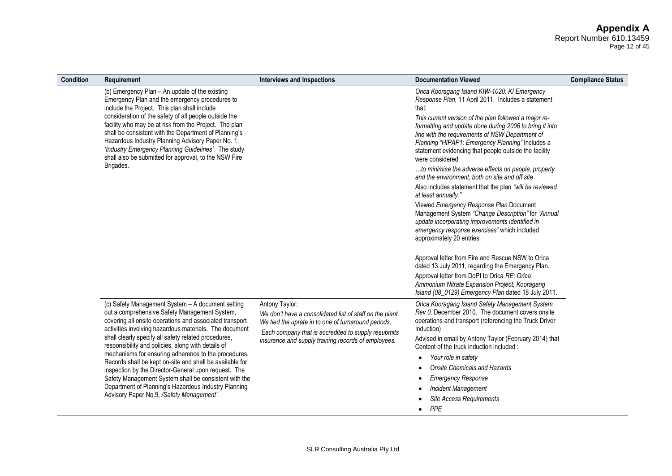Page 12 of 45

| <b>Condition</b> | Requirement                                                                                                                                                                                                                                                                                                                                     | <b>Interviews and Inspections</b>                                                                                                                                                        | <b>Documentation Viewed</b>                                                                                                                                                                                                                                                                          | <b>Compliance Status</b> |
|------------------|-------------------------------------------------------------------------------------------------------------------------------------------------------------------------------------------------------------------------------------------------------------------------------------------------------------------------------------------------|------------------------------------------------------------------------------------------------------------------------------------------------------------------------------------------|------------------------------------------------------------------------------------------------------------------------------------------------------------------------------------------------------------------------------------------------------------------------------------------------------|--------------------------|
|                  | (b) Emergency Plan - An update of the existing<br>Emergency Plan and the emergency procedures to<br>include the Project. This plan shall include                                                                                                                                                                                                |                                                                                                                                                                                          | Orica Kooragang Island KIW-1020: KI Emergency<br>Response Plan, 11 April 2011. Includes a statement<br>that:                                                                                                                                                                                         |                          |
|                  | consideration of the safety of all people outside the<br>facility who may be at risk from the Project. The plan<br>shall be consistent with the Department of Planning's<br>Hazardous Industry Planning Advisory Paper No. 1,<br>'Industry Emergency Planning Guidelines'. The study<br>shall also be submitted for approval, to the NSW Fire   |                                                                                                                                                                                          | This current version of the plan followed a major re-<br>formatting and update done during 2006 to bring it into<br>line with the requirements of NSW Department of<br>Planning "HIPAP1: Emergency Planning" Includes a<br>statement evidencing that people outside the facility<br>were considered: |                          |
|                  | Brigades.                                                                                                                                                                                                                                                                                                                                       |                                                                                                                                                                                          | to minimise the adverse effects on people, property<br>and the environment, both on site and off site                                                                                                                                                                                                |                          |
|                  |                                                                                                                                                                                                                                                                                                                                                 |                                                                                                                                                                                          | Also includes statement that the plan "will be reviewed<br>at least annually."                                                                                                                                                                                                                       |                          |
|                  |                                                                                                                                                                                                                                                                                                                                                 |                                                                                                                                                                                          | Viewed Emergency Response Plan Document<br>Management System "Change Description" for "Annual<br>update incorporating improvements identified in<br>emergency response exercises" which included<br>approximately 20 entries.                                                                        |                          |
|                  |                                                                                                                                                                                                                                                                                                                                                 |                                                                                                                                                                                          | Approval letter from Fire and Rescue NSW to Orica<br>dated 13 July 2011, regarding the Emergency Plan.                                                                                                                                                                                               |                          |
|                  |                                                                                                                                                                                                                                                                                                                                                 |                                                                                                                                                                                          | Approval letter from DoPI to Orica RE: Orica<br>Ammonium Nitrate Expansion Project, Kooragang<br>Island (08_0129) Emergency Plan dated 18 July 2011.                                                                                                                                                 |                          |
|                  | (c) Safety Management System - A document setting<br>out a comprehensive Safety Management System,<br>covering all onsite operations and associated transport<br>activities involving hazardous materials. The document                                                                                                                         | Antony Taylor:<br>We don't have a consolidated list of staff on the plant.<br>We tied the uprate in to one of turnaround periods.<br>Each company that is accredited to supply resubmits | Orica Kooragang Island Safety Management System<br>Rev 0. December 2010. The document covers onsite<br>operations and transport (referencing the Truck Driver<br>Induction)                                                                                                                          |                          |
|                  | shall clearly specify all safety related procedures,<br>responsibility and policies, along with details of<br>mechanisms for ensuring adherence to the procedures.<br>Records shall be kept on-site and shall be available for<br>inspection by the Director-General upon request. The<br>Safety Management System shall be consistent with the | insurance and supply training records of employees.                                                                                                                                      | Advised in email by Antony Taylor (February 2014) that<br>Content of the truck induction included:                                                                                                                                                                                                   |                          |
|                  |                                                                                                                                                                                                                                                                                                                                                 |                                                                                                                                                                                          | Your role in safety<br>$\bullet$<br><b>Onsite Chemicals and Hazards</b>                                                                                                                                                                                                                              |                          |
|                  |                                                                                                                                                                                                                                                                                                                                                 |                                                                                                                                                                                          | <b>Emergency Response</b>                                                                                                                                                                                                                                                                            |                          |
|                  | Department of Planning's Hazardous Industry Planning                                                                                                                                                                                                                                                                                            |                                                                                                                                                                                          | <b>Incident Management</b>                                                                                                                                                                                                                                                                           |                          |
|                  | Advisory Paper No.9, /Safety Management'.                                                                                                                                                                                                                                                                                                       |                                                                                                                                                                                          | <b>Site Access Requirements</b>                                                                                                                                                                                                                                                                      |                          |
|                  |                                                                                                                                                                                                                                                                                                                                                 |                                                                                                                                                                                          | PPE                                                                                                                                                                                                                                                                                                  |                          |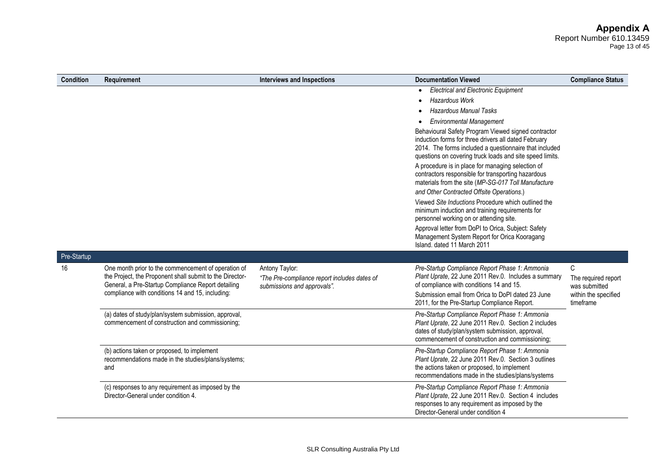#### **Appendix A** Report Number 610.13459 Page 13 of 45

| <b>Condition</b> | Requirement                                                                                                                                                                                                               | <b>Interviews and Inspections</b>                                                             | <b>Documentation Viewed</b>                                                                                                                                                                                                                                                            | <b>Compliance Status</b>                  |
|------------------|---------------------------------------------------------------------------------------------------------------------------------------------------------------------------------------------------------------------------|-----------------------------------------------------------------------------------------------|----------------------------------------------------------------------------------------------------------------------------------------------------------------------------------------------------------------------------------------------------------------------------------------|-------------------------------------------|
|                  |                                                                                                                                                                                                                           |                                                                                               | <b>Electrical and Electronic Equipment</b><br>$\bullet$<br><b>Hazardous Work</b><br>$\bullet$                                                                                                                                                                                          |                                           |
|                  |                                                                                                                                                                                                                           |                                                                                               | <b>Hazardous Manual Tasks</b><br>$\bullet$                                                                                                                                                                                                                                             |                                           |
|                  |                                                                                                                                                                                                                           |                                                                                               | <b>Environmental Management</b><br>$\bullet$                                                                                                                                                                                                                                           |                                           |
|                  |                                                                                                                                                                                                                           |                                                                                               | Behavioural Safety Program Viewed signed contractor<br>induction forms for three drivers all dated February<br>2014. The forms included a questionnaire that included<br>questions on covering truck loads and site speed limits.<br>A procedure is in place for managing selection of |                                           |
|                  |                                                                                                                                                                                                                           |                                                                                               | contractors responsible for transporting hazardous<br>materials from the site (MP-SG-017 Toll Manufacture                                                                                                                                                                              |                                           |
|                  |                                                                                                                                                                                                                           |                                                                                               | and Other Contracted Offsite Operations.)                                                                                                                                                                                                                                              |                                           |
|                  |                                                                                                                                                                                                                           |                                                                                               | Viewed Site Inductions Procedure which outlined the<br>minimum induction and training requirements for<br>personnel working on or attending site.                                                                                                                                      |                                           |
|                  |                                                                                                                                                                                                                           |                                                                                               | Approval letter from DoPI to Orica, Subject: Safety<br>Management System Report for Orica Kooragang<br>Island, dated 11 March 2011                                                                                                                                                     |                                           |
| Pre-Startup      |                                                                                                                                                                                                                           |                                                                                               |                                                                                                                                                                                                                                                                                        |                                           |
| 16               | One month prior to the commencement of operation of<br>the Project, the Proponent shall submit to the Director-<br>General, a Pre-Startup Compliance Report detailing<br>compliance with conditions 14 and 15, including: | Antony Taylor:<br>"The Pre-compliance report includes dates of<br>submissions and approvals". | Pre-Startup Compliance Report Phase 1: Ammonia<br>Plant Uprate, 22 June 2011 Rev.0. Includes a summary<br>of compliance with conditions 14 and 15.                                                                                                                                     | C<br>The required report<br>was submitted |
|                  |                                                                                                                                                                                                                           |                                                                                               | Submission email from Orica to DoPI dated 23 June<br>2011, for the Pre-Startup Compliance Report.                                                                                                                                                                                      | within the specified<br>timeframe         |
|                  | (a) dates of study/plan/system submission, approval,<br>commencement of construction and commissioning;                                                                                                                   |                                                                                               | Pre-Startup Compliance Report Phase 1: Ammonia<br>Plant Uprate, 22 June 2011 Rev.0. Section 2 includes<br>dates of study/plan/system submission, approval,<br>commencement of construction and commissioning;                                                                          |                                           |
|                  | (b) actions taken or proposed, to implement<br>recommendations made in the studies/plans/systems;<br>and                                                                                                                  |                                                                                               | Pre-Startup Compliance Report Phase 1: Ammonia<br>Plant Uprate, 22 June 2011 Rev.0. Section 3 outlines<br>the actions taken or proposed, to implement<br>recommendations made in the studies/plans/systems                                                                             |                                           |
|                  | (c) responses to any requirement as imposed by the<br>Director-General under condition 4.                                                                                                                                 |                                                                                               | Pre-Startup Compliance Report Phase 1: Ammonia<br>Plant Uprate, 22 June 2011 Rev.0. Section 4 includes<br>responses to any requirement as imposed by the<br>Director-General under condition 4                                                                                         |                                           |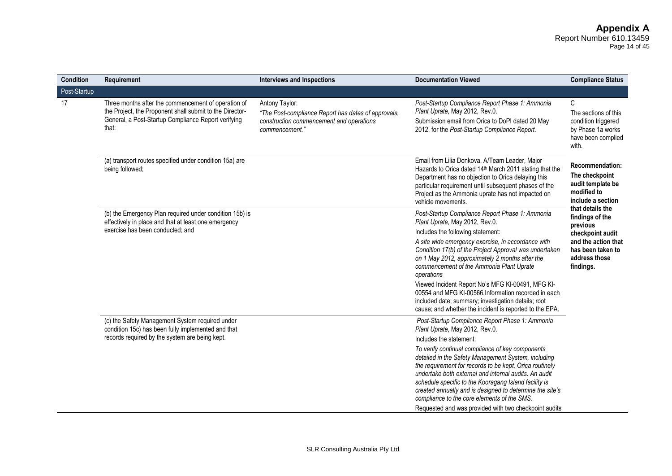# **Appendix A**

Report Number 610.13459 Page 14 of 45

| Condition    | Requirement                                                                                                                                                                     | <b>Interviews and Inspections</b>                                                                                                   | <b>Documentation Viewed</b>                                                                                                                                                                                                                                                                                                                                                                                                                              | <b>Compliance Status</b>                                                                                        |
|--------------|---------------------------------------------------------------------------------------------------------------------------------------------------------------------------------|-------------------------------------------------------------------------------------------------------------------------------------|----------------------------------------------------------------------------------------------------------------------------------------------------------------------------------------------------------------------------------------------------------------------------------------------------------------------------------------------------------------------------------------------------------------------------------------------------------|-----------------------------------------------------------------------------------------------------------------|
| Post-Startup |                                                                                                                                                                                 |                                                                                                                                     |                                                                                                                                                                                                                                                                                                                                                                                                                                                          |                                                                                                                 |
| 17           | Three months after the commencement of operation of<br>the Project, the Proponent shall submit to the Director-<br>General, a Post-Startup Compliance Report verifying<br>that: | Antony Taylor:<br>"The Post-compliance Report has dates of approvals,<br>construction commencement and operations<br>commencement." | Post-Startup Compliance Report Phase 1: Ammonia<br>Plant Uprate, May 2012, Rev.0.<br>Submission email from Orica to DoPI dated 20 May<br>2012, for the Post-Startup Compliance Report.                                                                                                                                                                                                                                                                   | $\mathsf{C}$<br>The sections of this<br>condition triggered<br>by Phase 1a works<br>have been complied<br>with. |
|              | (a) transport routes specified under condition 15a) are<br>being followed;                                                                                                      |                                                                                                                                     | Email from Lilia Donkova, A/Team Leader, Major<br>Hazards to Orica dated 14th March 2011 stating that the<br>Department has no objection to Orica delaying this<br>particular requirement until subsequent phases of the<br>Project as the Ammonia uprate has not impacted on<br>vehicle movements.                                                                                                                                                      | <b>Recommendation:</b><br>The checkpoint<br>audit template be<br>modified to<br>include a section               |
|              | (b) the Emergency Plan required under condition 15b) is<br>effectively in place and that at least one emergency<br>exercise has been conducted; and                             |                                                                                                                                     | Post-Startup Compliance Report Phase 1: Ammonia<br>Plant Uprate, May 2012, Rev.0.                                                                                                                                                                                                                                                                                                                                                                        | that details the<br>findings of the<br>previous                                                                 |
|              |                                                                                                                                                                                 |                                                                                                                                     | Includes the following statement:                                                                                                                                                                                                                                                                                                                                                                                                                        | checkpoint audit                                                                                                |
|              |                                                                                                                                                                                 |                                                                                                                                     | A site wide emergency exercise, in accordance with<br>Condition 17(b) of the Project Approval was undertaken<br>on 1 May 2012, approximately 2 months after the<br>commencement of the Ammonia Plant Uprate<br>operations                                                                                                                                                                                                                                | and the action that<br>has been taken to<br>address those<br>findings.                                          |
|              |                                                                                                                                                                                 |                                                                                                                                     | Viewed Incident Report No's MFG KI-00491, MFG KI-<br>00554 and MFG KI-00566. Information recorded in each<br>included date; summary; investigation details; root<br>cause; and whether the incident is reported to the EPA.                                                                                                                                                                                                                              |                                                                                                                 |
|              | (c) the Safety Management System required under<br>condition 15c) has been fully implemented and that                                                                           |                                                                                                                                     | Post-Startup Compliance Report Phase 1: Ammonia<br>Plant Uprate, May 2012, Rev.0.                                                                                                                                                                                                                                                                                                                                                                        |                                                                                                                 |
|              | records required by the system are being kept.                                                                                                                                  |                                                                                                                                     | Includes the statement:                                                                                                                                                                                                                                                                                                                                                                                                                                  |                                                                                                                 |
|              |                                                                                                                                                                                 |                                                                                                                                     | To verify continual compliance of key components<br>detailed in the Safety Management System, including<br>the requirement for records to be kept, Orica routinely<br>undertake both external and internal audits. An audit<br>schedule specific to the Kooragang Island facility is<br>created annually and is designed to determine the site's<br>compliance to the core elements of the SMS.<br>Requested and was provided with two checkpoint audits |                                                                                                                 |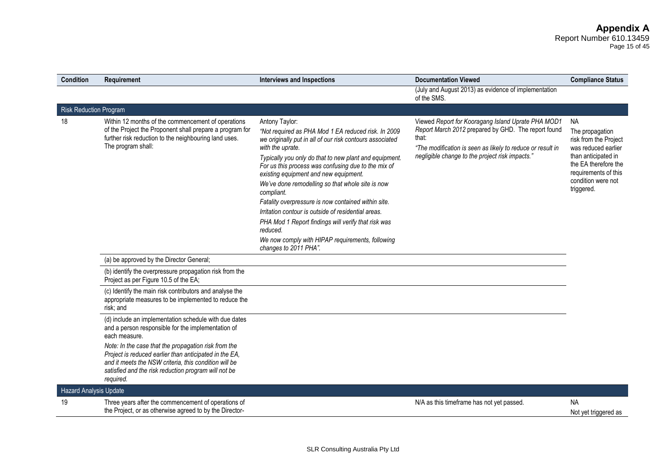#### **Appendix A** Report Number 610.13459 Page 15 of 45

| <b>Condition</b>              | Requirement                                                                                                                                                                                                                                  | <b>Interviews and Inspections</b>                                                                                                                                                                                                                                                                                                                                                                                                                                                                                                                                                                                                               | <b>Documentation Viewed</b>                                                                                                                                                                                                         | <b>Compliance Status</b>                                                                                                                                                                |
|-------------------------------|----------------------------------------------------------------------------------------------------------------------------------------------------------------------------------------------------------------------------------------------|-------------------------------------------------------------------------------------------------------------------------------------------------------------------------------------------------------------------------------------------------------------------------------------------------------------------------------------------------------------------------------------------------------------------------------------------------------------------------------------------------------------------------------------------------------------------------------------------------------------------------------------------------|-------------------------------------------------------------------------------------------------------------------------------------------------------------------------------------------------------------------------------------|-----------------------------------------------------------------------------------------------------------------------------------------------------------------------------------------|
|                               |                                                                                                                                                                                                                                              |                                                                                                                                                                                                                                                                                                                                                                                                                                                                                                                                                                                                                                                 | (July and August 2013) as evidence of implementation<br>of the SMS.                                                                                                                                                                 |                                                                                                                                                                                         |
| <b>Risk Reduction Program</b> |                                                                                                                                                                                                                                              |                                                                                                                                                                                                                                                                                                                                                                                                                                                                                                                                                                                                                                                 |                                                                                                                                                                                                                                     |                                                                                                                                                                                         |
| 18                            | Within 12 months of the commencement of operations<br>of the Project the Proponent shall prepare a program for<br>further risk reduction to the neighbouring land uses.<br>The program shall:                                                | Antony Taylor:<br>"Not required as PHA Mod 1 EA reduced risk. In 2009<br>we originally put in all of our risk contours associated<br>with the uprate.<br>Typically you only do that to new plant and equipment.<br>For us this process was confusing due to the mix of<br>existing equipment and new equipment.<br>We've done remodelling so that whole site is now<br>compliant.<br>Fatality overpressure is now contained within site.<br>Irritation contour is outside of residential areas.<br>PHA Mod 1 Report findings will verify that risk was<br>reduced.<br>We now comply with HIPAP requirements, following<br>changes to 2011 PHA". | Viewed Report for Kooragang Island Uprate PHA MOD1<br>Report March 2012 prepared by GHD. The report found<br>that:<br>"The modification is seen as likely to reduce or result in<br>negligible change to the project risk impacts." | <b>NA</b><br>The propagation<br>risk from the Project<br>was reduced earlier<br>than anticipated in<br>the EA therefore the<br>requirements of this<br>condition were not<br>triggered. |
|                               | (a) be approved by the Director General;                                                                                                                                                                                                     |                                                                                                                                                                                                                                                                                                                                                                                                                                                                                                                                                                                                                                                 |                                                                                                                                                                                                                                     |                                                                                                                                                                                         |
|                               | (b) identify the overpressure propagation risk from the<br>Project as per Figure 10.5 of the EA;                                                                                                                                             |                                                                                                                                                                                                                                                                                                                                                                                                                                                                                                                                                                                                                                                 |                                                                                                                                                                                                                                     |                                                                                                                                                                                         |
|                               | (c) Identify the main risk contributors and analyse the<br>appropriate measures to be implemented to reduce the<br>risk; and                                                                                                                 |                                                                                                                                                                                                                                                                                                                                                                                                                                                                                                                                                                                                                                                 |                                                                                                                                                                                                                                     |                                                                                                                                                                                         |
|                               | (d) include an implementation schedule with due dates<br>and a person responsible for the implementation of<br>each measure.                                                                                                                 |                                                                                                                                                                                                                                                                                                                                                                                                                                                                                                                                                                                                                                                 |                                                                                                                                                                                                                                     |                                                                                                                                                                                         |
|                               | Note: In the case that the propagation risk from the<br>Project is reduced earlier than anticipated in the EA,<br>and it meets the NSW criteria, this condition will be<br>satisfied and the risk reduction program will not be<br>required. |                                                                                                                                                                                                                                                                                                                                                                                                                                                                                                                                                                                                                                                 |                                                                                                                                                                                                                                     |                                                                                                                                                                                         |
| <b>Hazard Analysis Update</b> |                                                                                                                                                                                                                                              |                                                                                                                                                                                                                                                                                                                                                                                                                                                                                                                                                                                                                                                 |                                                                                                                                                                                                                                     |                                                                                                                                                                                         |
| 19                            | Three years after the commencement of operations of<br>the Project, or as otherwise agreed to by the Director-                                                                                                                               |                                                                                                                                                                                                                                                                                                                                                                                                                                                                                                                                                                                                                                                 | N/A as this timeframe has not yet passed.                                                                                                                                                                                           | <b>NA</b><br>Not yet triggered as                                                                                                                                                       |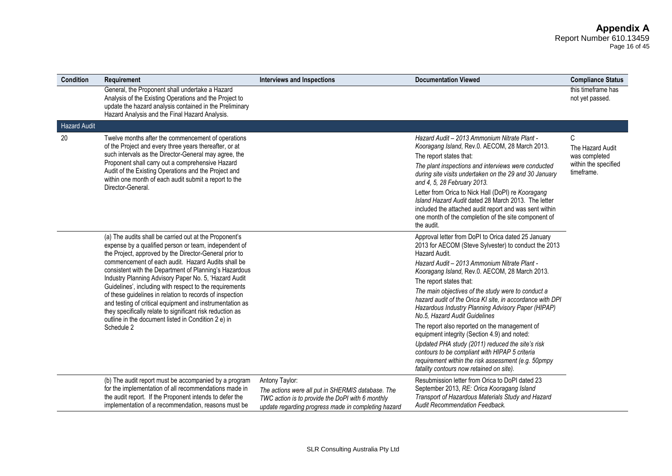#### **Appendix A** Report Number 610.13459 Page 16 of 45

| <b>Condition</b>    | Requirement                                                                                                                                                                                                                                                                                                                                                                                                                                                                                                                                                                                                                                                             | <b>Interviews and Inspections</b>                                                                                                                                              | <b>Documentation Viewed</b>                                                                                                                                                                                                                                                                                                                                                                                                                                                                                                                                                                                                                                                                                                                                                   | <b>Compliance Status</b>                                                     |
|---------------------|-------------------------------------------------------------------------------------------------------------------------------------------------------------------------------------------------------------------------------------------------------------------------------------------------------------------------------------------------------------------------------------------------------------------------------------------------------------------------------------------------------------------------------------------------------------------------------------------------------------------------------------------------------------------------|--------------------------------------------------------------------------------------------------------------------------------------------------------------------------------|-------------------------------------------------------------------------------------------------------------------------------------------------------------------------------------------------------------------------------------------------------------------------------------------------------------------------------------------------------------------------------------------------------------------------------------------------------------------------------------------------------------------------------------------------------------------------------------------------------------------------------------------------------------------------------------------------------------------------------------------------------------------------------|------------------------------------------------------------------------------|
|                     | General, the Proponent shall undertake a Hazard<br>Analysis of the Existing Operations and the Project to<br>update the hazard analysis contained in the Preliminary<br>Hazard Analysis and the Final Hazard Analysis.                                                                                                                                                                                                                                                                                                                                                                                                                                                  |                                                                                                                                                                                |                                                                                                                                                                                                                                                                                                                                                                                                                                                                                                                                                                                                                                                                                                                                                                               | this timeframe has<br>not yet passed.                                        |
| <b>Hazard Audit</b> |                                                                                                                                                                                                                                                                                                                                                                                                                                                                                                                                                                                                                                                                         |                                                                                                                                                                                |                                                                                                                                                                                                                                                                                                                                                                                                                                                                                                                                                                                                                                                                                                                                                                               |                                                                              |
| 20                  | Twelve months after the commencement of operations<br>of the Project and every three years thereafter, or at<br>such intervals as the Director-General may agree, the<br>Proponent shall carry out a comprehensive Hazard<br>Audit of the Existing Operations and the Project and<br>within one month of each audit submit a report to the<br>Director-General.                                                                                                                                                                                                                                                                                                         |                                                                                                                                                                                | Hazard Audit - 2013 Ammonium Nitrate Plant -<br>Kooragang Island, Rev.0. AECOM, 28 March 2013.<br>The report states that:<br>The plant inspections and interviews were conducted<br>during site visits undertaken on the 29 and 30 January<br>and 4, 5, 28 February 2013.<br>Letter from Orica to Nick Hall (DoPI) re Kooragang<br>Island Hazard Audit dated 28 March 2013. The letter<br>included the attached audit report and was sent within<br>one month of the completion of the site component of<br>the audit.                                                                                                                                                                                                                                                        | C<br>The Hazard Audit<br>was completed<br>within the specified<br>timeframe. |
|                     | (a) The audits shall be carried out at the Proponent's<br>expense by a qualified person or team, independent of<br>the Project, approved by the Director-General prior to<br>commencement of each audit. Hazard Audits shall be<br>consistent with the Department of Planning's Hazardous<br>Industry Planning Advisory Paper No. 5, 'Hazard Audit<br>Guidelines', including with respect to the requirements<br>of these guidelines in relation to records of inspection<br>and testing of critical equipment and instrumentation as<br>they specifically relate to significant risk reduction as<br>outline in the document listed in Condition 2 e) in<br>Schedule 2 |                                                                                                                                                                                | Approval letter from DoPI to Orica dated 25 January<br>2013 for AECOM (Steve Sylvester) to conduct the 2013<br>Hazard Audit.<br>Hazard Audit - 2013 Ammonium Nitrate Plant -<br>Kooragang Island, Rev.0. AECOM, 28 March 2013.<br>The report states that:<br>The main objectives of the study were to conduct a<br>hazard audit of the Orica KI site, in accordance with DPI<br>Hazardous Industry Planning Advisory Paper (HIPAP)<br>No.5, Hazard Audit Guidelines<br>The report also reported on the management of<br>equipment integrity (Section 4.9) and noted:<br>Updated PHA study (2011) reduced the site's risk<br>contours to be compliant with HIPAP 5 criteria<br>requirement within the risk assessment (e.g. 50pmpy<br>fatality contours now retained on site). |                                                                              |
|                     | (b) The audit report must be accompanied by a program<br>for the implementation of all recommendations made in<br>the audit report. If the Proponent intends to defer the<br>implementation of a recommendation, reasons must be                                                                                                                                                                                                                                                                                                                                                                                                                                        | Antony Taylor:<br>The actions were all put in SHERMIS database. The<br>TWC action is to provide the DoPI with 6 monthly<br>update regarding progress made in completing hazard | Resubmission letter from Orica to DoPI dated 23<br>September 2013, RE: Orica Kooragang Island<br>Transport of Hazardous Materials Study and Hazard<br><b>Audit Recommendation Feedback.</b>                                                                                                                                                                                                                                                                                                                                                                                                                                                                                                                                                                                   |                                                                              |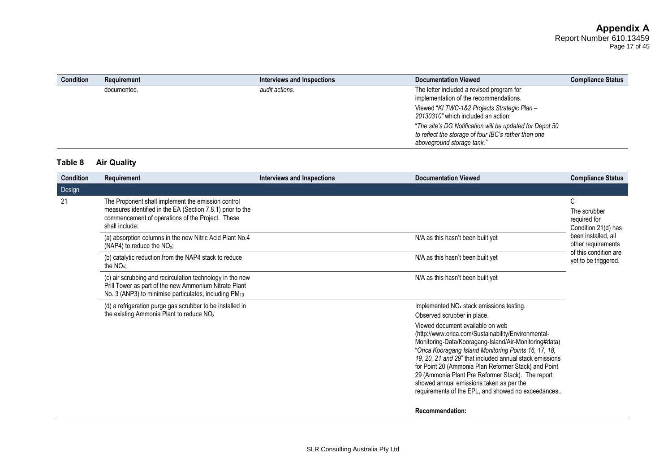| <b>Condition</b> | Requirement | Interviews and Inspections | <b>Documentation Viewed</b>                                                                                                                    | <b>Compliance Status</b> |
|------------------|-------------|----------------------------|------------------------------------------------------------------------------------------------------------------------------------------------|--------------------------|
|                  | documented. | audit actions.             | The letter included a revised program for<br>implementation of the recommendations.                                                            |                          |
|                  |             |                            | Viewed "KI TWC-1&2 Projects Strategic Plan -<br>20130310" which included an action:                                                            |                          |
|                  |             |                            | "The site's DG Notification will be updated for Depot 50<br>to reflect the storage of four IBC's rather than one<br>aboveground storage tank." |                          |

# **Table 8 Air Quality**

| <b>Condition</b> | Requirement                                                                                                                                                                            | <b>Interviews and Inspections</b> | <b>Documentation Viewed</b>                                                                                                                                                                                                                                                                                                                                                                                                                                                         | <b>Compliance Status</b>                                                                                                                               |
|------------------|----------------------------------------------------------------------------------------------------------------------------------------------------------------------------------------|-----------------------------------|-------------------------------------------------------------------------------------------------------------------------------------------------------------------------------------------------------------------------------------------------------------------------------------------------------------------------------------------------------------------------------------------------------------------------------------------------------------------------------------|--------------------------------------------------------------------------------------------------------------------------------------------------------|
| Design           |                                                                                                                                                                                        |                                   |                                                                                                                                                                                                                                                                                                                                                                                                                                                                                     |                                                                                                                                                        |
| 21               | The Proponent shall implement the emission control<br>measures identified in the EA (Section 7.8.1) prior to the<br>commencement of operations of the Project. These<br>shall include: |                                   |                                                                                                                                                                                                                                                                                                                                                                                                                                                                                     | C<br>The scrubber<br>required for<br>Condition 21(d) has<br>been installed, all<br>other requirements<br>of this condition are<br>yet to be triggered. |
|                  | (a) absorption columns in the new Nitric Acid Plant No.4<br>(NAP4) to reduce the $NOx$ ;                                                                                               |                                   | N/A as this hasn't been built yet                                                                                                                                                                                                                                                                                                                                                                                                                                                   |                                                                                                                                                        |
|                  | (b) catalytic reduction from the NAP4 stack to reduce<br>the $NOx$ :                                                                                                                   |                                   | N/A as this hasn't been built yet                                                                                                                                                                                                                                                                                                                                                                                                                                                   |                                                                                                                                                        |
|                  | (c) air scrubbing and recirculation technology in the new<br>Prill Tower as part of the new Ammonium Nitrate Plant<br>No. 3 (ANP3) to minimise particulates, including PM10            |                                   | N/A as this hasn't been built yet                                                                                                                                                                                                                                                                                                                                                                                                                                                   |                                                                                                                                                        |
|                  | (d) a refrigeration purge gas scrubber to be installed in<br>the existing Ammonia Plant to reduce $NOx$                                                                                |                                   | Implemented NO <sub>x</sub> stack emissions testing.<br>Observed scrubber in place.                                                                                                                                                                                                                                                                                                                                                                                                 |                                                                                                                                                        |
|                  |                                                                                                                                                                                        |                                   | Viewed document available on web<br>(http://www.orica.com/Sustainability/Environmental-<br>Monitoring-Data/Kooragang-Island/Air-Monitoring#data)<br>"Orica Kooragang Island Monitoring Points 16, 17, 18,<br>19, 20, 21 and 29" that included annual stack emissions<br>for Point 20 (Ammonia Plan Reformer Stack) and Point<br>29 (Ammonia Plant Pre Reformer Stack). The report<br>showed annual emissions taken as per the<br>requirements of the EPL, and showed no exceedances |                                                                                                                                                        |
|                  |                                                                                                                                                                                        |                                   | <b>Recommendation:</b>                                                                                                                                                                                                                                                                                                                                                                                                                                                              |                                                                                                                                                        |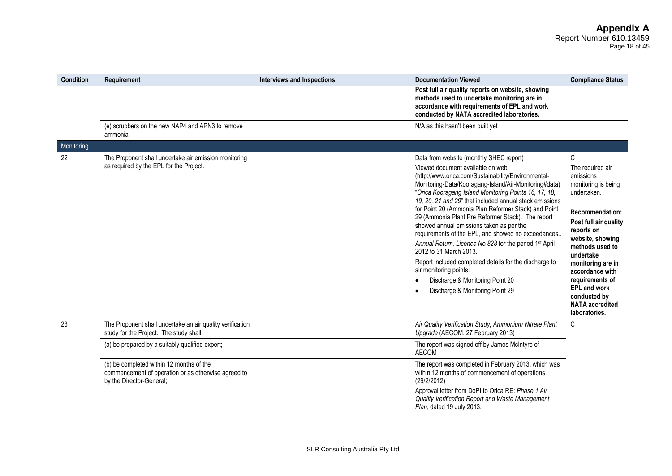# **Appendix A**

Report Number 610.13459 Page 18 of 45

| <b>Condition</b> | Requirement                                                                                                                 | <b>Interviews and Inspections</b> | <b>Documentation Viewed</b>                                                                                                                                                                                                                                                                                                                                                                                                                                                                                                                                                                                                                                                                                                                                                  | <b>Compliance Status</b>                                                                                                                                                                                                                                                                                                                   |
|------------------|-----------------------------------------------------------------------------------------------------------------------------|-----------------------------------|------------------------------------------------------------------------------------------------------------------------------------------------------------------------------------------------------------------------------------------------------------------------------------------------------------------------------------------------------------------------------------------------------------------------------------------------------------------------------------------------------------------------------------------------------------------------------------------------------------------------------------------------------------------------------------------------------------------------------------------------------------------------------|--------------------------------------------------------------------------------------------------------------------------------------------------------------------------------------------------------------------------------------------------------------------------------------------------------------------------------------------|
|                  |                                                                                                                             |                                   | Post full air quality reports on website, showing<br>methods used to undertake monitoring are in<br>accordance with requirements of EPL and work<br>conducted by NATA accredited laboratories.                                                                                                                                                                                                                                                                                                                                                                                                                                                                                                                                                                               |                                                                                                                                                                                                                                                                                                                                            |
|                  | (e) scrubbers on the new NAP4 and APN3 to remove<br>ammonia                                                                 |                                   | N/A as this hasn't been built yet                                                                                                                                                                                                                                                                                                                                                                                                                                                                                                                                                                                                                                                                                                                                            |                                                                                                                                                                                                                                                                                                                                            |
| Monitoring       |                                                                                                                             |                                   |                                                                                                                                                                                                                                                                                                                                                                                                                                                                                                                                                                                                                                                                                                                                                                              |                                                                                                                                                                                                                                                                                                                                            |
| 22               | The Proponent shall undertake air emission monitoring<br>as required by the EPL for the Project.                            |                                   | Data from website (monthly SHEC report)<br>Viewed document available on web<br>(http://www.orica.com/Sustainability/Environmental-<br>Monitoring-Data/Kooragang-Island/Air-Monitoring#data)<br>"Orica Kooragang Island Monitoring Points 16, 17, 18,<br>19, 20, 21 and 29" that included annual stack emissions<br>for Point 20 (Ammonia Plan Reformer Stack) and Point<br>29 (Ammonia Plant Pre Reformer Stack). The report<br>showed annual emissions taken as per the<br>requirements of the EPL, and showed no exceedances<br>Annual Return, Licence No 828 for the period 1st April<br>2012 to 31 March 2013.<br>Report included completed details for the discharge to<br>air monitoring points:<br>Discharge & Monitoring Point 20<br>Discharge & Monitoring Point 29 | C<br>The required air<br>emissions<br>monitoring is being<br>undertaken.<br><b>Recommendation:</b><br>Post full air quality<br>reports on<br>website, showing<br>methods used to<br>undertake<br>monitoring are in<br>accordance with<br>requirements of<br><b>EPL and work</b><br>conducted by<br><b>NATA</b> accredited<br>laboratories. |
| 23               | The Proponent shall undertake an air quality verification<br>study for the Project. The study shall:                        |                                   | Air Quality Verification Study, Ammonium Nitrate Plant<br>Upgrade (AECOM, 27 February 2013)                                                                                                                                                                                                                                                                                                                                                                                                                                                                                                                                                                                                                                                                                  | C                                                                                                                                                                                                                                                                                                                                          |
|                  | (a) be prepared by a suitably qualified expert;                                                                             |                                   | The report was signed off by James McIntyre of<br><b>AECOM</b>                                                                                                                                                                                                                                                                                                                                                                                                                                                                                                                                                                                                                                                                                                               |                                                                                                                                                                                                                                                                                                                                            |
|                  | (b) be completed within 12 months of the<br>commencement of operation or as otherwise agreed to<br>by the Director-General; |                                   | The report was completed in February 2013, which was<br>within 12 months of commencement of operations<br>(29/2/2012)                                                                                                                                                                                                                                                                                                                                                                                                                                                                                                                                                                                                                                                        |                                                                                                                                                                                                                                                                                                                                            |
|                  |                                                                                                                             |                                   | Approval letter from DoPI to Orica RE: Phase 1 Air<br>Quality Verification Report and Waste Management<br>Plan, dated 19 July 2013.                                                                                                                                                                                                                                                                                                                                                                                                                                                                                                                                                                                                                                          |                                                                                                                                                                                                                                                                                                                                            |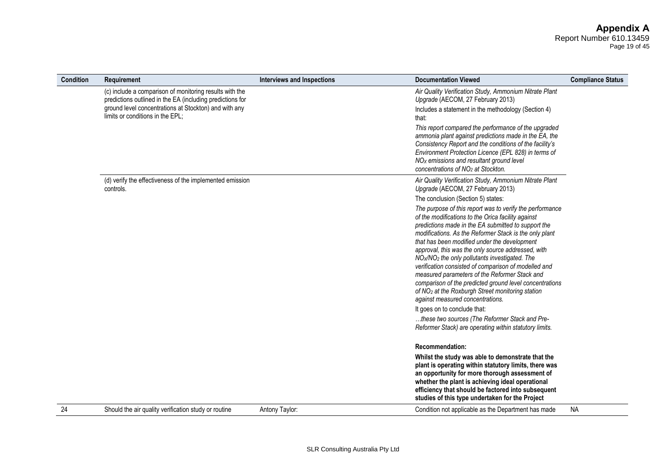Page 19 of 45

| <b>Condition</b> | Requirement                                                                                                          | <b>Interviews and Inspections</b> | <b>Documentation Viewed</b>                                                                                                                                                                                                                                                                                                                                                                                                                                                                                                                                                                                                                                                                                                                                                                                                         | <b>Compliance Status</b> |
|------------------|----------------------------------------------------------------------------------------------------------------------|-----------------------------------|-------------------------------------------------------------------------------------------------------------------------------------------------------------------------------------------------------------------------------------------------------------------------------------------------------------------------------------------------------------------------------------------------------------------------------------------------------------------------------------------------------------------------------------------------------------------------------------------------------------------------------------------------------------------------------------------------------------------------------------------------------------------------------------------------------------------------------------|--------------------------|
|                  | (c) include a comparison of monitoring results with the<br>predictions outlined in the EA (including predictions for |                                   | Air Quality Verification Study, Ammonium Nitrate Plant<br>Upgrade (AECOM, 27 February 2013)                                                                                                                                                                                                                                                                                                                                                                                                                                                                                                                                                                                                                                                                                                                                         |                          |
|                  | ground level concentrations at Stockton) and with any<br>limits or conditions in the EPL;                            |                                   | Includes a statement in the methodology (Section 4)<br>that:                                                                                                                                                                                                                                                                                                                                                                                                                                                                                                                                                                                                                                                                                                                                                                        |                          |
|                  |                                                                                                                      |                                   | This report compared the performance of the upgraded<br>ammonia plant against predictions made in the EA, the<br>Consistency Report and the conditions of the facility's<br>Environment Protection Licence (EPL 828) in terms of<br>NO <sub>x</sub> emissions and resultant ground level<br>concentrations of NO <sub>2</sub> at Stockton.                                                                                                                                                                                                                                                                                                                                                                                                                                                                                          |                          |
|                  | (d) verify the effectiveness of the implemented emission<br>controls.                                                |                                   | Air Quality Verification Study, Ammonium Nitrate Plant<br>Upgrade (AECOM, 27 February 2013)                                                                                                                                                                                                                                                                                                                                                                                                                                                                                                                                                                                                                                                                                                                                         |                          |
|                  |                                                                                                                      |                                   | The conclusion (Section 5) states:                                                                                                                                                                                                                                                                                                                                                                                                                                                                                                                                                                                                                                                                                                                                                                                                  |                          |
|                  |                                                                                                                      |                                   | The purpose of this report was to verify the performance<br>of the modifications to the Orica facility against<br>predictions made in the EA submitted to support the<br>modifications. As the Reformer Stack is the only plant<br>that has been modified under the development<br>approval, this was the only source addressed, with<br>NO <sub>x</sub> /NO <sub>2</sub> the only pollutants investigated. The<br>verification consisted of comparison of modelled and<br>measured parameters of the Reformer Stack and<br>comparison of the predicted ground level concentrations<br>of NO <sub>2</sub> at the Roxburgh Street monitoring station<br>against measured concentrations.<br>It goes on to conclude that:<br>these two sources (The Reformer Stack and Pre-<br>Reformer Stack) are operating within statutory limits. |                          |
|                  |                                                                                                                      |                                   | <b>Recommendation:</b>                                                                                                                                                                                                                                                                                                                                                                                                                                                                                                                                                                                                                                                                                                                                                                                                              |                          |
|                  |                                                                                                                      |                                   | Whilst the study was able to demonstrate that the<br>plant is operating within statutory limits, there was<br>an opportunity for more thorough assessment of<br>whether the plant is achieving ideal operational<br>efficiency that should be factored into subsequent<br>studies of this type undertaken for the Project                                                                                                                                                                                                                                                                                                                                                                                                                                                                                                           |                          |
| 24               | Should the air quality verification study or routine                                                                 | Antony Taylor:                    | Condition not applicable as the Department has made                                                                                                                                                                                                                                                                                                                                                                                                                                                                                                                                                                                                                                                                                                                                                                                 | <b>NA</b>                |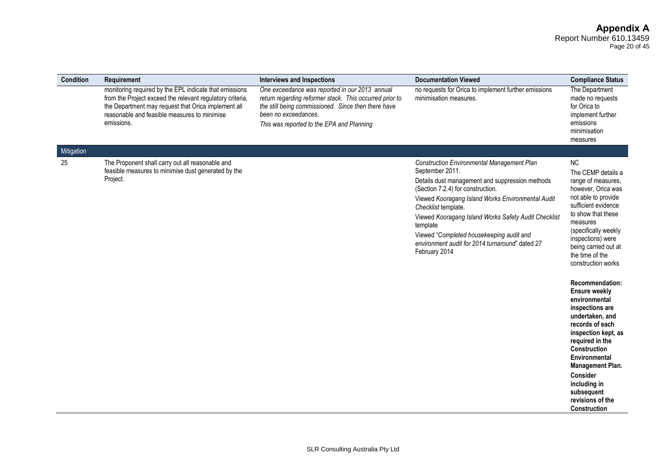Page 20 of 45

| Condition<br>Requirement |                                                                                                                                                                                                                            | <b>Interviews and Inspections</b>                                                                                                                                                                                                     | <b>Documentation Viewed</b>                                                                                                                                                                                                                                                                                                                                                                                                  | <b>Compliance Status</b>                                                                                                                                                                                                                                                                                                                                                                                                                                                                                                                                                           |
|--------------------------|----------------------------------------------------------------------------------------------------------------------------------------------------------------------------------------------------------------------------|---------------------------------------------------------------------------------------------------------------------------------------------------------------------------------------------------------------------------------------|------------------------------------------------------------------------------------------------------------------------------------------------------------------------------------------------------------------------------------------------------------------------------------------------------------------------------------------------------------------------------------------------------------------------------|------------------------------------------------------------------------------------------------------------------------------------------------------------------------------------------------------------------------------------------------------------------------------------------------------------------------------------------------------------------------------------------------------------------------------------------------------------------------------------------------------------------------------------------------------------------------------------|
| emissions.               | monitoring required by the EPL indicate that emissions<br>from the Project exceed the relevant regulatory criteria,<br>the Department may request that Orica implement all<br>reasonable and feasible measures to minimise | One exceedance was reported in our 2013 annual<br>return regarding reformer stack. This occurred prior to<br>the still being commissioned. Since then there have<br>been no exceedances.<br>This was reported to the EPA and Planning | no requests for Orica to implement further emissions<br>minimisation measures.                                                                                                                                                                                                                                                                                                                                               | The Department<br>made no requests<br>for Orica to<br>implement further<br>emissions<br>minimisation<br>measures                                                                                                                                                                                                                                                                                                                                                                                                                                                                   |
| Mitigation               |                                                                                                                                                                                                                            |                                                                                                                                                                                                                                       |                                                                                                                                                                                                                                                                                                                                                                                                                              |                                                                                                                                                                                                                                                                                                                                                                                                                                                                                                                                                                                    |
| 25<br>Project.           | The Proponent shall carry out all reasonable and<br>feasible measures to minimise dust generated by the                                                                                                                    |                                                                                                                                                                                                                                       | <b>Construction Environmental Management Plan</b><br>September 2011.<br>Details dust management and suppression methods<br>(Section 7.2.4) for construction.<br>Viewed Kooragang Island Works Environmental Audit<br>Checklist template.<br>Viewed Kooragang Island Works Safety Audit Checklist<br>template<br>Viewed "Completed housekeeping audit and<br>environment audit for 2014 turnaround" dated 27<br>February 2014 | <b>NC</b><br>The CEMP details a<br>range of measures,<br>however, Orica was<br>not able to provide<br>sufficient evidence<br>to show that these<br>measures<br>(specifically weekly<br>inspections) were<br>being carried out at<br>the time of the<br>construction works<br>Recommendation:<br><b>Ensure weekly</b><br>environmental<br>inspections are<br>undertaken, and<br>records of each<br>inspection kept, as<br>required in the<br>Construction<br>Environmental<br>Management Plan.<br><b>Consider</b><br>including in<br>subsequent<br>revisions of the<br>Construction |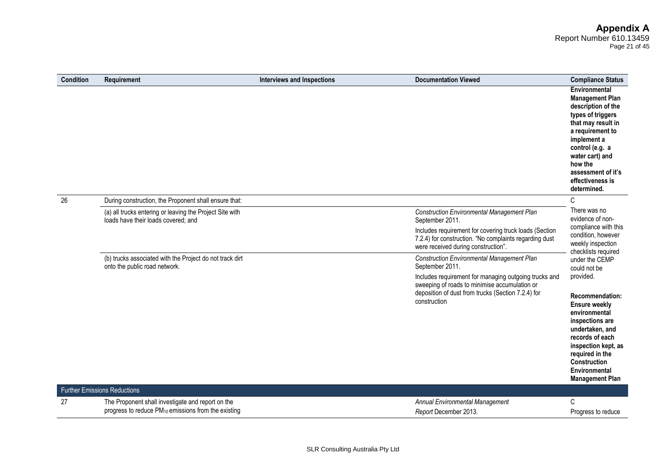#### **Appendix A** Report Number 610.13459 Page 21 of 45

| <b>Condition</b> | Requirement                                                                                     | Interviews and Inspections | <b>Documentation Viewed</b>                                                                                                                             | <b>Compliance Status</b>                                                                                                                                                                                                                              |
|------------------|-------------------------------------------------------------------------------------------------|----------------------------|---------------------------------------------------------------------------------------------------------------------------------------------------------|-------------------------------------------------------------------------------------------------------------------------------------------------------------------------------------------------------------------------------------------------------|
|                  |                                                                                                 |                            |                                                                                                                                                         | Environmental<br><b>Management Plan</b><br>description of the<br>types of triggers<br>that may result in<br>a requirement to<br>implement a<br>control (e.g. a<br>water cart) and<br>how the<br>assessment of it's<br>effectiveness is<br>determined. |
| 26               | During construction, the Proponent shall ensure that:                                           |                            |                                                                                                                                                         | C                                                                                                                                                                                                                                                     |
|                  | (a) all trucks entering or leaving the Project Site with<br>loads have their loads covered; and |                            | <b>Construction Environmental Management Plan</b><br>September 2011.                                                                                    | There was no<br>evidence of non-                                                                                                                                                                                                                      |
|                  |                                                                                                 |                            | Includes requirement for covering truck loads (Section<br>7.2.4) for construction. "No complaints regarding dust<br>were received during construction". | compliance with this<br>condition, however<br>weekly inspection<br>checklists required                                                                                                                                                                |
|                  | (b) trucks associated with the Project do not track dirt<br>onto the public road network.       |                            | <b>Construction Environmental Management Plan</b><br>September 2011.                                                                                    | under the CEMP<br>could not be                                                                                                                                                                                                                        |
|                  |                                                                                                 |                            | Includes requirement for managing outgoing trucks and<br>sweeping of roads to minimise accumulation or                                                  | provided.                                                                                                                                                                                                                                             |
|                  |                                                                                                 |                            | deposition of dust from trucks (Section 7.2.4) for<br>construction                                                                                      | Recommendation:<br><b>Ensure weekly</b><br>environmental<br>inspections are<br>undertaken, and<br>records of each<br>inspection kept, as<br>required in the<br>Construction<br>Environmental<br><b>Management Plan</b>                                |
|                  | <b>Further Emissions Reductions</b>                                                             |                            |                                                                                                                                                         |                                                                                                                                                                                                                                                       |
| 27               | The Proponent shall investigate and report on the                                               |                            | Annual Environmental Management                                                                                                                         | C                                                                                                                                                                                                                                                     |
|                  | progress to reduce PM <sub>10</sub> emissions from the existing                                 |                            | Report December 2013.                                                                                                                                   | Progress to reduce                                                                                                                                                                                                                                    |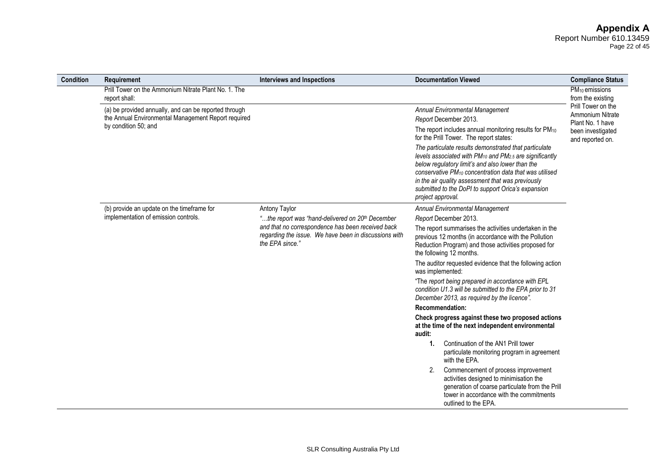#### **Appendix A** Report Number 610.13459 Page 22 of 45

| <b>Condition</b> | Requirement                                                                                                  | <b>Interviews and Inspections</b>                                                                                                                                                             | <b>Documentation Viewed</b>                                                                                                                                                                                                                                                                                                                                                                        | <b>Compliance Status</b>                                                                                      |
|------------------|--------------------------------------------------------------------------------------------------------------|-----------------------------------------------------------------------------------------------------------------------------------------------------------------------------------------------|----------------------------------------------------------------------------------------------------------------------------------------------------------------------------------------------------------------------------------------------------------------------------------------------------------------------------------------------------------------------------------------------------|---------------------------------------------------------------------------------------------------------------|
|                  | Prill Tower on the Ammonium Nitrate Plant No. 1. The<br>report shall:                                        |                                                                                                                                                                                               |                                                                                                                                                                                                                                                                                                                                                                                                    | PM <sub>10</sub> emissions<br>from the existing<br>Prill Tower on the<br>Ammonium Nitrate<br>Plant No. 1 have |
|                  | (a) be provided annually, and can be reported through<br>the Annual Environmental Management Report required |                                                                                                                                                                                               | Annual Environmental Management<br>Report December 2013.                                                                                                                                                                                                                                                                                                                                           |                                                                                                               |
|                  | by condition 50; and                                                                                         |                                                                                                                                                                                               | The report includes annual monitoring results for PM <sub>10</sub><br>for the Prill Tower. The report states:                                                                                                                                                                                                                                                                                      | been investigated<br>and reported on.                                                                         |
|                  |                                                                                                              |                                                                                                                                                                                               | The particulate results demonstrated that particulate<br>levels associated with PM <sub>10</sub> and PM <sub>2.5</sub> are significantly<br>below regulatory limit's and also lower than the<br>conservative PM <sub>10</sub> concentration data that was utilised<br>in the air quality assessment that was previously<br>submitted to the DoPI to support Orica's expansion<br>project approval. |                                                                                                               |
|                  | (b) provide an update on the timeframe for                                                                   | Antony Taylor                                                                                                                                                                                 | Annual Environmental Management                                                                                                                                                                                                                                                                                                                                                                    |                                                                                                               |
|                  | implementation of emission controls.                                                                         | "the report was "hand-delivered on 20 <sup>th</sup> December<br>and that no correspondence has been received back<br>regarding the issue. We have been in discussions with<br>the EPA since." | Report December 2013.                                                                                                                                                                                                                                                                                                                                                                              |                                                                                                               |
|                  |                                                                                                              |                                                                                                                                                                                               | The report summarises the activities undertaken in the<br>previous 12 months (in accordance with the Pollution<br>Reduction Program) and those activities proposed for<br>the following 12 months.                                                                                                                                                                                                 |                                                                                                               |
|                  |                                                                                                              |                                                                                                                                                                                               | The auditor requested evidence that the following action<br>was implemented:                                                                                                                                                                                                                                                                                                                       |                                                                                                               |
|                  |                                                                                                              |                                                                                                                                                                                               | "The report being prepared in accordance with EPL<br>condition U1.3 will be submitted to the EPA prior to 31<br>December 2013, as required by the licence".                                                                                                                                                                                                                                        |                                                                                                               |
|                  |                                                                                                              |                                                                                                                                                                                               | <b>Recommendation:</b>                                                                                                                                                                                                                                                                                                                                                                             |                                                                                                               |
|                  |                                                                                                              |                                                                                                                                                                                               | Check progress against these two proposed actions<br>at the time of the next independent environmental<br>audit:                                                                                                                                                                                                                                                                                   |                                                                                                               |
|                  |                                                                                                              |                                                                                                                                                                                               | Continuation of the AN1 Prill tower<br>1.<br>particulate monitoring program in agreement<br>with the EPA.                                                                                                                                                                                                                                                                                          |                                                                                                               |
|                  |                                                                                                              |                                                                                                                                                                                               | Commencement of process improvement<br>2.<br>activities designed to minimisation the<br>generation of coarse particulate from the Prill<br>tower in accordance with the commitments<br>outlined to the EPA.                                                                                                                                                                                        |                                                                                                               |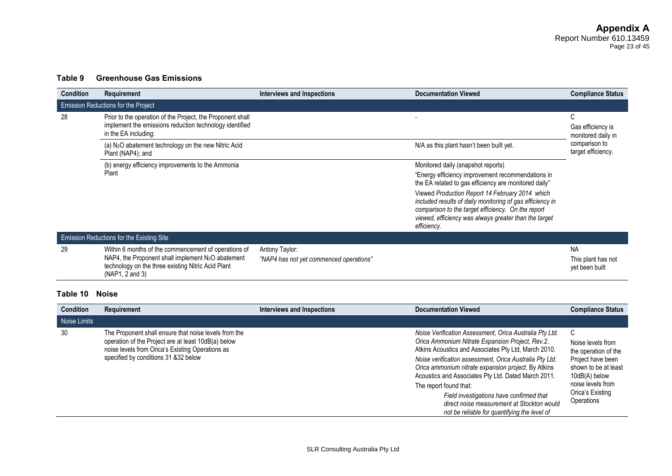# **Table 9 Greenhouse Gas Emissions**

| <b>Condition</b> | Requirement                                                                                                                                                                           | Interviews and Inspections                                | <b>Documentation Viewed</b>                                                                                                                                                                                                                | <b>Compliance Status</b>                          |
|------------------|---------------------------------------------------------------------------------------------------------------------------------------------------------------------------------------|-----------------------------------------------------------|--------------------------------------------------------------------------------------------------------------------------------------------------------------------------------------------------------------------------------------------|---------------------------------------------------|
|                  | <b>Emission Reductions for the Project</b>                                                                                                                                            |                                                           |                                                                                                                                                                                                                                            |                                                   |
| 28               | Prior to the operation of the Project, the Proponent shall<br>implement the emissions reduction technology identified<br>in the EA including:                                         |                                                           |                                                                                                                                                                                                                                            | C<br>Gas efficiency is<br>monitored daily in      |
|                  | (a) N <sub>2</sub> O abatement technology on the new Nitric Acid<br>Plant (NAP4); and                                                                                                 |                                                           | N/A as this plant hasn't been built yet.                                                                                                                                                                                                   | comparison to<br>target efficiency.               |
|                  | (b) energy efficiency improvements to the Ammonia                                                                                                                                     |                                                           | Monitored daily (snapshot reports)                                                                                                                                                                                                         |                                                   |
|                  | Plant                                                                                                                                                                                 |                                                           | "Energy efficiency improvement recommendations in<br>the EA related to gas efficiency are monitored daily"                                                                                                                                 |                                                   |
|                  |                                                                                                                                                                                       |                                                           | Viewed Production Report 14 February 2014 which<br>included results of daily monitoring of gas efficiency in<br>comparison to the target efficiency. On the report<br>viewed, efficiency was always greater than the target<br>efficiency. |                                                   |
|                  | Emission Reductions for the Existing Site                                                                                                                                             |                                                           |                                                                                                                                                                                                                                            |                                                   |
| 29               | Within 6 months of the commencement of operations of<br>NAP4, the Proponent shall implement $N_2O$ abatement<br>technology on the three existing Nitric Acid Plant<br>(NAP1, 2 and 3) | Antony Taylor:<br>"NAP4 has not yet commenced operations" |                                                                                                                                                                                                                                            | <b>NA</b><br>This plant has not<br>yet been built |

### **Table 10 Noise**

| <b>Condition</b> | <b>Requirement</b>                                                                                                                                                                                        | Interviews and Inspections | <b>Documentation Viewed</b>                                                                                                                                                                                                                                                                                                                                                                                                                                                                                      | <b>Compliance Status</b>                                                                                                                                            |
|------------------|-----------------------------------------------------------------------------------------------------------------------------------------------------------------------------------------------------------|----------------------------|------------------------------------------------------------------------------------------------------------------------------------------------------------------------------------------------------------------------------------------------------------------------------------------------------------------------------------------------------------------------------------------------------------------------------------------------------------------------------------------------------------------|---------------------------------------------------------------------------------------------------------------------------------------------------------------------|
| Noise Limits     |                                                                                                                                                                                                           |                            |                                                                                                                                                                                                                                                                                                                                                                                                                                                                                                                  |                                                                                                                                                                     |
| 30               | The Proponent shall ensure that noise levels from the<br>operation of the Project are at least 10dB(a) below<br>noise levels from Orica's Existing Operations as<br>specified by conditions 31 & 32 below |                            | Noise Verification Assessment, Orica Australia Pty Ltd.<br>Orica Ammonium Nitrate Expansion Project, Rev.2.<br>Atkins Acoustics and Associates Pty Ltd, March 2010.<br>Noise verification assessment, Orica Australia Pty Ltd.<br>Orica ammonium nitrate expansion project. By Atkins<br>Acoustics and Associates Pty Ltd. Dated March 2011.<br>The report found that:<br>Field investigations have confirmed that<br>direct noise measurement at Stockton would<br>not be reliable for quantifying the level of | C<br>Noise levels from<br>the operation of the<br>Project have been<br>shown to be at least<br>10dB(A) below<br>noise levels from<br>Orica's Existing<br>Operations |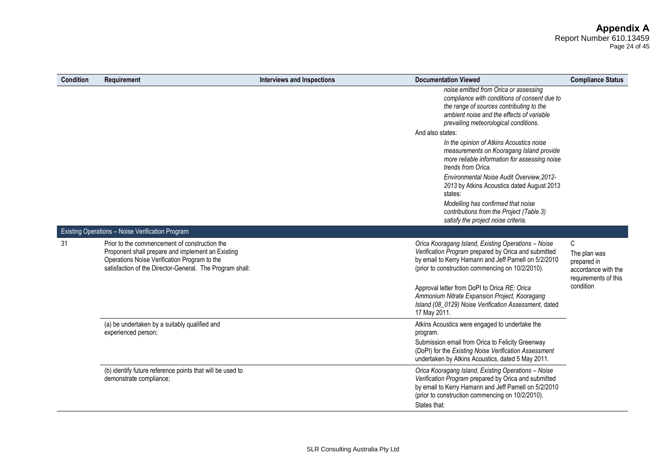Page 24 of 45

| <b>Condition</b> | <b>Requirement</b>                                                                                                                                                                                             | <b>Interviews and Inspections</b> | <b>Documentation Viewed</b>                                                                                                                                                                                                              | <b>Compliance Status</b>                                                        |
|------------------|----------------------------------------------------------------------------------------------------------------------------------------------------------------------------------------------------------------|-----------------------------------|------------------------------------------------------------------------------------------------------------------------------------------------------------------------------------------------------------------------------------------|---------------------------------------------------------------------------------|
|                  |                                                                                                                                                                                                                |                                   | noise emitted from Orica or assessing<br>compliance with conditions of consent due to<br>the range of sources contributing to the<br>ambient noise and the effects of variable<br>prevailing meteorological conditions.                  |                                                                                 |
|                  |                                                                                                                                                                                                                |                                   | And also states:                                                                                                                                                                                                                         |                                                                                 |
|                  |                                                                                                                                                                                                                |                                   | In the opinion of Atkins Acoustics noise<br>measurements on Kooragang Island provide<br>more reliable information for assessing noise<br>trends from Orica.                                                                              |                                                                                 |
|                  |                                                                                                                                                                                                                |                                   | Environmental Noise Audit Overview, 2012-<br>2013 by Atkins Acoustics dated August 2013<br>states:                                                                                                                                       |                                                                                 |
|                  |                                                                                                                                                                                                                |                                   | Modelling has confirmed that noise<br>contributions from the Project (Table 3)<br>satisfy the project noise criteria.                                                                                                                    |                                                                                 |
|                  | Existing Operations - Noise Verification Program                                                                                                                                                               |                                   |                                                                                                                                                                                                                                          |                                                                                 |
| 31               | Prior to the commencement of construction the<br>Proponent shall prepare and implement an Existing<br>Operations Noise Verification Program to the<br>satisfaction of the Director-General. The Program shall: |                                   | Orica Kooragang Island, Existing Operations - Noise<br>Verification Program prepared by Orica and submitted<br>by email to Kerry Hamann and Jeff Parnell on 5/2/2010<br>(prior to construction commencing on 10/2/2010).                 | C<br>The plan was<br>prepared in<br>accordance with the<br>requirements of this |
|                  |                                                                                                                                                                                                                |                                   | Approval letter from DoPI to Orica RE: Orica<br>Ammonium Nitrate Expansion Project, Kooragang<br>Island (08_0129) Noise Verification Assessment, dated<br>17 May 2011.                                                                   | condition                                                                       |
|                  | (a) be undertaken by a suitably qualified and<br>experienced person;                                                                                                                                           |                                   | Atkins Acoustics were engaged to undertake the<br>program.                                                                                                                                                                               |                                                                                 |
|                  |                                                                                                                                                                                                                |                                   | Submission email from Orica to Felicity Greenway<br>(DoPI) for the Existing Noise Verification Assessment<br>undertaken by Atkins Acoustics, dated 5 May 2011.                                                                           |                                                                                 |
|                  | (b) identify future reference points that will be used to<br>demonstrate compliance;                                                                                                                           |                                   | Orica Kooragang Island, Existing Operations - Noise<br>Verification Program prepared by Orica and submitted<br>by email to Kerry Hamann and Jeff Parnell on 5/2/2010<br>(prior to construction commencing on 10/2/2010).<br>States that: |                                                                                 |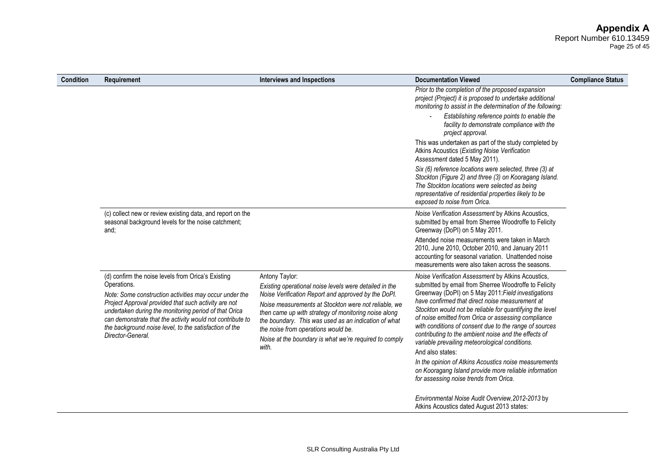# **Appendix A**

Report Number 610.13459 Page 25 of 45

| <b>Condition</b> | Requirement                                                                                                                                                                                                                                                                                                                                                                              | <b>Interviews and Inspections</b>                                                                                                                                                                                                                                                                                                                                                                                 | <b>Documentation Viewed</b>                                                                                                                                                                                                                                                                                                                                                                                                                                                                                                                                                                                                                                                                  | <b>Compliance Status</b> |
|------------------|------------------------------------------------------------------------------------------------------------------------------------------------------------------------------------------------------------------------------------------------------------------------------------------------------------------------------------------------------------------------------------------|-------------------------------------------------------------------------------------------------------------------------------------------------------------------------------------------------------------------------------------------------------------------------------------------------------------------------------------------------------------------------------------------------------------------|----------------------------------------------------------------------------------------------------------------------------------------------------------------------------------------------------------------------------------------------------------------------------------------------------------------------------------------------------------------------------------------------------------------------------------------------------------------------------------------------------------------------------------------------------------------------------------------------------------------------------------------------------------------------------------------------|--------------------------|
|                  |                                                                                                                                                                                                                                                                                                                                                                                          |                                                                                                                                                                                                                                                                                                                                                                                                                   | Prior to the completion of the proposed expansion<br>project (Project) it is proposed to undertake additional<br>monitoring to assist in the determination of the following:                                                                                                                                                                                                                                                                                                                                                                                                                                                                                                                 |                          |
|                  |                                                                                                                                                                                                                                                                                                                                                                                          |                                                                                                                                                                                                                                                                                                                                                                                                                   | Establishing reference points to enable the<br>facility to demonstrate compliance with the<br>project approval.                                                                                                                                                                                                                                                                                                                                                                                                                                                                                                                                                                              |                          |
|                  |                                                                                                                                                                                                                                                                                                                                                                                          |                                                                                                                                                                                                                                                                                                                                                                                                                   | This was undertaken as part of the study completed by<br>Atkins Acoustics (Existing Noise Verification<br>Assessment dated 5 May 2011).                                                                                                                                                                                                                                                                                                                                                                                                                                                                                                                                                      |                          |
|                  |                                                                                                                                                                                                                                                                                                                                                                                          |                                                                                                                                                                                                                                                                                                                                                                                                                   | Six (6) reference locations were selected, three (3) at<br>Stockton (Figure 2) and three (3) on Kooragang Island.<br>The Stockton locations were selected as being<br>representative of residential properties likely to be<br>exposed to noise from Orica.                                                                                                                                                                                                                                                                                                                                                                                                                                  |                          |
|                  | (c) collect new or review existing data, and report on the<br>seasonal background levels for the noise catchment;<br>and;                                                                                                                                                                                                                                                                |                                                                                                                                                                                                                                                                                                                                                                                                                   | Noise Verification Assessment by Atkins Acoustics,<br>submitted by email from Sherree Woodroffe to Felicity<br>Greenway (DoPI) on 5 May 2011.                                                                                                                                                                                                                                                                                                                                                                                                                                                                                                                                                |                          |
|                  |                                                                                                                                                                                                                                                                                                                                                                                          |                                                                                                                                                                                                                                                                                                                                                                                                                   | Attended noise measurements were taken in March<br>2010, June 2010, October 2010, and January 2011<br>accounting for seasonal variation. Unattended noise<br>measurements were also taken across the seasons.                                                                                                                                                                                                                                                                                                                                                                                                                                                                                |                          |
|                  | (d) confirm the noise levels from Orica's Existing<br>Operations.<br>Note: Some construction activities may occur under the<br>Project Approval provided that such activity are not<br>undertaken during the monitoring period of that Orica<br>can demonstrate that the activity would not contribute to<br>the background noise level, to the satisfaction of the<br>Director-General. | Antony Taylor:<br>Existing operational noise levels were detailed in the<br>Noise Verification Report and approved by the DoPI.<br>Noise measurements at Stockton were not reliable, we<br>then came up with strategy of monitoring noise along<br>the boundary. This was used as an indication of what<br>the noise from operations would be.<br>Noise at the boundary is what we're required to comply<br>with. | Noise Verification Assessment by Atkins Acoustics,<br>submitted by email from Sherree Woodroffe to Felicity<br>Greenway (DoPI) on 5 May 2011: Field investigations<br>have confirmed that direct noise measurement at<br>Stockton would not be reliable for quantifying the level<br>of noise emitted from Orica or assessing compliance<br>with conditions of consent due to the range of sources<br>contributing to the ambient noise and the effects of<br>variable prevailing meteorological conditions.<br>And also states:<br>In the opinion of Atkins Acoustics noise measurements<br>on Kooragang Island provide more reliable information<br>for assessing noise trends from Orica. |                          |
|                  |                                                                                                                                                                                                                                                                                                                                                                                          |                                                                                                                                                                                                                                                                                                                                                                                                                   | Environmental Noise Audit Overview, 2012-2013 by<br>Atkins Acoustics dated August 2013 states:                                                                                                                                                                                                                                                                                                                                                                                                                                                                                                                                                                                               |                          |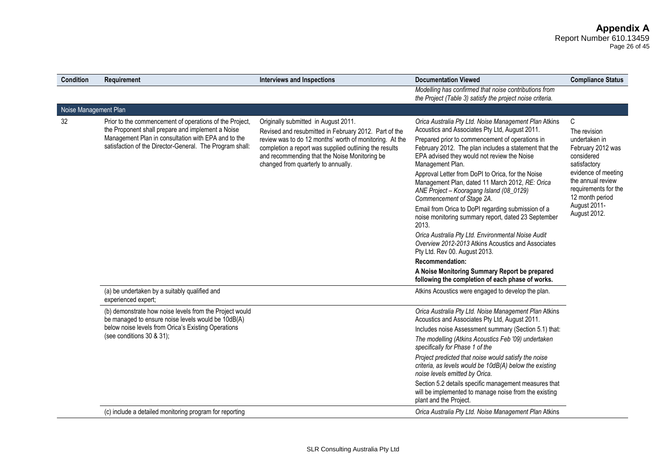Page 26 of 45

| <b>Condition</b>      | Requirement                                                                                                                                                                                                                     | <b>Interviews and Inspections</b>                                                                                                                                                                                                                                                                          | <b>Documentation Viewed</b>                                                                                                                                                                                                                                                                                                                                                                                                                                                                                                                                                                                                                                                                                                                                                                                                                                        | <b>Compliance Status</b>                                                                                                                                                                                     |
|-----------------------|---------------------------------------------------------------------------------------------------------------------------------------------------------------------------------------------------------------------------------|------------------------------------------------------------------------------------------------------------------------------------------------------------------------------------------------------------------------------------------------------------------------------------------------------------|--------------------------------------------------------------------------------------------------------------------------------------------------------------------------------------------------------------------------------------------------------------------------------------------------------------------------------------------------------------------------------------------------------------------------------------------------------------------------------------------------------------------------------------------------------------------------------------------------------------------------------------------------------------------------------------------------------------------------------------------------------------------------------------------------------------------------------------------------------------------|--------------------------------------------------------------------------------------------------------------------------------------------------------------------------------------------------------------|
|                       |                                                                                                                                                                                                                                 |                                                                                                                                                                                                                                                                                                            | Modelling has confirmed that noise contributions from<br>the Project (Table 3) satisfy the project noise criteria.                                                                                                                                                                                                                                                                                                                                                                                                                                                                                                                                                                                                                                                                                                                                                 |                                                                                                                                                                                                              |
| Noise Management Plan |                                                                                                                                                                                                                                 |                                                                                                                                                                                                                                                                                                            |                                                                                                                                                                                                                                                                                                                                                                                                                                                                                                                                                                                                                                                                                                                                                                                                                                                                    |                                                                                                                                                                                                              |
| 32                    | Prior to the commencement of operations of the Project,<br>the Proponent shall prepare and implement a Noise<br>Management Plan in consultation with EPA and to the<br>satisfaction of the Director-General. The Program shall: | Originally submitted in August 2011.<br>Revised and resubmitted in February 2012. Part of the<br>review was to do 12 months' worth of monitoring. At the<br>completion a report was supplied outlining the results<br>and recommending that the Noise Monitoring be<br>changed from quarterly to annually. | Orica Australia Pty Ltd. Noise Management Plan Atkins<br>Acoustics and Associates Pty Ltd, August 2011.<br>Prepared prior to commencement of operations in<br>February 2012. The plan includes a statement that the<br>EPA advised they would not review the Noise<br>Management Plan.<br>Approval Letter from DoPI to Orica, for the Noise<br>Management Plan, dated 11 March 2012, RE: Orica<br>ANE Project - Kooragang Island (08_0129)<br>Commencement of Stage 2A.<br>Email from Orica to DoPI regarding submission of a<br>noise monitoring summary report, dated 23 September<br>2013.<br>Orica Australia Pty Ltd. Environmental Noise Audit<br>Overview 2012-2013 Atkins Acoustics and Associates<br>Pty Ltd. Rev 00. August 2013.<br>Recommendation:<br>A Noise Monitoring Summary Report be prepared<br>following the completion of each phase of works. | C<br>The revision<br>undertaken in<br>February 2012 was<br>considered<br>satisfactory<br>evidence of meeting<br>the annual review<br>requirements for the<br>12 month period<br>August 2011-<br>August 2012. |
|                       | (a) be undertaken by a suitably qualified and<br>experienced expert;                                                                                                                                                            |                                                                                                                                                                                                                                                                                                            | Atkins Acoustics were engaged to develop the plan.                                                                                                                                                                                                                                                                                                                                                                                                                                                                                                                                                                                                                                                                                                                                                                                                                 |                                                                                                                                                                                                              |
|                       | (b) demonstrate how noise levels from the Project would<br>be managed to ensure noise levels would be 10dB(A)<br>below noise levels from Orica's Existing Operations<br>(see conditions 30 & 31);                               |                                                                                                                                                                                                                                                                                                            | Orica Australia Pty Ltd. Noise Management Plan Atkins<br>Acoustics and Associates Pty Ltd, August 2011.                                                                                                                                                                                                                                                                                                                                                                                                                                                                                                                                                                                                                                                                                                                                                            |                                                                                                                                                                                                              |
|                       |                                                                                                                                                                                                                                 |                                                                                                                                                                                                                                                                                                            | Includes noise Assessment summary (Section 5.1) that:<br>The modelling (Atkins Acoustics Feb '09) undertaken<br>specifically for Phase 1 of the                                                                                                                                                                                                                                                                                                                                                                                                                                                                                                                                                                                                                                                                                                                    |                                                                                                                                                                                                              |
|                       |                                                                                                                                                                                                                                 |                                                                                                                                                                                                                                                                                                            | Project predicted that noise would satisfy the noise<br>criteria, as levels would be 10dB(A) below the existing<br>noise levels emitted by Orica.                                                                                                                                                                                                                                                                                                                                                                                                                                                                                                                                                                                                                                                                                                                  |                                                                                                                                                                                                              |
|                       |                                                                                                                                                                                                                                 |                                                                                                                                                                                                                                                                                                            | Section 5.2 details specific management measures that<br>will be implemented to manage noise from the existing<br>plant and the Project.                                                                                                                                                                                                                                                                                                                                                                                                                                                                                                                                                                                                                                                                                                                           |                                                                                                                                                                                                              |
|                       | (c) include a detailed monitoring program for reporting                                                                                                                                                                         |                                                                                                                                                                                                                                                                                                            | Orica Australia Pty Ltd. Noise Management Plan Atkins                                                                                                                                                                                                                                                                                                                                                                                                                                                                                                                                                                                                                                                                                                                                                                                                              |                                                                                                                                                                                                              |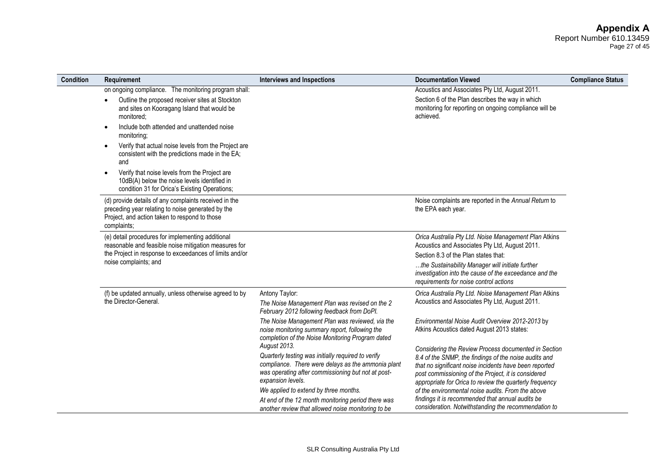#### **Appendix A** Report Number 610.13459 Page 27 of 45

| Condition | Requirement                                                                                                                                                                                                                                                                                                         | <b>Interviews and Inspections</b>                                                                                                                                                                                                                                                                                                                                                                                                                                                                                 | <b>Documentation Viewed</b>                                                                                                                                                                                                                                                                                                                                                                                                                                                                                                                                 | <b>Compliance Status</b> |
|-----------|---------------------------------------------------------------------------------------------------------------------------------------------------------------------------------------------------------------------------------------------------------------------------------------------------------------------|-------------------------------------------------------------------------------------------------------------------------------------------------------------------------------------------------------------------------------------------------------------------------------------------------------------------------------------------------------------------------------------------------------------------------------------------------------------------------------------------------------------------|-------------------------------------------------------------------------------------------------------------------------------------------------------------------------------------------------------------------------------------------------------------------------------------------------------------------------------------------------------------------------------------------------------------------------------------------------------------------------------------------------------------------------------------------------------------|--------------------------|
|           | on ongoing compliance. The monitoring program shall:<br>Outline the proposed receiver sites at Stockton<br>and sites on Kooragang Island that would be<br>monitored:<br>Include both attended and unattended noise<br>$\bullet$<br>monitoring;<br>Verify that actual noise levels from the Project are<br>$\bullet$ |                                                                                                                                                                                                                                                                                                                                                                                                                                                                                                                   | Acoustics and Associates Pty Ltd, August 2011.<br>Section 6 of the Plan describes the way in which<br>monitoring for reporting on ongoing compliance will be<br>achieved.                                                                                                                                                                                                                                                                                                                                                                                   |                          |
|           | consistent with the predictions made in the EA;<br>and<br>Verify that noise levels from the Project are<br>$\bullet$<br>10dB(A) below the noise levels identified in<br>condition 31 for Orica's Existing Operations;                                                                                               |                                                                                                                                                                                                                                                                                                                                                                                                                                                                                                                   |                                                                                                                                                                                                                                                                                                                                                                                                                                                                                                                                                             |                          |
|           | (d) provide details of any complaints received in the<br>preceding year relating to noise generated by the<br>Project, and action taken to respond to those<br>complaints;                                                                                                                                          |                                                                                                                                                                                                                                                                                                                                                                                                                                                                                                                   | Noise complaints are reported in the Annual Return to<br>the EPA each year.                                                                                                                                                                                                                                                                                                                                                                                                                                                                                 |                          |
|           | (e) detail procedures for implementing additional<br>reasonable and feasible noise mitigation measures for<br>the Project in response to exceedances of limits and/or<br>noise complaints; and                                                                                                                      |                                                                                                                                                                                                                                                                                                                                                                                                                                                                                                                   | Orica Australia Pty Ltd. Noise Management Plan Atkins<br>Acoustics and Associates Pty Ltd, August 2011.<br>Section 8.3 of the Plan states that:<br>the Sustainability Manager will initiate further<br>investigation into the cause of the exceedance and the<br>requirements for noise control actions                                                                                                                                                                                                                                                     |                          |
|           | (f) be updated annually, unless otherwise agreed to by<br>the Director-General.                                                                                                                                                                                                                                     | Antony Taylor:<br>The Noise Management Plan was revised on the 2<br>February 2012 following feedback from DoPI.                                                                                                                                                                                                                                                                                                                                                                                                   | Orica Australia Pty Ltd. Noise Management Plan Atkins<br>Acoustics and Associates Pty Ltd, August 2011.                                                                                                                                                                                                                                                                                                                                                                                                                                                     |                          |
|           |                                                                                                                                                                                                                                                                                                                     | The Noise Management Plan was reviewed, via the<br>noise monitoring summary report, following the<br>completion of the Noise Monitoring Program dated<br>August 2013.<br>Quarterly testing was initially required to verify<br>compliance. There were delays as the ammonia plant<br>was operating after commissioning but not at post-<br>expansion levels.<br>We applied to extend by three months.<br>At end of the 12 month monitoring period there was<br>another review that allowed noise monitoring to be | Environmental Noise Audit Overview 2012-2013 by<br>Atkins Acoustics dated August 2013 states:<br>Considering the Review Process documented in Section<br>8.4 of the SNMP, the findings of the noise audits and<br>that no significant noise incidents have been reported<br>post commissioning of the Project, it is considered<br>appropriate for Orica to review the quarterly frequency<br>of the environmental noise audits. From the above<br>findings it is recommended that annual audits be<br>consideration. Notwithstanding the recommendation to |                          |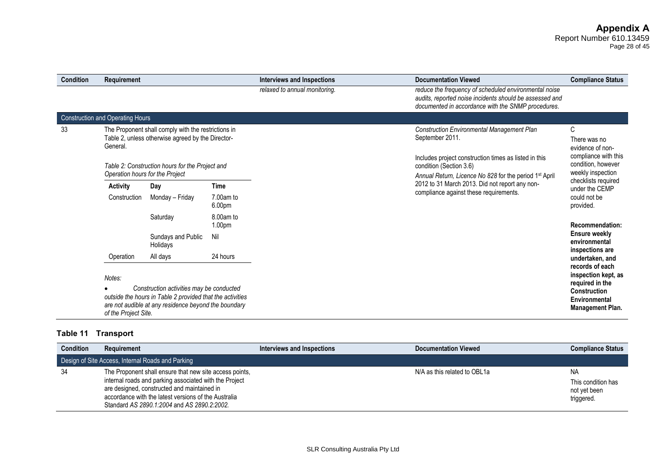# **Appendix A**

Report Number 610.13459 Page 28 of 45

| <b>Condition</b> | Requirement                             |                                                                                                                                                               |                                 | Interviews and Inspections    | <b>Documentation Viewed</b>                                                                                                                                            | <b>Compliance Status</b>                                                                                              |
|------------------|-----------------------------------------|---------------------------------------------------------------------------------------------------------------------------------------------------------------|---------------------------------|-------------------------------|------------------------------------------------------------------------------------------------------------------------------------------------------------------------|-----------------------------------------------------------------------------------------------------------------------|
|                  |                                         |                                                                                                                                                               |                                 | relaxed to annual monitoring. | reduce the frequency of scheduled environmental noise<br>audits, reported noise incidents should be assessed and<br>documented in accordance with the SNMP procedures. |                                                                                                                       |
|                  | <b>Construction and Operating Hours</b> |                                                                                                                                                               |                                 |                               |                                                                                                                                                                        |                                                                                                                       |
| 33               | General                                 | The Proponent shall comply with the restrictions in<br>Table 2, unless otherwise agreed by the Director-                                                      |                                 |                               | <b>Construction Environmental Management Plan</b><br>September 2011.<br>Includes project construction times as listed in this                                          | С<br>There was no<br>evidence of non-<br>compliance with this                                                         |
|                  | Operation hours for the Project         | Table 2: Construction hours for the Project and                                                                                                               |                                 |                               | condition (Section 3.6)<br>Annual Return, Licence No 828 for the period 1 <sup>st</sup> April                                                                          | condition, however<br>weekly inspection                                                                               |
|                  | <b>Activity</b>                         | Day                                                                                                                                                           | <b>Time</b>                     |                               | 2012 to 31 March 2013. Did not report any non-                                                                                                                         | checklists required<br>under the CEMP                                                                                 |
|                  | Construction                            | Monday - Friday                                                                                                                                               | 7.00am to<br>6.00 <sub>pm</sub> |                               | compliance against these requirements.                                                                                                                                 | could not be<br>provided.                                                                                             |
|                  |                                         | Saturday                                                                                                                                                      | 8.00am to<br>1.00 <sub>pm</sub> |                               |                                                                                                                                                                        | Recommendation:                                                                                                       |
|                  |                                         | Sundays and Public<br>Holidays                                                                                                                                | Nil                             |                               |                                                                                                                                                                        | <b>Ensure weekly</b><br>environmental<br>inspections are                                                              |
|                  | Operation                               | All days                                                                                                                                                      | 24 hours                        |                               |                                                                                                                                                                        | undertaken, and                                                                                                       |
|                  | Notes:<br>of the Project Site.          | Construction activities may be conducted<br>outside the hours in Table 2 provided that the activities<br>are not audible at any residence beyond the boundary |                                 |                               |                                                                                                                                                                        | records of each<br>inspection kept, as<br>required in the<br>Construction<br>Environmental<br><b>Management Plan.</b> |

# **Table 11 Transport**

| <b>Condition</b>                                  | Requirement                                                                                                                                                                                                                                                             | Interviews and Inspections | <b>Documentation Viewed</b>  | <b>Compliance Status</b>                               |  |  |
|---------------------------------------------------|-------------------------------------------------------------------------------------------------------------------------------------------------------------------------------------------------------------------------------------------------------------------------|----------------------------|------------------------------|--------------------------------------------------------|--|--|
| Design of Site Access, Internal Roads and Parking |                                                                                                                                                                                                                                                                         |                            |                              |                                                        |  |  |
| -34                                               | The Proponent shall ensure that new site access points,<br>internal roads and parking associated with the Project<br>are designed, constructed and maintained in<br>accordance with the latest versions of the Australia<br>Standard AS 2890.1:2004 and AS 2890.2:2002. |                            | N/A as this related to OBL1a | NA<br>This condition has<br>not vet been<br>triggered. |  |  |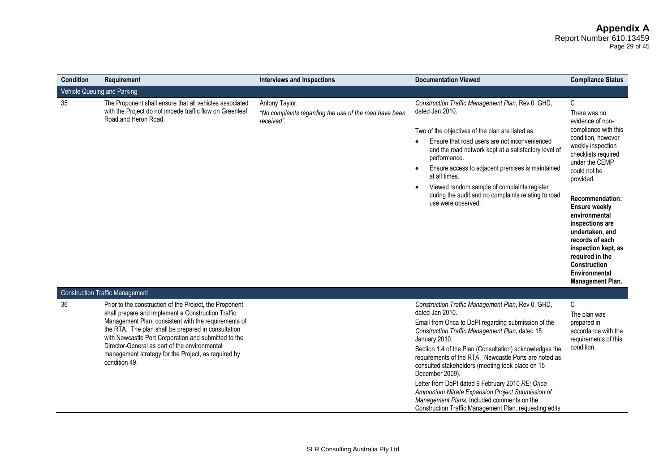# **Appendix A**

Report Number 610.13459 Page 29 of 45

| <b>Condition</b> | Requirement                                                                                                                                                                                                                                                                                                                                                                                                   | <b>Interviews and Inspections</b>                                                      | <b>Documentation Viewed</b>                                                                                                                                                                                                                                                                                                                                                                                                                                                                                                                                                                                | <b>Compliance Status</b>                                                                                                                                                                                                                                                                                                                                                                                         |
|------------------|---------------------------------------------------------------------------------------------------------------------------------------------------------------------------------------------------------------------------------------------------------------------------------------------------------------------------------------------------------------------------------------------------------------|----------------------------------------------------------------------------------------|------------------------------------------------------------------------------------------------------------------------------------------------------------------------------------------------------------------------------------------------------------------------------------------------------------------------------------------------------------------------------------------------------------------------------------------------------------------------------------------------------------------------------------------------------------------------------------------------------------|------------------------------------------------------------------------------------------------------------------------------------------------------------------------------------------------------------------------------------------------------------------------------------------------------------------------------------------------------------------------------------------------------------------|
|                  | Vehicle Queuing and Parking                                                                                                                                                                                                                                                                                                                                                                                   |                                                                                        |                                                                                                                                                                                                                                                                                                                                                                                                                                                                                                                                                                                                            |                                                                                                                                                                                                                                                                                                                                                                                                                  |
| 35               | The Proponent shall ensure that all vehicles associated<br>with the Project do not impede traffic flow on Greenleaf<br>Road and Heron Road.                                                                                                                                                                                                                                                                   | Antony Taylor:<br>"No complaints regarding the use of the road have been<br>received". | Construction Traffic Management Plan, Rev 0, GHD,<br>dated Jan 2010.<br>Two of the objectives of the plan are listed as:<br>Ensure that road users are not inconvenienced<br>and the road network kept at a satisfactory level of<br>performance.<br>Ensure access to adjacent premises is maintained<br>at all times.<br>Viewed random sample of complaints register<br>during the audit and no complaints relating to road<br>use were observed.                                                                                                                                                         | C<br>There was no<br>evidence of non-<br>compliance with this<br>condition, however<br>weekly inspection<br>checklists required<br>under the CEMP<br>could not be<br>provided.<br><b>Recommendation:</b><br><b>Ensure weekly</b><br>environmental<br>inspections are<br>undertaken, and<br>records of each<br>inspection kept, as<br>required in the<br>Construction<br>Environmental<br><b>Management Plan.</b> |
|                  | <b>Construction Traffic Management</b>                                                                                                                                                                                                                                                                                                                                                                        |                                                                                        |                                                                                                                                                                                                                                                                                                                                                                                                                                                                                                                                                                                                            |                                                                                                                                                                                                                                                                                                                                                                                                                  |
| 36               | Prior to the construction of the Project, the Proponent<br>shall prepare and implement a Construction Traffic<br>Management Plan, consistent with the requirements of<br>the RTA. The plan shall be prepared in consultation<br>with Newcastle Port Corporation and submitted to the<br>Director-General as part of the environmental<br>management strategy for the Project, as required by<br>condition 49. |                                                                                        | Construction Traffic Management Plan, Rev 0, GHD,<br>dated Jan 2010.<br>Email from Orica to DoPI regarding submission of the<br>Construction Traffic Management Plan, dated 15<br>January 2010.<br>Section 1.4 of the Plan (Consultation) acknowledges the<br>requirements of the RTA. Newcastle Ports are noted as<br>consulted stakeholders (meeting took place on 15<br>December 2009).<br>Letter from DoPI dated 9 February 2010 RE: Orica<br>Ammonium Nitrate Expansion Project Submission of<br>Management Plans. Included comments on the<br>Construction Traffic Management Plan, requesting edits | C<br>The plan was<br>prepared in<br>accordance with the<br>requirements of this<br>condition.                                                                                                                                                                                                                                                                                                                    |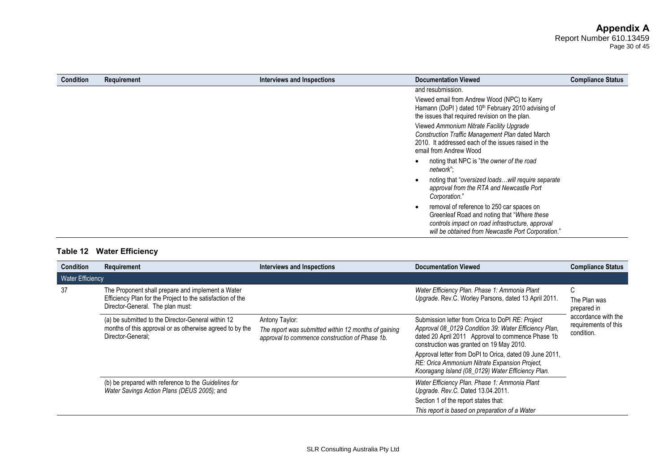Page 30 of 45

| Condition | Requirement | Interviews and Inspections | <b>Documentation Viewed</b>                                                                                                                                                                         | <b>Compliance Status</b> |
|-----------|-------------|----------------------------|-----------------------------------------------------------------------------------------------------------------------------------------------------------------------------------------------------|--------------------------|
|           |             |                            | and resubmission.                                                                                                                                                                                   |                          |
|           |             |                            | Viewed email from Andrew Wood (NPC) to Kerry<br>Hamann (DoPI) dated 10 <sup>th</sup> February 2010 advising of<br>the issues that required revision on the plan.                                    |                          |
|           |             |                            | Viewed Ammonium Nitrate Facility Upgrade<br>Construction Traffic Management Plan dated March<br>2010. It addressed each of the issues raised in the<br>email from Andrew Wood                       |                          |
|           |             |                            | noting that NPC is "the owner of the road<br>network":                                                                                                                                              |                          |
|           |             |                            | noting that "oversized loadswill require separate<br>approval from the RTA and Newcastle Port<br>Corporation."                                                                                      |                          |
|           |             |                            | removal of reference to 250 car spaces on<br>Greenleaf Road and noting that "Where these"<br>controls impact on road infrastructure, approval<br>will be obtained from Newcastle Port Corporation." |                          |

# **Table 12 Water Efficiency**

| <b>Condition</b>        | Requirement                                                                                                                                         | Interviews and Inspections                                                                                               | <b>Documentation Viewed</b>                                                                                                                                                                                | <b>Compliance Status</b>                                  |
|-------------------------|-----------------------------------------------------------------------------------------------------------------------------------------------------|--------------------------------------------------------------------------------------------------------------------------|------------------------------------------------------------------------------------------------------------------------------------------------------------------------------------------------------------|-----------------------------------------------------------|
| <b>Water Efficiency</b> |                                                                                                                                                     |                                                                                                                          |                                                                                                                                                                                                            |                                                           |
| 37                      | The Proponent shall prepare and implement a Water<br>Efficiency Plan for the Project to the satisfaction of the<br>Director-General. The plan must: |                                                                                                                          | Water Efficiency Plan. Phase 1: Ammonia Plant<br>Upgrade. Rev.C. Worley Parsons, dated 13 April 2011.                                                                                                      | C<br>The Plan was<br>prepared in                          |
|                         | (a) be submitted to the Director-General within 12<br>months of this approval or as otherwise agreed to by the<br>Director-General:                 | Antony Taylor:<br>The report was submitted within 12 months of gaining<br>approval to commence construction of Phase 1b. | Submission letter from Orica to DoPI RE: Project<br>Approval 08_0129 Condition 39: Water Efficiency Plan,<br>dated 20 April 2011 Approval to commence Phase 1b<br>construction was granted on 19 May 2010. | accordance with the<br>requirements of this<br>condition. |
|                         |                                                                                                                                                     |                                                                                                                          | Approval letter from DoPI to Orica, dated 09 June 2011,<br>RE: Orica Ammonium Nitrate Expansion Project,<br>Kooragang Island (08 0129) Water Efficiency Plan.                                              |                                                           |
|                         | (b) be prepared with reference to the Guidelines for<br>Water Savings Action Plans (DEUS 2005); and                                                 |                                                                                                                          | Water Efficiency Plan. Phase 1: Ammonia Plant<br>Upgrade. Rev.C. Dated 13.04.2011.                                                                                                                         |                                                           |
|                         |                                                                                                                                                     |                                                                                                                          | Section 1 of the report states that:                                                                                                                                                                       |                                                           |
|                         |                                                                                                                                                     |                                                                                                                          | This report is based on preparation of a Water                                                                                                                                                             |                                                           |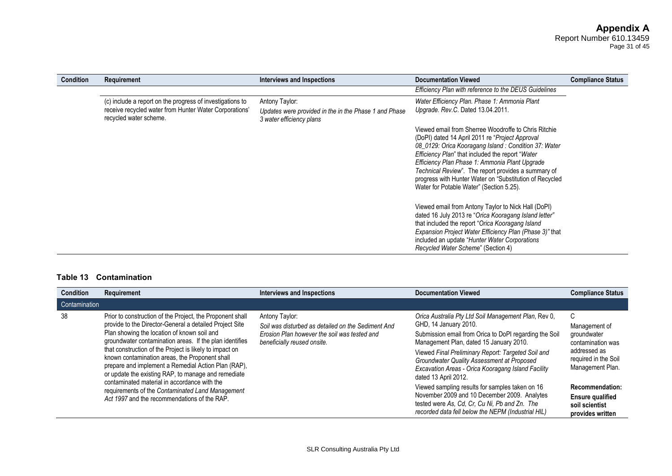Page 31 of 45

| <b>Condition</b> | Requirement                                                                                                                                   | Interviews and Inspections                                                                          | <b>Documentation Viewed</b>                                                                                                                                                                                                                                                                                                                                                                                                         | <b>Compliance Status</b> |
|------------------|-----------------------------------------------------------------------------------------------------------------------------------------------|-----------------------------------------------------------------------------------------------------|-------------------------------------------------------------------------------------------------------------------------------------------------------------------------------------------------------------------------------------------------------------------------------------------------------------------------------------------------------------------------------------------------------------------------------------|--------------------------|
|                  |                                                                                                                                               |                                                                                                     | Efficiency Plan with reference to the DEUS Guidelines                                                                                                                                                                                                                                                                                                                                                                               |                          |
|                  | (c) include a report on the progress of investigations to<br>receive recycled water from Hunter Water Corporations'<br>recycled water scheme. | Antony Taylor:<br>Updates were provided in the in the Phase 1 and Phase<br>3 water efficiency plans | Water Efficiency Plan. Phase 1: Ammonia Plant<br>Upgrade. Rev.C. Dated 13.04.2011.                                                                                                                                                                                                                                                                                                                                                  |                          |
|                  |                                                                                                                                               |                                                                                                     | Viewed email from Sherree Woodroffe to Chris Ritchie<br>(DoPI) dated 14 April 2011 re "Project Approval<br>08 0129: Orica Kooragang Island: Condition 37: Water<br>Efficiency Plan" that included the report "Water<br>Efficiency Plan Phase 1: Ammonia Plant Upgrade<br>Technical Review". The report provides a summary of<br>progress with Hunter Water on "Substitution of Recycled<br>Water for Potable Water" (Section 5.25). |                          |
|                  |                                                                                                                                               |                                                                                                     | Viewed email from Antony Taylor to Nick Hall (DoPI)<br>dated 16 July 2013 re "Orica Kooragang Island letter"<br>that included the report "Orica Kooragang Island<br>Expansion Project Water Efficiency Plan (Phase 3)" that<br>included an update "Hunter Water Corporations"<br>Recycled Water Scheme" (Section 4)                                                                                                                 |                          |

#### **Table 13 Contamination**

| <b>Condition</b> | Requirement                                                                                                                                                                                                                                                                                                                                                                                                                                                                                               | Interviews and Inspections                                                                                                                          | <b>Documentation Viewed</b>                                                                                                                                                                                                                                                                                                                                          | <b>Compliance Status</b>                                                                                           |
|------------------|-----------------------------------------------------------------------------------------------------------------------------------------------------------------------------------------------------------------------------------------------------------------------------------------------------------------------------------------------------------------------------------------------------------------------------------------------------------------------------------------------------------|-----------------------------------------------------------------------------------------------------------------------------------------------------|----------------------------------------------------------------------------------------------------------------------------------------------------------------------------------------------------------------------------------------------------------------------------------------------------------------------------------------------------------------------|--------------------------------------------------------------------------------------------------------------------|
| Contamination    |                                                                                                                                                                                                                                                                                                                                                                                                                                                                                                           |                                                                                                                                                     |                                                                                                                                                                                                                                                                                                                                                                      |                                                                                                                    |
| -38              | Prior to construction of the Project, the Proponent shall<br>provide to the Director-General a detailed Project Site<br>Plan showing the location of known soil and<br>groundwater contamination areas. If the plan identifies<br>that construction of the Project is likely to impact on<br>known contamination areas, the Proponent shall<br>prepare and implement a Remedial Action Plan (RAP),<br>or update the existing RAP, to manage and remediate<br>contaminated material in accordance with the | Antony Taylor:<br>Soil was disturbed as detailed on the Sediment And<br>Erosion Plan however the soil was tested and<br>beneficially reused onsite. | Orica Australia Pty Ltd Soil Management Plan, Rev 0,<br>GHD, 14 January 2010.<br>Submission email from Orica to DoPI regarding the Soil<br>Management Plan, dated 15 January 2010.<br>Viewed Final Preliminary Report: Targeted Soil and<br>Groundwater Quality Assessment at Proposed<br>Excavation Areas - Orica Kooragang Island Facility<br>dated 13 April 2012. | C<br>Management of<br>groundwater<br>contamination was<br>addressed as<br>required in the Soil<br>Management Plan. |
|                  | requirements of the Contaminated Land Management<br>Act 1997 and the recommendations of the RAP.                                                                                                                                                                                                                                                                                                                                                                                                          |                                                                                                                                                     | Viewed sampling results for samples taken on 16<br>November 2009 and 10 December 2009. Analytes<br>tested were As, Cd, Cr, Cu Ni, Pb and Zn. The<br>recorded data fell below the NEPM (Industrial HIL)                                                                                                                                                               | <b>Recommendation:</b><br><b>Ensure qualified</b><br>soil scientist<br>provides written                            |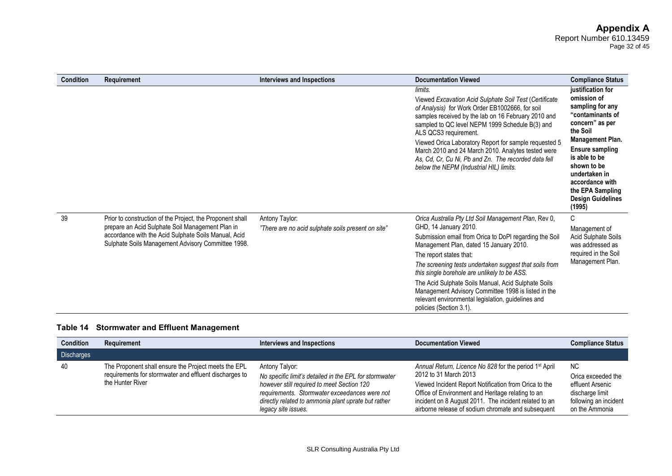Page 32 of 45

| <b>Condition</b> | Requirement                                                                                                                                                                                                                 | Interviews and Inspections                                           | <b>Documentation Viewed</b>                                                                                                                                                                                                                                                                                                                                                                                                                                                                                            | <b>Compliance Status</b>                                                                                                                                                                                                                                                                   |
|------------------|-----------------------------------------------------------------------------------------------------------------------------------------------------------------------------------------------------------------------------|----------------------------------------------------------------------|------------------------------------------------------------------------------------------------------------------------------------------------------------------------------------------------------------------------------------------------------------------------------------------------------------------------------------------------------------------------------------------------------------------------------------------------------------------------------------------------------------------------|--------------------------------------------------------------------------------------------------------------------------------------------------------------------------------------------------------------------------------------------------------------------------------------------|
|                  |                                                                                                                                                                                                                             |                                                                      | limits.<br>Viewed Excavation Acid Sulphate Soil Test (Certificate<br>of Analysis) for Work Order EB1002666, for soil<br>samples received by the lab on 16 February 2010 and<br>sampled to QC level NEPM 1999 Schedule B(3) and<br>ALS QCS3 requirement.<br>Viewed Orica Laboratory Report for sample requested 5<br>March 2010 and 24 March 2010. Analytes tested were<br>As, Cd, Cr, Cu Ni, Pb and Zn. The recorded data fell<br>below the NEPM (Industrial HIL) limits.                                              | justification for<br>omission of<br>sampling for any<br>"contaminants of<br>concern" as per<br>the Soil<br><b>Management Plan.</b><br><b>Ensure sampling</b><br>is able to be<br>shown to be<br>undertaken in<br>accordance with<br>the EPA Sampling<br><b>Design Guidelines</b><br>(1995) |
| 39               | Prior to construction of the Project, the Proponent shall<br>prepare an Acid Sulphate Soil Management Plan in<br>accordance with the Acid Sulphate Soils Manual, Acid<br>Sulphate Soils Management Advisory Committee 1998. | Antony Taylor:<br>"There are no acid sulphate soils present on site" | Orica Australia Pty Ltd Soil Management Plan, Rev 0,<br>GHD, 14 January 2010.<br>Submission email from Orica to DoPI regarding the Soil<br>Management Plan, dated 15 January 2010.<br>The report states that:<br>The screening tests undertaken suggest that soils from<br>this single borehole are unlikely to be ASS.<br>The Acid Sulphate Soils Manual, Acid Sulphate Soils<br>Management Advisory Committee 1998 is listed in the<br>relevant environmental legislation, guidelines and<br>policies (Section 3.1). | C<br>Management of<br><b>Acid Sulphate Soils</b><br>was addressed as<br>required in the Soil<br>Management Plan.                                                                                                                                                                           |

# **Table 14 Stormwater and Effluent Management**

| <b>Condition</b>  | Requirement                                                                                                                        | Interviews and Inspections                                                                                                                                                                                                                            | <b>Documentation Viewed</b>                                                                                                                                                                                                                                                                                              | <b>Compliance Status</b>                                                                                    |
|-------------------|------------------------------------------------------------------------------------------------------------------------------------|-------------------------------------------------------------------------------------------------------------------------------------------------------------------------------------------------------------------------------------------------------|--------------------------------------------------------------------------------------------------------------------------------------------------------------------------------------------------------------------------------------------------------------------------------------------------------------------------|-------------------------------------------------------------------------------------------------------------|
| <b>Discharges</b> |                                                                                                                                    |                                                                                                                                                                                                                                                       |                                                                                                                                                                                                                                                                                                                          |                                                                                                             |
| 40                | The Proponent shall ensure the Project meets the EPL<br>requirements for stormwater and effluent discharges to<br>the Hunter River | Antony Talyor:<br>No specific limit's detailed in the EPL for stormwater<br>however still required to meet Section 120<br>requirements. Stormwater exceedances were not<br>directly related to ammonia plant uprate but rather<br>legacy site issues. | Annual Return, Licence No 828 for the period 1 <sup>st</sup> April<br>2012 to 31 March 2013<br>Viewed Incident Report Notification from Orica to the<br>Office of Environment and Heritage relating to an<br>incident on 8 August 2011. The incident related to an<br>airborne release of sodium chromate and subsequent | NC.<br>Orica exceeded the<br>effluent Arsenic<br>discharge limit<br>following an incident<br>on the Ammonia |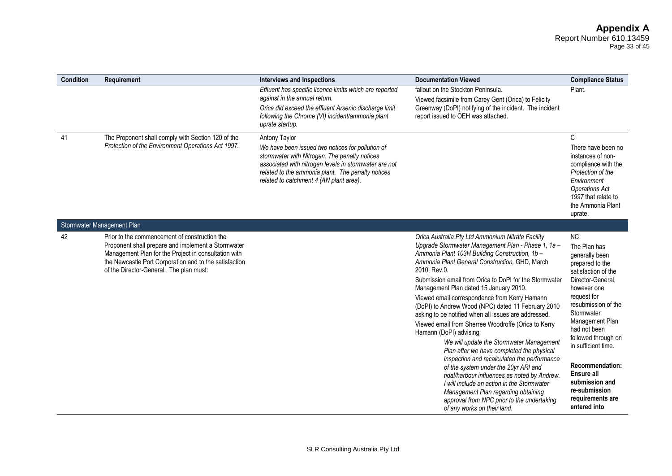#### **Appendix A** Report Number 610.13459 Page 33 of 45

| Condition | Requirement                                                                                                                                                                                                                                                      | <b>Interviews and Inspections</b>                                                                                                                                                                                                                                           | <b>Documentation Viewed</b>                                                                                                                                                                                                                                                                                                                                                                                                                                                                                                                                                                                                                                                               | <b>Compliance Status</b>                                                                                                                                                                                                                                        |
|-----------|------------------------------------------------------------------------------------------------------------------------------------------------------------------------------------------------------------------------------------------------------------------|-----------------------------------------------------------------------------------------------------------------------------------------------------------------------------------------------------------------------------------------------------------------------------|-------------------------------------------------------------------------------------------------------------------------------------------------------------------------------------------------------------------------------------------------------------------------------------------------------------------------------------------------------------------------------------------------------------------------------------------------------------------------------------------------------------------------------------------------------------------------------------------------------------------------------------------------------------------------------------------|-----------------------------------------------------------------------------------------------------------------------------------------------------------------------------------------------------------------------------------------------------------------|
|           |                                                                                                                                                                                                                                                                  | Effluent has specific licence limits which are reported<br>against in the annual return.<br>Orica did exceed the effluent Arsenic discharge limit<br>following the Chrome (VI) incident/ammonia plant<br>uprate startup.                                                    | fallout on the Stockton Peninsula.<br>Viewed facsimile from Carey Gent (Orica) to Felicity<br>Greenway (DoPI) notifying of the incident. The incident<br>report issued to OEH was attached.                                                                                                                                                                                                                                                                                                                                                                                                                                                                                               | Plant.                                                                                                                                                                                                                                                          |
| 41        | The Proponent shall comply with Section 120 of the<br>Protection of the Environment Operations Act 1997.                                                                                                                                                         | Antony Taylor<br>We have been issued two notices for pollution of<br>stormwater with Nitrogen. The penalty notices<br>associated with nitrogen levels in stormwater are not<br>related to the ammonia plant. The penalty notices<br>related to catchment 4 (AN plant area). |                                                                                                                                                                                                                                                                                                                                                                                                                                                                                                                                                                                                                                                                                           | С<br>There have been no<br>instances of non-<br>compliance with the<br>Protection of the<br>Environment<br><b>Operations Act</b><br>1997 that relate to<br>the Ammonia Plant<br>uprate.                                                                         |
|           | Stormwater Management Plan                                                                                                                                                                                                                                       |                                                                                                                                                                                                                                                                             |                                                                                                                                                                                                                                                                                                                                                                                                                                                                                                                                                                                                                                                                                           |                                                                                                                                                                                                                                                                 |
| 42        | Prior to the commencement of construction the<br>Proponent shall prepare and implement a Stormwater<br>Management Plan for the Project in consultation with<br>the Newcastle Port Corporation and to the satisfaction<br>of the Director-General. The plan must: |                                                                                                                                                                                                                                                                             | Orica Australia Pty Ltd Ammonium Nitrate Facility<br>Upgrade Stormwater Management Plan - Phase 1, 1a -<br>Ammonia Plant 103H Building Construction, 1b -<br>Ammonia Plant General Construction, GHD, March<br>2010, Rev.0.<br>Submission email from Orica to DoPI for the Stormwater                                                                                                                                                                                                                                                                                                                                                                                                     | <b>NC</b><br>The Plan has<br>generally been<br>prepared to the<br>satisfaction of the<br>Director-General,                                                                                                                                                      |
|           |                                                                                                                                                                                                                                                                  |                                                                                                                                                                                                                                                                             | Management Plan dated 15 January 2010.<br>Viewed email correspondence from Kerry Hamann<br>(DoPI) to Andrew Wood (NPC) dated 11 February 2010<br>asking to be notified when all issues are addressed.<br>Viewed email from Sherree Woodroffe (Orica to Kerry<br>Hamann (DoPI) advising:<br>We will update the Stormwater Management<br>Plan after we have completed the physical<br>inspection and recalculated the performance<br>of the system under the 20yr ARI and<br>tidal/harbour influences as noted by Andrew.<br>I will include an action in the Stormwater<br>Management Plan regarding obtaining<br>approval from NPC prior to the undertaking<br>of any works on their land. | however one<br>request for<br>resubmission of the<br>Stormwater<br>Management Plan<br>had not been<br>followed through on<br>in sufficient time.<br><b>Recommendation:</b><br>Ensure all<br>submission and<br>re-submission<br>requirements are<br>entered into |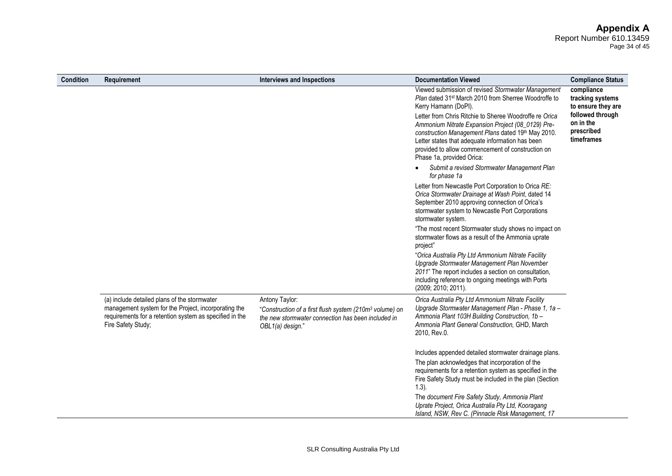# **Appendix A**

Report Number 610.13459 Page 34 of 45

| <b>Condition</b> | Requirement                                                                                                                                                                           | Interviews and Inspections                                                                                                                                      | <b>Documentation Viewed</b>                                                                                                                                                                                                                                                                                                                                                                                                                               | <b>Compliance Status</b>                                                                                          |
|------------------|---------------------------------------------------------------------------------------------------------------------------------------------------------------------------------------|-----------------------------------------------------------------------------------------------------------------------------------------------------------------|-----------------------------------------------------------------------------------------------------------------------------------------------------------------------------------------------------------------------------------------------------------------------------------------------------------------------------------------------------------------------------------------------------------------------------------------------------------|-------------------------------------------------------------------------------------------------------------------|
|                  |                                                                                                                                                                                       |                                                                                                                                                                 | Viewed submission of revised Stormwater Management<br>Plan dated 31 <sup>st</sup> March 2010 from Sherree Woodroffe to<br>Kerry Hamann (DoPI).<br>Letter from Chris Ritchie to Sheree Woodroffe re Orica<br>Ammonium Nitrate Expansion Project (08_0129) Pre-<br>construction Management Plans dated 19th May 2010.<br>Letter states that adequate information has been<br>provided to allow commencement of construction on<br>Phase 1a, provided Orica: | compliance<br>tracking systems<br>to ensure they are<br>followed through<br>on in the<br>prescribed<br>timeframes |
|                  |                                                                                                                                                                                       |                                                                                                                                                                 | Submit a revised Stormwater Management Plan<br>for phase 1a                                                                                                                                                                                                                                                                                                                                                                                               |                                                                                                                   |
|                  |                                                                                                                                                                                       |                                                                                                                                                                 | Letter from Newcastle Port Corporation to Orica RE:<br>Orica Stormwater Drainage at Wash Point, dated 14<br>September 2010 approving connection of Orica's<br>stormwater system to Newcastle Port Corporations<br>stormwater system.                                                                                                                                                                                                                      |                                                                                                                   |
|                  |                                                                                                                                                                                       |                                                                                                                                                                 | "The most recent Stormwater study shows no impact on<br>stormwater flows as a result of the Ammonia uprate<br>project"                                                                                                                                                                                                                                                                                                                                    |                                                                                                                   |
|                  |                                                                                                                                                                                       |                                                                                                                                                                 | "Orica Australia Pty Ltd Ammonium Nitrate Facility<br>Upgrade Stormwater Management Plan November<br>2011" The report includes a section on consultation,<br>including reference to ongoing meetings with Ports<br>(2009; 2010; 2011).                                                                                                                                                                                                                    |                                                                                                                   |
|                  | (a) include detailed plans of the stormwater<br>management system for the Project, incorporating the<br>requirements for a retention system as specified in the<br>Fire Safety Study; | Antony Taylor:<br>"Construction of a first flush system (210m <sup>3</sup> volume) on<br>the new stormwater connection has been included in<br>OBL1(a) design." | Orica Australia Pty Ltd Ammonium Nitrate Facility<br>Upgrade Stormwater Management Plan - Phase 1, 1a -<br>Ammonia Plant 103H Building Construction, 1b -<br>Ammonia Plant General Construction, GHD, March<br>2010, Rev.0.                                                                                                                                                                                                                               |                                                                                                                   |
|                  |                                                                                                                                                                                       |                                                                                                                                                                 | Includes appended detailed stormwater drainage plans.                                                                                                                                                                                                                                                                                                                                                                                                     |                                                                                                                   |
|                  |                                                                                                                                                                                       |                                                                                                                                                                 | The plan acknowledges that incorporation of the<br>requirements for a retention system as specified in the<br>Fire Safety Study must be included in the plan (Section<br>$(1.3)$ .                                                                                                                                                                                                                                                                        |                                                                                                                   |
|                  |                                                                                                                                                                                       |                                                                                                                                                                 | The document Fire Safety Study, Ammonia Plant<br>Uprate Project, Orica Australia Pty Ltd, Kooragang<br>Island, NSW, Rev C. (Pinnacle Risk Management, 17                                                                                                                                                                                                                                                                                                  |                                                                                                                   |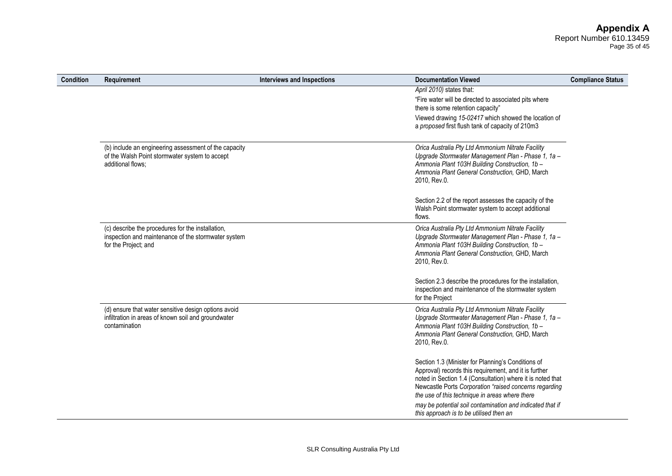| Page 35 of 45 |  |  |
|---------------|--|--|
|               |  |  |

| <b>Condition</b> | Requirement                                                                                                                      | <b>Interviews and Inspections</b> | <b>Documentation Viewed</b>                                                                                                                                                                                                                                                                                                                                                                   | <b>Compliance Status</b> |
|------------------|----------------------------------------------------------------------------------------------------------------------------------|-----------------------------------|-----------------------------------------------------------------------------------------------------------------------------------------------------------------------------------------------------------------------------------------------------------------------------------------------------------------------------------------------------------------------------------------------|--------------------------|
|                  |                                                                                                                                  |                                   | April 2010) states that:<br>"Fire water will be directed to associated pits where<br>there is some retention capacity"<br>Viewed drawing 15-02417 which showed the location of<br>a proposed first flush tank of capacity of 210m3                                                                                                                                                            |                          |
|                  | (b) include an engineering assessment of the capacity<br>of the Walsh Point stormwater system to accept<br>additional flows;     |                                   | Orica Australia Pty Ltd Ammonium Nitrate Facility<br>Upgrade Stormwater Management Plan - Phase 1, 1a -<br>Ammonia Plant 103H Building Construction, 1b -<br>Ammonia Plant General Construction, GHD, March<br>2010, Rev.0.                                                                                                                                                                   |                          |
|                  |                                                                                                                                  |                                   | Section 2.2 of the report assesses the capacity of the<br>Walsh Point stormwater system to accept additional<br>flows.                                                                                                                                                                                                                                                                        |                          |
|                  | (c) describe the procedures for the installation,<br>inspection and maintenance of the stormwater system<br>for the Project; and |                                   | Orica Australia Pty Ltd Ammonium Nitrate Facility<br>Upgrade Stormwater Management Plan - Phase 1, 1a -<br>Ammonia Plant 103H Building Construction, 1b -<br>Ammonia Plant General Construction, GHD, March<br>2010, Rev.0.                                                                                                                                                                   |                          |
|                  |                                                                                                                                  |                                   | Section 2.3 describe the procedures for the installation,<br>inspection and maintenance of the stormwater system<br>for the Project                                                                                                                                                                                                                                                           |                          |
|                  | (d) ensure that water sensitive design options avoid<br>infiltration in areas of known soil and groundwater<br>contamination     |                                   | Orica Australia Pty Ltd Ammonium Nitrate Facility<br>Upgrade Stormwater Management Plan - Phase 1, 1a -<br>Ammonia Plant 103H Building Construction, 1b -<br>Ammonia Plant General Construction, GHD, March<br>2010, Rev.0.                                                                                                                                                                   |                          |
|                  |                                                                                                                                  |                                   | Section 1.3 (Minister for Planning's Conditions of<br>Approval) records this requirement, and it is further<br>noted in Section 1.4 (Consultation) where it is noted that<br>Newcastle Ports Corporation "raised concerns regarding<br>the use of this technique in areas where there<br>may be potential soil contamination and indicated that if<br>this approach is to be utilised then an |                          |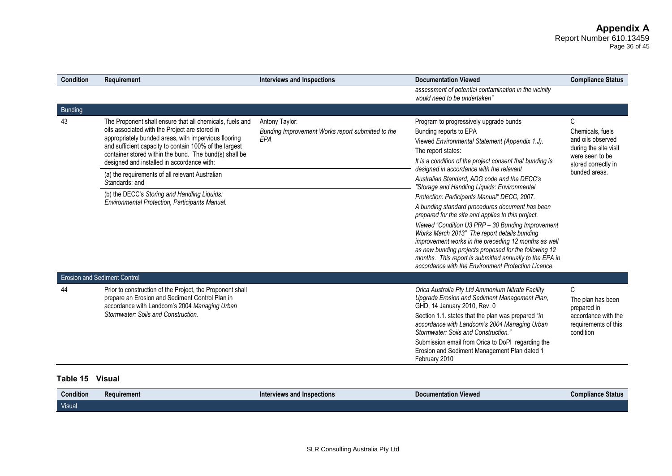| <b>Condition</b> | Requirement                                                                                                                                                                                                                                                                                                                                                                                                                                                                                                 | <b>Interviews and Inspections</b>                                                 | <b>Documentation Viewed</b>                                                                                                                                                                                                                                                                                                                                                                                                                                                                                                                                                                                                                                                                                                                                                                                                                       | <b>Compliance Status</b>                                                                                                       |
|------------------|-------------------------------------------------------------------------------------------------------------------------------------------------------------------------------------------------------------------------------------------------------------------------------------------------------------------------------------------------------------------------------------------------------------------------------------------------------------------------------------------------------------|-----------------------------------------------------------------------------------|---------------------------------------------------------------------------------------------------------------------------------------------------------------------------------------------------------------------------------------------------------------------------------------------------------------------------------------------------------------------------------------------------------------------------------------------------------------------------------------------------------------------------------------------------------------------------------------------------------------------------------------------------------------------------------------------------------------------------------------------------------------------------------------------------------------------------------------------------|--------------------------------------------------------------------------------------------------------------------------------|
|                  |                                                                                                                                                                                                                                                                                                                                                                                                                                                                                                             |                                                                                   | assessment of potential contamination in the vicinity<br>would need to be undertaken"                                                                                                                                                                                                                                                                                                                                                                                                                                                                                                                                                                                                                                                                                                                                                             |                                                                                                                                |
| <b>Bunding</b>   |                                                                                                                                                                                                                                                                                                                                                                                                                                                                                                             |                                                                                   |                                                                                                                                                                                                                                                                                                                                                                                                                                                                                                                                                                                                                                                                                                                                                                                                                                                   |                                                                                                                                |
| 43               | The Proponent shall ensure that all chemicals, fuels and<br>oils associated with the Project are stored in<br>appropriately bunded areas, with impervious flooring<br>and sufficient capacity to contain 100% of the largest<br>container stored within the bund. The bund(s) shall be<br>designed and installed in accordance with:<br>(a) the requirements of all relevant Australian<br>Standards: and<br>(b) the DECC's Storing and Handling Liquids:<br>Environmental Protection, Participants Manual. | Antony Taylor:<br>Bunding Improvement Works report submitted to the<br><b>FPA</b> | Program to progressively upgrade bunds<br>Bunding reports to EPA<br>Viewed Environmental Statement (Appendix 1.J).<br>The report states:<br>It is a condition of the project consent that bunding is<br>designed in accordance with the relevant<br>Australian Standard, ADG code and the DECC's<br>"Storage and Handling Liquids: Environmental<br>Protection: Participants Manual" DECC, 2007.<br>A bunding standard procedures document has been<br>prepared for the site and applies to this project.<br>Viewed "Condition U3 PRP - 30 Bunding Improvement<br>Works March 2013" The report details bunding<br>improvement works in the preceding 12 months as well<br>as new bunding projects proposed for the following 12<br>months. This report is submitted annually to the EPA in<br>accordance with the Environment Protection Licence. | C<br>Chemicals, fuels<br>and oils observed<br>during the site visit<br>were seen to be<br>stored correctly in<br>bunded areas. |
|                  | <b>Erosion and Sediment Control</b>                                                                                                                                                                                                                                                                                                                                                                                                                                                                         |                                                                                   |                                                                                                                                                                                                                                                                                                                                                                                                                                                                                                                                                                                                                                                                                                                                                                                                                                                   |                                                                                                                                |
| 44               | Prior to construction of the Project, the Proponent shall<br>prepare an Erosion and Sediment Control Plan in<br>accordance with Landcom's 2004 Managing Urban<br>Stormwater: Soils and Construction.                                                                                                                                                                                                                                                                                                        |                                                                                   | Orica Australia Pty Ltd Ammonium Nitrate Facility<br>Upgrade Erosion and Sediment Management Plan,<br>GHD, 14 January 2010, Rev. 0<br>Section 1.1. states that the plan was prepared "in<br>accordance with Landcom's 2004 Managing Urban<br>Stormwater: Soils and Construction.'<br>Submission email from Orica to DoPI regarding the<br>Erosion and Sediment Management Plan dated 1<br>February 2010                                                                                                                                                                                                                                                                                                                                                                                                                                           | C<br>The plan has been<br>prepared in<br>accordance with the<br>requirements of this<br>condition                              |

# **Table 15 Visual**

| <b>Condition</b> | <b>Requirement</b> | $\:$ and Inspections $\:$<br><i><b>Interviews</b></i><br>ance v<br>$-10000$ | $\cdots$<br><b>Viewec</b><br><b>Documentation</b> | : Status<br>Compliance |
|------------------|--------------------|-----------------------------------------------------------------------------|---------------------------------------------------|------------------------|
| Visual           |                    |                                                                             |                                                   |                        |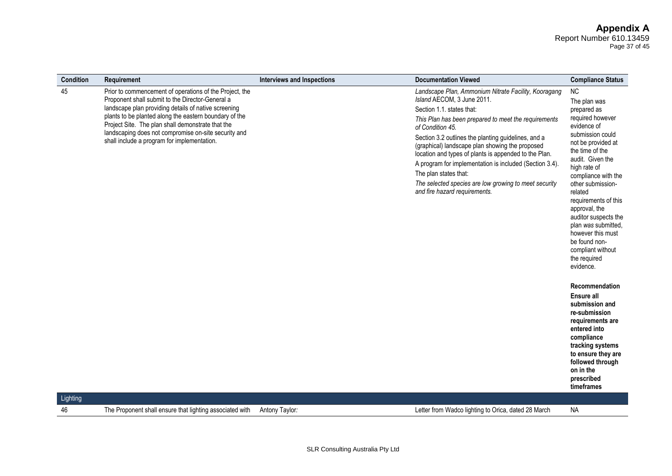# **Appendix A**

Report Number 610.13459 Page 37 of 45

| <b>Condition</b> | Requirement                                                                                                                                                                                                                                                                                                                                                                               | <b>Interviews and Inspections</b> | <b>Documentation Viewed</b>                                                                                                                                                                                                                                                                                                                                                                                                                                                                                                                  | <b>Compliance Status</b>                                                                                                                                                                                                                                                                                                                                                                                                                                                                                                                                                                                                                        |
|------------------|-------------------------------------------------------------------------------------------------------------------------------------------------------------------------------------------------------------------------------------------------------------------------------------------------------------------------------------------------------------------------------------------|-----------------------------------|----------------------------------------------------------------------------------------------------------------------------------------------------------------------------------------------------------------------------------------------------------------------------------------------------------------------------------------------------------------------------------------------------------------------------------------------------------------------------------------------------------------------------------------------|-------------------------------------------------------------------------------------------------------------------------------------------------------------------------------------------------------------------------------------------------------------------------------------------------------------------------------------------------------------------------------------------------------------------------------------------------------------------------------------------------------------------------------------------------------------------------------------------------------------------------------------------------|
| 45               | Prior to commencement of operations of the Project, the<br>Proponent shall submit to the Director-General a<br>landscape plan providing details of native screening<br>plants to be planted along the eastern boundary of the<br>Project Site. The plan shall demonstrate that the<br>landscaping does not compromise on-site security and<br>shall include a program for implementation. |                                   | Landscape Plan, Ammonium Nitrate Facility, Kooragang<br>Island AECOM, 3 June 2011.<br>Section 1.1. states that:<br>This Plan has been prepared to meet the requirements<br>of Condition 45.<br>Section 3.2 outlines the planting guidelines, and a<br>(graphical) landscape plan showing the proposed<br>location and types of plants is appended to the Plan.<br>A program for implementation is included (Section 3.4).<br>The plan states that:<br>The selected species are low growing to meet security<br>and fire hazard requirements. | <b>NC</b><br>The plan was<br>prepared as<br>required however<br>evidence of<br>submission could<br>not be provided at<br>the time of the<br>audit. Given the<br>high rate of<br>compliance with the<br>other submission-<br>related<br>requirements of this<br>approval, the<br>auditor suspects the<br>plan was submitted,<br>however this must<br>be found non-<br>compliant without<br>the required<br>evidence.<br>Recommendation<br>Ensure all<br>submission and<br>re-submission<br>requirements are<br>entered into<br>compliance<br>tracking systems<br>to ensure they are<br>followed through<br>on in the<br>prescribed<br>timeframes |
| Lighting         |                                                                                                                                                                                                                                                                                                                                                                                           |                                   |                                                                                                                                                                                                                                                                                                                                                                                                                                                                                                                                              |                                                                                                                                                                                                                                                                                                                                                                                                                                                                                                                                                                                                                                                 |
| 46               | The Proponent shall ensure that lighting associated with                                                                                                                                                                                                                                                                                                                                  | Antony Taylor:                    | Letter from Wadco lighting to Orica, dated 28 March                                                                                                                                                                                                                                                                                                                                                                                                                                                                                          | <b>NA</b>                                                                                                                                                                                                                                                                                                                                                                                                                                                                                                                                                                                                                                       |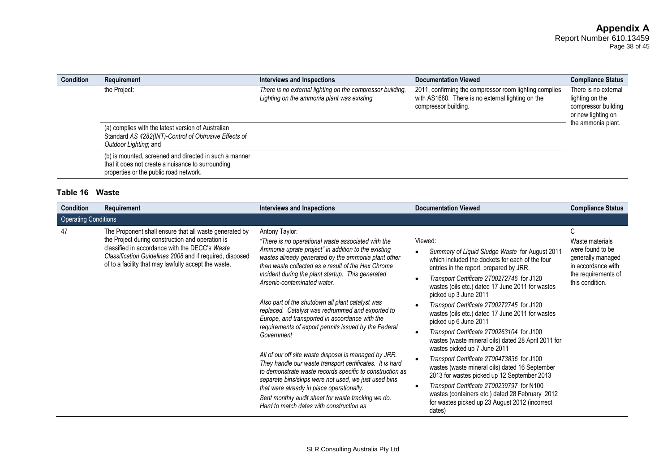| <b>Condition</b> | Requirement                                                                                                                                           | Interviews and Inspections                                                                              | <b>Documentation Viewed</b>                                                                                                         | <b>Compliance Status</b>                                                                                   |
|------------------|-------------------------------------------------------------------------------------------------------------------------------------------------------|---------------------------------------------------------------------------------------------------------|-------------------------------------------------------------------------------------------------------------------------------------|------------------------------------------------------------------------------------------------------------|
|                  | the Project:<br>(a) complies with the latest version of Australian<br>Standard AS 4282(INT)-Control of Obtrusive Effects of<br>Outdoor Lighting; and  | There is no external lighting on the compressor building.<br>Lighting on the ammonia plant was existing | 2011, confirming the compressor room lighting complies<br>with AS1680. There is no external lighting on the<br>compressor building. | There is no external<br>lighting on the<br>compressor building<br>or new lighting on<br>the ammonia plant. |
|                  | (b) is mounted, screened and directed in such a manner<br>that it does not create a nuisance to surrounding<br>properties or the public road network. |                                                                                                         |                                                                                                                                     |                                                                                                            |

# **Table 16 Waste**

| <b>Condition</b>            | Requirement                                                                                                                                                                                                                                                                      | <b>Interviews and Inspections</b>                                                                                                                                                                                                                                                                                                                                                                                                                                                                                                                                                                                                                                                                                                                                                                                                                                                                                                                    | <b>Documentation Viewed</b>                                                                                                                                                                                                                                                                                                                                                                                                                                                                                                                                                                                                                                                                                                                                                                                                                               | <b>Compliance Status</b>                                                                                                      |
|-----------------------------|----------------------------------------------------------------------------------------------------------------------------------------------------------------------------------------------------------------------------------------------------------------------------------|------------------------------------------------------------------------------------------------------------------------------------------------------------------------------------------------------------------------------------------------------------------------------------------------------------------------------------------------------------------------------------------------------------------------------------------------------------------------------------------------------------------------------------------------------------------------------------------------------------------------------------------------------------------------------------------------------------------------------------------------------------------------------------------------------------------------------------------------------------------------------------------------------------------------------------------------------|-----------------------------------------------------------------------------------------------------------------------------------------------------------------------------------------------------------------------------------------------------------------------------------------------------------------------------------------------------------------------------------------------------------------------------------------------------------------------------------------------------------------------------------------------------------------------------------------------------------------------------------------------------------------------------------------------------------------------------------------------------------------------------------------------------------------------------------------------------------|-------------------------------------------------------------------------------------------------------------------------------|
| <b>Operating Conditions</b> |                                                                                                                                                                                                                                                                                  |                                                                                                                                                                                                                                                                                                                                                                                                                                                                                                                                                                                                                                                                                                                                                                                                                                                                                                                                                      |                                                                                                                                                                                                                                                                                                                                                                                                                                                                                                                                                                                                                                                                                                                                                                                                                                                           |                                                                                                                               |
| 47                          | The Proponent shall ensure that all waste generated by<br>the Project during construction and operation is<br>classified in accordance with the DECC's Waste<br>Classification Guidelines 2008 and if required, disposed<br>of to a facility that may lawfully accept the waste. | Antony Taylor:<br>"There is no operational waste associated with the<br>Ammonia uprate project" in addition to the existing<br>wastes already generated by the ammonia plant other<br>than waste collected as a result of the Hex Chrome<br>incident during the plant startup. This generated<br>Arsenic-contaminated water.<br>Also part of the shutdown all plant catalyst was<br>replaced. Catalyst was redrummed and exported to<br>Europe, and transported in accordance with the<br>requirements of export permits issued by the Federal<br>Government<br>All of our off site waste disposal is managed by JRR.<br>They handle our waste transport certificates. It is hard<br>to demonstrate waste records specific to construction as<br>separate bins/skips were not used, we just used bins<br>that were already in place operationally.<br>Sent monthly audit sheet for waste tracking we do.<br>Hard to match dates with construction as | Viewed:<br>Summary of Liquid Sludge Waste for August 2011<br>which included the dockets for each of the four<br>entries in the report, prepared by JRR.<br>Transport Certificate 2T00272746 for J120<br>wastes (oils etc.) dated 17 June 2011 for wastes<br>picked up 3 June 2011<br>Transport Certificate 2T00272745 for J120<br>wastes (oils etc.) dated 17 June 2011 for wastes<br>picked up 6 June 2011<br>Transport Certificate 2T00263104 for J100<br>wastes (waste mineral oils) dated 28 April 2011 for<br>wastes picked up 7 June 2011<br>Transport Certificate 2T00473836 for J100<br>wastes (waste mineral oils) dated 16 September<br>2013 for wastes picked up 12 September 2013<br>Transport Certificate 2T00239797 for N100<br>wastes (containers etc.) dated 28 February 2012<br>for wastes picked up 23 August 2012 (incorrect<br>dates) | C<br>Waste materials<br>were found to be<br>generally managed<br>in accordance with<br>the requirements of<br>this condition. |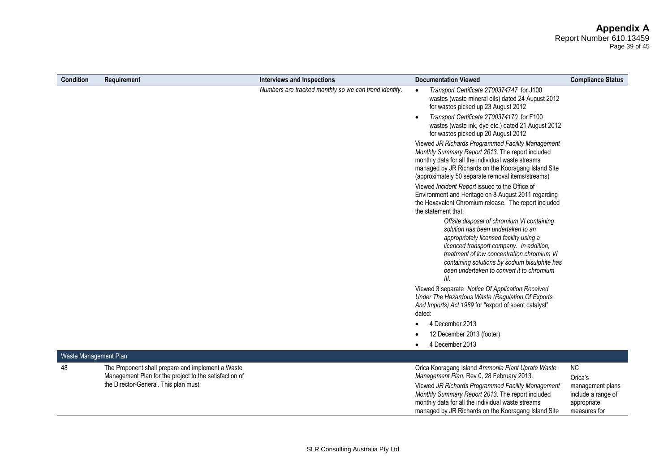Page 39 of 45

| <b>Condition</b> | Requirement                                                                                                 | <b>Interviews and Inspections</b>                     | <b>Documentation Viewed</b>                                                                                                                                                                                                                                                                                                 | <b>Compliance Status</b>                                              |
|------------------|-------------------------------------------------------------------------------------------------------------|-------------------------------------------------------|-----------------------------------------------------------------------------------------------------------------------------------------------------------------------------------------------------------------------------------------------------------------------------------------------------------------------------|-----------------------------------------------------------------------|
|                  |                                                                                                             | Numbers are tracked monthly so we can trend identify. | Transport Certificate 2T00374747 for J100<br>wastes (waste mineral oils) dated 24 August 2012<br>for wastes picked up 23 August 2012                                                                                                                                                                                        |                                                                       |
|                  |                                                                                                             |                                                       | Transport Certificate 2T00374170 for F100<br>wastes (waste ink, dye etc.) dated 21 August 2012<br>for wastes picked up 20 August 2012                                                                                                                                                                                       |                                                                       |
|                  |                                                                                                             |                                                       | Viewed JR Richards Programmed Facility Management<br>Monthly Summary Report 2013. The report included<br>monthly data for all the individual waste streams<br>managed by JR Richards on the Kooragang Island Site<br>(approximately 50 separate removal items/streams)                                                      |                                                                       |
|                  |                                                                                                             |                                                       | Viewed Incident Report issued to the Office of<br>Environment and Heritage on 8 August 2011 regarding<br>the Hexavalent Chromium release. The report included<br>the statement that:                                                                                                                                        |                                                                       |
|                  |                                                                                                             |                                                       | Offsite disposal of chromium VI containing<br>solution has been undertaken to an<br>appropriately licensed facility using a<br>licenced transport company. In addition,<br>treatment of low concentration chromium VI<br>containing solutions by sodium bisulphite has<br>been undertaken to convert it to chromium<br>III. |                                                                       |
|                  |                                                                                                             |                                                       | Viewed 3 separate Notice Of Application Received<br>Under The Hazardous Waste (Regulation Of Exports<br>And Imports) Act 1989 for "export of spent catalyst"<br>dated:                                                                                                                                                      |                                                                       |
|                  |                                                                                                             |                                                       | 4 December 2013                                                                                                                                                                                                                                                                                                             |                                                                       |
|                  |                                                                                                             |                                                       | 12 December 2013 (footer)                                                                                                                                                                                                                                                                                                   |                                                                       |
|                  |                                                                                                             |                                                       | 4 December 2013                                                                                                                                                                                                                                                                                                             |                                                                       |
|                  | Waste Management Plan                                                                                       |                                                       |                                                                                                                                                                                                                                                                                                                             |                                                                       |
| 48               | The Proponent shall prepare and implement a Waste<br>Management Plan for the project to the satisfaction of |                                                       | Orica Kooragang Island Ammonia Plant Uprate Waste<br>Management Plan, Rev 0, 28 February 2013.                                                                                                                                                                                                                              | NC<br>Orica's                                                         |
|                  | the Director-General. This plan must:                                                                       |                                                       | Viewed JR Richards Programmed Facility Management<br>Monthly Summary Report 2013. The report included<br>monthly data for all the individual waste streams<br>managed by JR Richards on the Kooragang Island Site                                                                                                           | management plans<br>include a range of<br>appropriate<br>measures for |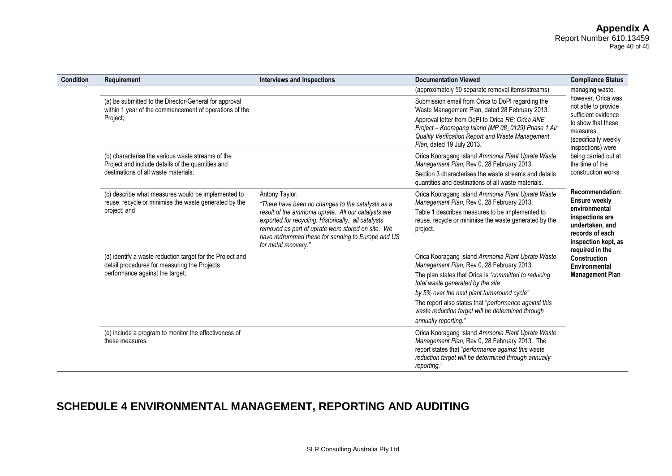#### **Appendix A** Report Number 610.13459 Page 40 of 45

| <b>Condition</b> | Requirement                                                                                                                                  | <b>Interviews and Inspections</b>                                                                                                                                                                                                            | <b>Documentation Viewed</b>                                                                                                                                                                                                                                                                     | <b>Compliance Status</b>                                                                                                                        |
|------------------|----------------------------------------------------------------------------------------------------------------------------------------------|----------------------------------------------------------------------------------------------------------------------------------------------------------------------------------------------------------------------------------------------|-------------------------------------------------------------------------------------------------------------------------------------------------------------------------------------------------------------------------------------------------------------------------------------------------|-------------------------------------------------------------------------------------------------------------------------------------------------|
|                  |                                                                                                                                              |                                                                                                                                                                                                                                              | (approximately 50 separate removal items/streams)                                                                                                                                                                                                                                               | managing waste,                                                                                                                                 |
|                  | (a) be submitted to the Director-General for approval<br>within 1 year of the commencement of operations of the<br>Project;                  |                                                                                                                                                                                                                                              | Submission email from Orica to DoPI regarding the<br>Waste Management Plan, dated 28 February 2013.<br>Approval letter from DoPI to Orica RE: Orica ANE<br>Project - Kooragang Island (MP 08_0129) Phase 1 Air<br>Quality Verification Report and Waste Management<br>Plan, dated 19 July 2013. | however. Orica was<br>not able to provide<br>sufficient evidence<br>to show that these<br>measures<br>(specifically weekly<br>inspections) were |
|                  | (b) characterise the various waste streams of the<br>Project and include details of the quantities and                                       |                                                                                                                                                                                                                                              | Orica Kooragang Island Ammonia Plant Uprate Waste<br>Management Plan, Rev 0, 28 February 2013.                                                                                                                                                                                                  | being carried out at<br>the time of the                                                                                                         |
|                  | destinations of all waste materials;                                                                                                         |                                                                                                                                                                                                                                              | Section 3 characterises the waste streams and details<br>quantities and destinations of all waste materials.                                                                                                                                                                                    | construction works                                                                                                                              |
|                  | (c) describe what measures would be implemented to<br>reuse, recycle or minimise the waste generated by the                                  | Antony Taylor:<br>"There have been no changes to the catalysts as a                                                                                                                                                                          | Orica Kooragang Island Ammonia Plant Uprate Waste<br>Management Plan, Rev 0, 28 February 2013.                                                                                                                                                                                                  | Recommendation:<br><b>Ensure weekly</b>                                                                                                         |
|                  | project; and                                                                                                                                 | result of the ammonia uprate. All our catalysts are<br>exported for recycling. Historically, all catalysts<br>removed as part of uprate were stored on site. We<br>have redrummed these for sending to Europe and US<br>for metal recovery." | Table 1 describes measures to be implemented to<br>reuse, recycle or minimise the waste generated by the<br>project.                                                                                                                                                                            | environmental<br>inspections are<br>undertaken, and<br>records of each<br>inspection kept, as<br>required in the                                |
|                  | (d) identify a waste reduction target for the Project and<br>detail procedures for measuring the Projects<br>performance against the target; |                                                                                                                                                                                                                                              | Orica Kooragang Island Ammonia Plant Uprate Waste<br>Management Plan, Rev 0, 28 February 2013.                                                                                                                                                                                                  | Construction<br>Environmental                                                                                                                   |
|                  |                                                                                                                                              |                                                                                                                                                                                                                                              | The plan states that Orica is "committed to reducing<br>total waste generated by the site                                                                                                                                                                                                       | <b>Management Plan</b>                                                                                                                          |
|                  |                                                                                                                                              |                                                                                                                                                                                                                                              | by 5% over the next plant turnaround cycle"                                                                                                                                                                                                                                                     |                                                                                                                                                 |
|                  |                                                                                                                                              |                                                                                                                                                                                                                                              | The report also states that "performance against this<br>waste reduction target will be determined through<br>annually reporting."                                                                                                                                                              |                                                                                                                                                 |
|                  | (e) include a program to monitor the effectiveness of<br>these measures.                                                                     |                                                                                                                                                                                                                                              | Orica Kooragang Island Ammonia Plant Uprate Waste<br>Management Plan, Rev 0, 28 February 2013. The<br>report states that "performance against this waste<br>reduction target will be determined through annually<br>reporting.                                                                  |                                                                                                                                                 |

# **SCHEDULE 4 ENVIRONMENTAL MANAGEMENT, REPORTING AND AUDITING**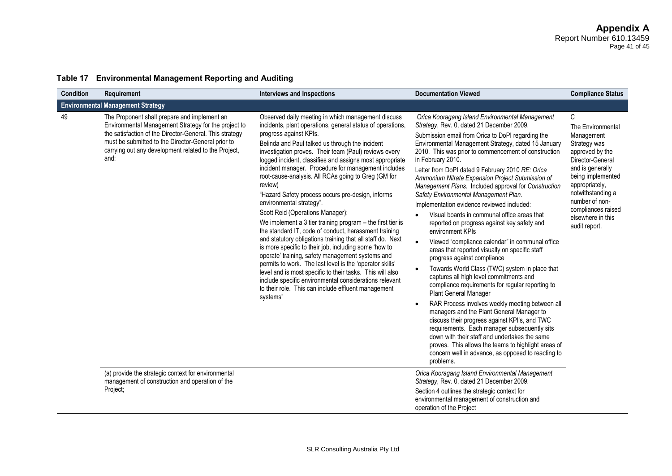| <b>Condition</b> | <b>Requirement</b>                                                                                                                                                                                                                                                                    | <b>Interviews and Inspections</b>                                                                                                                                                                                                                                                                                                                                                                                                                                                                                                                                                                                                                                                                                                                                                                                                                                                                                                                                                                                                                                                                                          | <b>Documentation Viewed</b>                                                                                                                                                                                                                                                                                                                                                                                                                                                                                                                                                                                                                                                                                                                                                                                                                                                                                                                                                                                                                                                                                                                                                                                                                                                                                                                                                                     | <b>Compliance Status</b>                                                                                                                                                                                                                                  |
|------------------|---------------------------------------------------------------------------------------------------------------------------------------------------------------------------------------------------------------------------------------------------------------------------------------|----------------------------------------------------------------------------------------------------------------------------------------------------------------------------------------------------------------------------------------------------------------------------------------------------------------------------------------------------------------------------------------------------------------------------------------------------------------------------------------------------------------------------------------------------------------------------------------------------------------------------------------------------------------------------------------------------------------------------------------------------------------------------------------------------------------------------------------------------------------------------------------------------------------------------------------------------------------------------------------------------------------------------------------------------------------------------------------------------------------------------|-------------------------------------------------------------------------------------------------------------------------------------------------------------------------------------------------------------------------------------------------------------------------------------------------------------------------------------------------------------------------------------------------------------------------------------------------------------------------------------------------------------------------------------------------------------------------------------------------------------------------------------------------------------------------------------------------------------------------------------------------------------------------------------------------------------------------------------------------------------------------------------------------------------------------------------------------------------------------------------------------------------------------------------------------------------------------------------------------------------------------------------------------------------------------------------------------------------------------------------------------------------------------------------------------------------------------------------------------------------------------------------------------|-----------------------------------------------------------------------------------------------------------------------------------------------------------------------------------------------------------------------------------------------------------|
|                  | <b>Environmental Management Strategy</b>                                                                                                                                                                                                                                              |                                                                                                                                                                                                                                                                                                                                                                                                                                                                                                                                                                                                                                                                                                                                                                                                                                                                                                                                                                                                                                                                                                                            |                                                                                                                                                                                                                                                                                                                                                                                                                                                                                                                                                                                                                                                                                                                                                                                                                                                                                                                                                                                                                                                                                                                                                                                                                                                                                                                                                                                                 |                                                                                                                                                                                                                                                           |
| 49               | The Proponent shall prepare and implement an<br>Environmental Management Strategy for the project to<br>the satisfaction of the Director-General. This strategy<br>must be submitted to the Director-General prior to<br>carrying out any development related to the Project,<br>and: | Observed daily meeting in which management discuss<br>incidents, plant operations, general status of operations,<br>progress against KPIs.<br>Belinda and Paul talked us through the incident<br>investigation proves. Their team (Paul) reviews every<br>logged incident, classifies and assigns most appropriate<br>incident manager. Procedure for management includes<br>root-cause-analysis. All RCAs going to Greg (GM for<br>review)<br>"Hazard Safety process occurs pre-design, informs<br>environmental strategy".<br>Scott Reid (Operations Manager):<br>We implement a 3 tier training program $-$ the first tier is<br>the standard IT, code of conduct, harassment training<br>and statutory obligations training that all staff do. Next<br>is more specific to their job, including some 'how to<br>operate' training, safety management systems and<br>permits to work. The last level is the 'operator skills'<br>level and is most specific to their tasks. This will also<br>include specific environmental considerations relevant<br>to their role. This can include effluent management<br>systems" | Orica Kooragang Island Environmental Management<br>Strategy, Rev. 0, dated 21 December 2009.<br>Submission email from Orica to DoPI regarding the<br>Environmental Management Strategy, dated 15 January<br>2010. This was prior to commencement of construction<br>in February 2010.<br>Letter from DoPI dated 9 February 2010 RE: Orica<br>Ammonium Nitrate Expansion Project Submission of<br>Management Plans. Included approval for Construction<br>Safety Environmental Management Plan.<br>Implementation evidence reviewed included:<br>Visual boards in communal office areas that<br>reported on progress against key safety and<br>environment KPIs<br>Viewed "compliance calendar" in communal office<br>$\bullet$<br>areas that reported visually on specific staff<br>progress against compliance<br>Towards World Class (TWC) system in place that<br>$\bullet$<br>captures all high level commitments and<br>compliance requirements for regular reporting to<br>Plant General Manager<br>RAR Process involves weekly meeting between all<br>$\bullet$<br>managers and the Plant General Manager to<br>discuss their progress against KPI's, and TWC<br>requirements. Each manager subsequently sits<br>down with their staff and undertakes the same<br>proves. This allows the teams to highlight areas of<br>concern well in advance, as opposed to reacting to<br>problems. | C<br>The Environmental<br>Management<br>Strategy was<br>approved by the<br>Director-General<br>and is generally<br>being implemented<br>appropriately,<br>notwithstanding a<br>number of non-<br>compliances raised<br>elsewhere in this<br>audit report. |
|                  | (a) provide the strategic context for environmental<br>management of construction and operation of the<br>Project;                                                                                                                                                                    |                                                                                                                                                                                                                                                                                                                                                                                                                                                                                                                                                                                                                                                                                                                                                                                                                                                                                                                                                                                                                                                                                                                            | Orica Kooragang Island Environmental Management<br>Strategy, Rev. 0, dated 21 December 2009.<br>Section 4 outlines the strategic context for<br>environmental management of construction and<br>operation of the Project                                                                                                                                                                                                                                                                                                                                                                                                                                                                                                                                                                                                                                                                                                                                                                                                                                                                                                                                                                                                                                                                                                                                                                        |                                                                                                                                                                                                                                                           |

### **Table 17 Environmental Management Reporting and Auditing**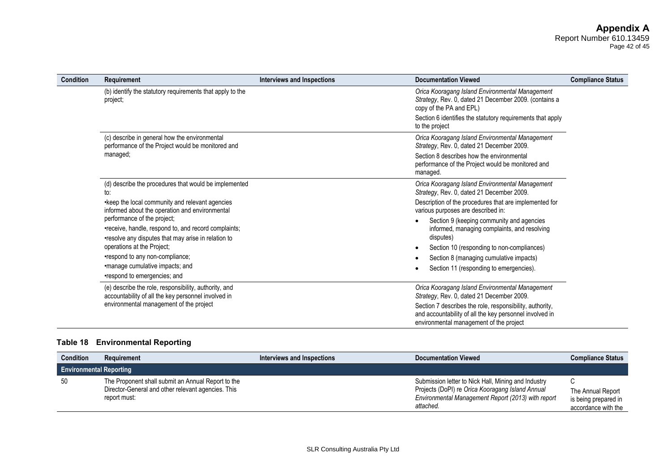#### **Appendix A** Report Number 610.13459 Page 42 of 45

| <b>Condition</b> | Requirement                                                                                                                                | Interviews and Inspections | <b>Documentation Viewed</b>                                                                                                                                    | <b>Compliance Status</b> |
|------------------|--------------------------------------------------------------------------------------------------------------------------------------------|----------------------------|----------------------------------------------------------------------------------------------------------------------------------------------------------------|--------------------------|
|                  | (b) identify the statutory requirements that apply to the<br>project;                                                                      |                            | Orica Kooragang Island Environmental Management<br>Strategy, Rev. 0, dated 21 December 2009. (contains a<br>copy of the PA and EPL)                            |                          |
|                  |                                                                                                                                            |                            | Section 6 identifies the statutory requirements that apply<br>to the project                                                                                   |                          |
|                  | (c) describe in general how the environmental<br>performance of the Project would be monitored and                                         |                            | Orica Kooragang Island Environmental Management<br>Strategy, Rev. 0, dated 21 December 2009.                                                                   |                          |
|                  | managed;                                                                                                                                   |                            | Section 8 describes how the environmental<br>performance of the Project would be monitored and<br>managed.                                                     |                          |
|                  | (d) describe the procedures that would be implemented<br>to:                                                                               |                            | Orica Kooragang Island Environmental Management<br>Strategy, Rev. 0, dated 21 December 2009.                                                                   |                          |
|                  | • keep the local community and relevant agencies<br>informed about the operation and environmental                                         |                            | Description of the procedures that are implemented for<br>various purposes are described in:                                                                   |                          |
|                  | performance of the project;<br>•receive, handle, respond to, and record complaints;<br>•resolve any disputes that may arise in relation to |                            | Section 9 (keeping community and agencies<br>informed, managing complaints, and resolving<br>disputes)                                                         |                          |
|                  | operations at the Project;                                                                                                                 |                            | Section 10 (responding to non-compliances)                                                                                                                     |                          |
|                  | •respond to any non-compliance;                                                                                                            |                            | Section 8 (managing cumulative impacts)                                                                                                                        |                          |
|                  | •manage cumulative impacts; and<br>•respond to emergencies; and                                                                            |                            | Section 11 (responding to emergencies).                                                                                                                        |                          |
|                  | (e) describe the role, responsibility, authority, and<br>accountability of all the key personnel involved in                               |                            | Orica Kooragang Island Environmental Management<br>Strategy, Rev. 0, dated 21 December 2009.                                                                   |                          |
|                  | environmental management of the project                                                                                                    |                            | Section 7 describes the role, responsibility, authority,<br>and accountability of all the key personnel involved in<br>environmental management of the project |                          |

### **Table 18 Environmental Reporting**

| <b>Condition</b>               | Requirement                                                                                                              | Interviews and Inspections | <b>Documentation Viewed</b>                                                                                                                                                | <b>Compliance Status</b>                                              |
|--------------------------------|--------------------------------------------------------------------------------------------------------------------------|----------------------------|----------------------------------------------------------------------------------------------------------------------------------------------------------------------------|-----------------------------------------------------------------------|
| <b>Environmental Reporting</b> |                                                                                                                          |                            |                                                                                                                                                                            |                                                                       |
| 50                             | The Proponent shall submit an Annual Report to the<br>Director-General and other relevant agencies. This<br>report must: |                            | Submission letter to Nick Hall, Mining and Industry<br>Projects (DoPI) re Orica Kooragang Island Annual<br>Environmental Management Report (2013) with report<br>attached. | C<br>The Annual Report<br>is being prepared in<br>accordance with the |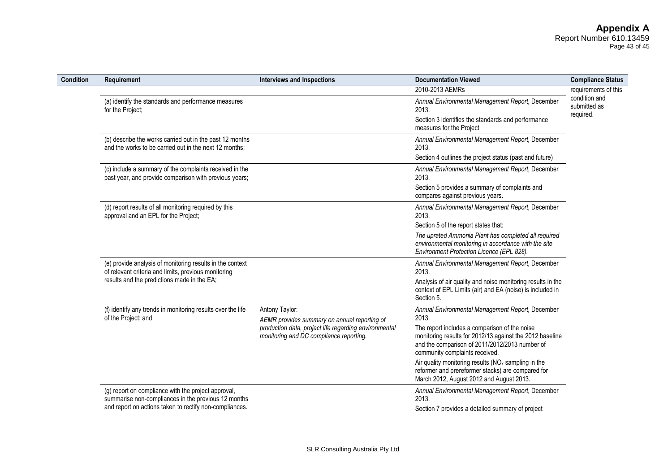| Condition | Requirement                                                                                                        | <b>Interviews and Inspections</b>                                                                | <b>Documentation Viewed</b>                                                                                                                                                                   | <b>Compliance Status</b>      |
|-----------|--------------------------------------------------------------------------------------------------------------------|--------------------------------------------------------------------------------------------------|-----------------------------------------------------------------------------------------------------------------------------------------------------------------------------------------------|-------------------------------|
|           |                                                                                                                    |                                                                                                  | 2010-2013 AEMRs                                                                                                                                                                               | requirements of this          |
|           | (a) identify the standards and performance measures<br>for the Project;                                            |                                                                                                  | Annual Environmental Management Report, December<br>2013.                                                                                                                                     | condition and<br>submitted as |
|           |                                                                                                                    |                                                                                                  | Section 3 identifies the standards and performance<br>measures for the Project                                                                                                                | required.                     |
|           | (b) describe the works carried out in the past 12 months<br>and the works to be carried out in the next 12 months; |                                                                                                  | Annual Environmental Management Report, December<br>2013.                                                                                                                                     |                               |
|           |                                                                                                                    |                                                                                                  | Section 4 outlines the project status (past and future)                                                                                                                                       |                               |
|           | (c) include a summary of the complaints received in the<br>past year, and provide comparison with previous years;  |                                                                                                  | Annual Environmental Management Report, December<br>2013.                                                                                                                                     |                               |
|           |                                                                                                                    |                                                                                                  | Section 5 provides a summary of complaints and<br>compares against previous years.                                                                                                            |                               |
|           | (d) report results of all monitoring required by this<br>approval and an EPL for the Project;                      |                                                                                                  | Annual Environmental Management Report, December<br>2013.                                                                                                                                     |                               |
|           |                                                                                                                    |                                                                                                  | Section 5 of the report states that:                                                                                                                                                          |                               |
|           |                                                                                                                    |                                                                                                  | The uprated Ammonia Plant has completed all required<br>environmental monitoring in accordance with the site<br>Environment Protection Licence (EPL 828).                                     |                               |
|           | (e) provide analysis of monitoring results in the context<br>of relevant criteria and limits, previous monitoring  |                                                                                                  | Annual Environmental Management Report, December<br>2013.                                                                                                                                     |                               |
|           | results and the predictions made in the EA;                                                                        |                                                                                                  | Analysis of air quality and noise monitoring results in the<br>context of EPL Limits (air) and EA (noise) is included in<br>Section 5.                                                        |                               |
|           | (f) identify any trends in monitoring results over the life<br>of the Project; and                                 | Antony Taylor:<br>AEMR provides summary on annual reporting of                                   | Annual Environmental Management Report, December<br>2013.                                                                                                                                     |                               |
|           |                                                                                                                    | production data, project life regarding environmental<br>monitoring and DC compliance reporting. | The report includes a comparison of the noise<br>monitoring results for 2012/13 against the 2012 baseline<br>and the comparison of 2011/2012/2013 number of<br>community complaints received. |                               |
|           |                                                                                                                    |                                                                                                  | Air quality monitoring results $(NOx$ sampling in the<br>reformer and prereformer stacks) are compared for<br>March 2012, August 2012 and August 2013.                                        |                               |
|           | (g) report on compliance with the project approval,<br>summarise non-compliances in the previous 12 months         |                                                                                                  | Annual Environmental Management Report, December<br>2013.                                                                                                                                     |                               |
|           | and report on actions taken to rectify non-compliances.                                                            |                                                                                                  | Section 7 provides a detailed summary of project                                                                                                                                              |                               |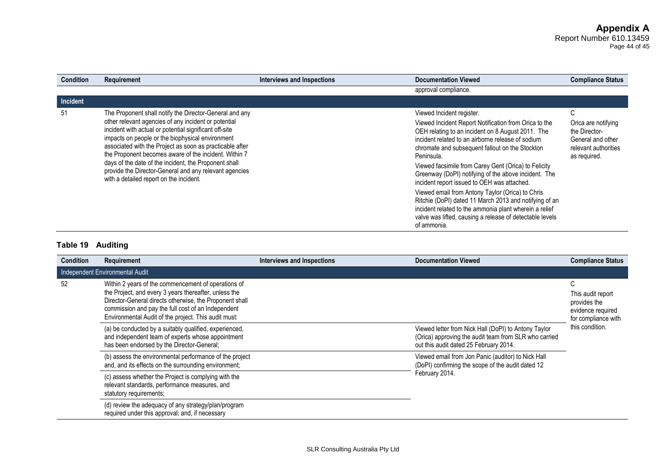Page 44 of 45

| <b>Condition</b> | <b>Requirement</b>                                                                                                                                                                                                                                                                                                                                                                                                                                                                                               | <b>Interviews and Inspections</b> | <b>Documentation Viewed</b>                                                                                                                                                                                                                                                                                                                                                                                                                                                                                                                                                                                                                                                     | <b>Compliance Status</b>                                                                                         |
|------------------|------------------------------------------------------------------------------------------------------------------------------------------------------------------------------------------------------------------------------------------------------------------------------------------------------------------------------------------------------------------------------------------------------------------------------------------------------------------------------------------------------------------|-----------------------------------|---------------------------------------------------------------------------------------------------------------------------------------------------------------------------------------------------------------------------------------------------------------------------------------------------------------------------------------------------------------------------------------------------------------------------------------------------------------------------------------------------------------------------------------------------------------------------------------------------------------------------------------------------------------------------------|------------------------------------------------------------------------------------------------------------------|
|                  |                                                                                                                                                                                                                                                                                                                                                                                                                                                                                                                  |                                   | approval compliance.                                                                                                                                                                                                                                                                                                                                                                                                                                                                                                                                                                                                                                                            |                                                                                                                  |
| Incident         |                                                                                                                                                                                                                                                                                                                                                                                                                                                                                                                  |                                   |                                                                                                                                                                                                                                                                                                                                                                                                                                                                                                                                                                                                                                                                                 |                                                                                                                  |
| 51               | The Proponent shall notify the Director-General and any<br>other relevant agencies of any incident or potential<br>incident with actual or potential significant off-site<br>impacts on people or the biophysical environment<br>associated with the Project as soon as practicable after<br>the Proponent becomes aware of the incident. Within 7<br>days of the date of the incident, the Proponent shall<br>provide the Director-General and any relevant agencies<br>with a detailed report on the incident. |                                   | Viewed Incident register.<br>Viewed Incident Report Notification from Orica to the<br>OEH relating to an incident on 8 August 2011. The<br>incident related to an airborne release of sodium<br>chromate and subsequent fallout on the Stockton<br>Peninsula.<br>Viewed facsimile from Carey Gent (Orica) to Felicity<br>Greenway (DoPI) notifying of the above incident. The<br>incident report issued to OEH was attached.<br>Viewed email from Antony Taylor (Orica) to Chris<br>Ritchie (DoPI) dated 11 March 2013 and notifying of an<br>incident related to the ammonia plant wherein a relief<br>valve was lifted, causing a release of detectable levels<br>of ammonia. | $\sim$<br>U<br>Orica are notifying<br>the Director-<br>General and other<br>relevant authorities<br>as required. |

# **Table 19 Auditing**

| <b>Condition</b> | Requirement                                                                                                                                                                                                                                                                           | <b>Interviews and Inspections</b> | <b>Documentation Viewed</b>                                                                                                                             | <b>Compliance Status</b>                                                           |
|------------------|---------------------------------------------------------------------------------------------------------------------------------------------------------------------------------------------------------------------------------------------------------------------------------------|-----------------------------------|---------------------------------------------------------------------------------------------------------------------------------------------------------|------------------------------------------------------------------------------------|
|                  | Independent Environmental Audit                                                                                                                                                                                                                                                       |                                   |                                                                                                                                                         |                                                                                    |
| 52               | Within 2 years of the commencement of operations of<br>the Project, and every 3 years thereafter, unless the<br>Director-General directs otherwise, the Proponent shall<br>commission and pay the full cost of an Independent<br>Environmental Audit of the project. This audit must: |                                   |                                                                                                                                                         | C<br>This audit report<br>provides the<br>evidence required<br>for compliance with |
|                  | (a) be conducted by a suitably qualified, experienced,<br>and independent team of experts whose appointment<br>has been endorsed by the Director-General;                                                                                                                             |                                   | Viewed letter from Nick Hall (DoPI) to Antony Taylor<br>(Orica) approving the audit team from SLR who carried<br>out this audit dated 25 February 2014. | this condition.                                                                    |
|                  | (b) assess the environmental performance of the project<br>and, and its effects on the surrounding environment;                                                                                                                                                                       |                                   | Viewed email from Jon Panic (auditor) to Nick Hall<br>(DoPI) confirming the scope of the audit dated 12                                                 |                                                                                    |
|                  | (c) assess whether the Project is complying with the<br>relevant standards, performance measures, and<br>statutory requirements;                                                                                                                                                      |                                   | February 2014.                                                                                                                                          |                                                                                    |
|                  | (d) review the adequacy of any strategy/plan/program<br>required under this approval; and, if necessary                                                                                                                                                                               |                                   |                                                                                                                                                         |                                                                                    |